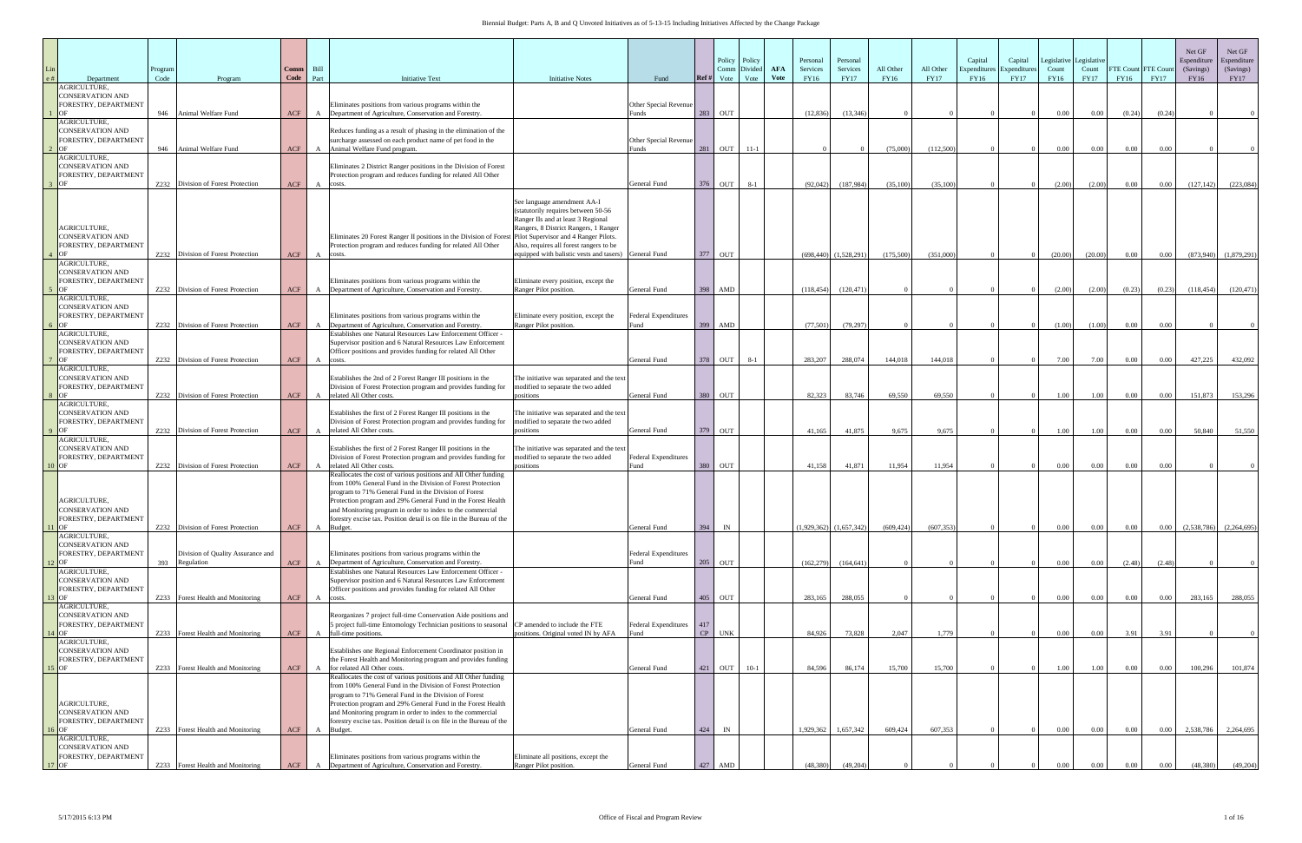| e# | Department                                                                         | Program<br>Code | Program                                         | Comm<br>Code | Bill<br>Part   | <b>Initiative Text</b>                                                                                                                                                                                                                                                                                                                                                                                                        | <b>Initiative Notes</b>                                                                                                                                                                                                                               | Fund                                        | Ref #     | Policy<br>Comm<br>Vote | Policy<br>Divide<br>Vote | <b>AFA</b><br>Vote | Personal<br>Services<br>FY16 | Personal<br>Services<br><b>FY17</b> | All Other<br>FY16 | All Other<br><b>FY17</b> | Capital<br>Expenditur<br>FY16 | Capital<br>Expenditure<br><b>FY17</b> | Count<br>FY16 | Legislative Legislative<br>Count<br><b>FY17</b> | <b>FTE Count</b><br>FY16 | FTE Cour<br><b>FY17</b> | Net GF<br>Espenditure<br>(Savings)<br>FY16 | Net GF<br>Espenditure<br>(Savings)<br>FY17 |
|----|------------------------------------------------------------------------------------|-----------------|-------------------------------------------------|--------------|----------------|-------------------------------------------------------------------------------------------------------------------------------------------------------------------------------------------------------------------------------------------------------------------------------------------------------------------------------------------------------------------------------------------------------------------------------|-------------------------------------------------------------------------------------------------------------------------------------------------------------------------------------------------------------------------------------------------------|---------------------------------------------|-----------|------------------------|--------------------------|--------------------|------------------------------|-------------------------------------|-------------------|--------------------------|-------------------------------|---------------------------------------|---------------|-------------------------------------------------|--------------------------|-------------------------|--------------------------------------------|--------------------------------------------|
|    | AGRICULTURE,<br><b>CONSERVATION AND</b><br>FORESTRY, DEPARTMENT                    | 946             | Animal Welfare Fund                             | <b>ACF</b>   | A              | Eliminates positions from various programs within the<br>Department of Agriculture, Conservation and Forestry.                                                                                                                                                                                                                                                                                                                |                                                                                                                                                                                                                                                       | Other Special Revenue<br>unds <sup>.</sup>  | 283       | OUT                    |                          |                    | (12, 836)                    | (13, 346)                           |                   |                          |                               |                                       | $0.00\,$      | $0.00\,$                                        | (0.24)                   | (0.24)                  |                                            |                                            |
|    | AGRICULTURE,<br><b>CONSERVATION AND</b><br>FORESTRY, DEPARTMENT<br><b>OF</b>       | 946             | Animal Welfare Fund                             | <b>ACF</b>   | $\mathbf{A}$   | Reduces funding as a result of phasing in the elimination of the<br>surcharge assessed on each product name of pet food in the<br>Animal Welfare Fund program.                                                                                                                                                                                                                                                                |                                                                                                                                                                                                                                                       | Other Special Revenue<br>unds <sup>.</sup>  | 281       | OUT                    | $11-1$                   |                    |                              |                                     | (75,000)          | (112,500)                |                               |                                       | $0.00\,$      | 0.00                                            | 0.00                     | 0.00                    |                                            |                                            |
|    | AGRICULTURE,<br><b>CONSERVATION AND</b><br>FORESTRY, DEPARTMENT<br>$3$ OF          |                 | Z232 Division of Forest Protection              | ACF          | A              | Eliminates 2 District Ranger positions in the Division of Forest<br>Protection program and reduces funding for related All Other<br>costs.                                                                                                                                                                                                                                                                                    |                                                                                                                                                                                                                                                       | General Fund                                | 376       | OUT                    | $8 - 1$                  |                    | (92,042)                     | (187,984)                           | (35,100)          | (35, 100)                |                               |                                       | (2.00)        | (2.00)                                          | $0.00\,$                 | $0.00\,$                | (127, 142)                                 | (223,084)                                  |
|    | AGRICULTURE,<br><b>CONSERVATION AND</b><br>FORESTRY, DEPARTMENT<br>$4$ OF          |                 | Z232 Division of Forest Protection              | <b>ACF</b>   | A              | Eliminates 20 Forest Ranger II positions in the Division of Forest Pilot Supervisor and 4 Ranger Pilots.<br>Protection program and reduces funding for related All Other<br>costs.                                                                                                                                                                                                                                            | See language amendment AA-I<br>(statutorily requires between 50-56<br>Ranger IIs and at least 3 Regional<br>Rangers, 8 District Rangers, 1 Ranger<br>Also, requires all forest rangers to be<br>equipped with balistic vests and tasers) General Fund |                                             |           | 377 OUT                |                          |                    |                              | $(698,440)$ $(1,528,291)$           | (175,500)         | (351,000)                |                               |                                       | (20.00)       | (20.00)                                         | $0.00\,$                 | $0.00\,$                | (873,940)                                  | (1,879,291)                                |
|    | AGRICULTURE,<br><b>CONSERVATION AND</b><br>FORESTRY, DEPARTMENT                    |                 | 7.232 Division of Forest Protection             |              |                | Eliminates positions from various programs within the                                                                                                                                                                                                                                                                                                                                                                         | Eliminate every position, except the                                                                                                                                                                                                                  |                                             |           |                        |                          |                    |                              |                                     |                   |                          |                               |                                       |               |                                                 |                          |                         |                                            |                                            |
|    | 5 OF<br>AGRICULTURE,<br><b>CONSERVATION AND</b><br>FORESTRY, DEPARTMENT            |                 |                                                 | ACF          | $\overline{A}$ | Department of Agriculture, Conservation and Forestry.<br>Eliminates positions from various programs within the                                                                                                                                                                                                                                                                                                                | Ranger Pilot position.<br>Eliminate every position, except the                                                                                                                                                                                        | General Fund<br>Federal Expenditures        | 398       | AMD                    |                          |                    | (118, 454)                   | (120.471)                           |                   |                          |                               |                                       | (2.00)        | (2.00)                                          | (0.23)                   | (0.23)                  | (118, 454)                                 | (120, 471)                                 |
|    | i OF<br>AGRICULTURE,<br><b>CONSERVATION AND</b><br>FORESTRY, DEPARTMENT            |                 | Z232 Division of Forest Protection              | <b>ACF</b>   | $\mathbf{A}$   | Department of Agriculture, Conservation and Forestry.<br>Establishes one Natural Resources Law Enforcement Officer -<br>Supervisor position and 6 Natural Resources Law Enforcement<br>Officer positions and provides funding for related All Other                                                                                                                                                                           | Ranger Pilot position.                                                                                                                                                                                                                                | <sup>7</sup> und                            |           | 399 AMD                |                          |                    | (77,501)                     | (79, 297)                           |                   |                          |                               |                                       | (1.00)        | (1.00)                                          | $0.00\,$                 | 0.00                    |                                            |                                            |
|    | $\overline{OP}$<br>AGRICULTURE,<br><b>CONSERVATION AND</b><br>FORESTRY, DEPARTMENT |                 | Z232 Division of Forest Protection              | <b>ACF</b>   | A              | costs.<br>Establishes the 2nd of 2 Forest Ranger III positions in the<br>Division of Forest Protection program and provides funding for                                                                                                                                                                                                                                                                                       | The initiative was separated and the text<br>modified to separate the two added                                                                                                                                                                       | General Fund                                | 378       | OUT                    | $8 - 1$                  |                    | 283,207                      | 288,074                             | 144,018           | 144,018                  |                               |                                       | 7.00          | 7.00                                            | $0.00\,$                 | 0.00                    | 427,225                                    | 432,092                                    |
|    | 3 OF<br>AGRICULTURE,                                                               |                 | Z232 Division of Forest Protection              | <b>ACF</b>   | $\mathbf{A}$   | related All Other costs.                                                                                                                                                                                                                                                                                                                                                                                                      | positions                                                                                                                                                                                                                                             | General Fund                                | 380       | <b>OUT</b>             |                          |                    | 82,323                       | 83,746                              | 69.550            | 69.550                   |                               |                                       | 1.00          | 1.00                                            | $0.00\,$                 | 0.00                    | 151,873                                    | 153,296                                    |
|    | <b>CONSERVATION AND</b><br>FORESTRY, DEPARTMENT<br>$\overline{OP}$                 |                 | Z232 Division of Forest Protection              | ACF          | $\overline{A}$ | Establishes the first of 2 Forest Ranger III positions in the<br>Division of Forest Protection program and provides funding for<br>related All Other costs.                                                                                                                                                                                                                                                                   | The initiative was separated and the text<br>modified to separate the two added<br>positions                                                                                                                                                          | General Fund                                |           | 379 OUT                |                          |                    | 41.165                       | 41,875                              | 9.675             | 9.675                    |                               |                                       | 1.00          | 1.00                                            | 0.00                     | 0.00                    | 50,840                                     | 51,550                                     |
|    | AGRICULTURE,<br><b>CONSERVATION AND</b><br>FORESTRY, DEPARTMENT<br>$10$ OF         | Z232            | Division of Forest Protection                   | ACF          | $\mathbf{A}$   | Establishes the first of 2 Forest Ranger III positions in the<br>Division of Forest Protection program and provides funding for<br>related All Other costs.                                                                                                                                                                                                                                                                   | The initiative was separated and the text<br>modified to separate the two added<br>positions                                                                                                                                                          | Federal Expenditures<br><sup>7</sup> und    | 380       | <b>OUT</b>             |                          |                    | 41,158                       | 41,871                              | 11,954            | 11,954                   |                               |                                       | $0.00\,$      | $0.00\,$                                        | $0.00\,$                 | 0.00                    |                                            |                                            |
|    | AGRICULTURE,<br><b>CONSERVATION AND</b><br>FORESTRY, DEPARTMENT<br>$1$ OF          |                 | Z232 Division of Forest Protection              | ACF          | $\mathbf{A}$   | Reallocates the cost of various positions and All Other funding<br>from 100% General Fund in the Division of Forest Protection<br>program to 71% General Fund in the Division of Forest<br>Protection program and 29% General Fund in the Forest Health<br>and Monitoring program in order to index to the commercial<br>forestry excise tax. Position detail is on file in the Bureau of the<br>Budget.                      |                                                                                                                                                                                                                                                       | General Fund                                | 394       | IN                     |                          |                    | $(1,929,362)$ $(1,657,342)$  |                                     | (609, 424)        | (607, 353)               |                               |                                       | $0.00\,$      | $0.00\,$                                        | 0.00                     | $0.00\,$                | (2.538.786)                                | (2,264,695)                                |
|    | AGRICULTURE,<br><b>CONSERVATION AND</b><br>FORESTRY, DEPARTMENT<br>$2$ OF          | 393             | Division of Quality Assurance and<br>Regulation | ACF          | A              | Eliminates positions from various programs within the<br>Department of Agriculture, Conservation and Forestry                                                                                                                                                                                                                                                                                                                 |                                                                                                                                                                                                                                                       | <b>Federal Expenditures</b><br>Fund         | 205       | OUT                    |                          |                    | (162, 279)                   | (164, 641)                          |                   |                          |                               |                                       | $0.00\,$      | 0.00                                            | (2.48)                   | (2.48)                  |                                            |                                            |
|    | AGRICULTURE,<br><b>CONSERVATION AND</b><br>FORESTRY, DEPARTMENT                    |                 |                                                 |              |                | Establishes one Natural Resources Law Enforcement Officer -<br>Supervisor position and 6 Natural Resources Law Enforcement<br>Officer positions and provides funding for related All Other                                                                                                                                                                                                                                    |                                                                                                                                                                                                                                                       |                                             |           |                        |                          |                    |                              |                                     |                   |                          |                               |                                       |               |                                                 |                          |                         |                                            |                                            |
|    | 13 OF<br>AGRICULTURE,<br><b>CONSERVATION AND</b><br>FORESTRY, DEPARTMENT           |                 | Z233 Forest Health and Monitoring               | <b>ACF</b>   | $\mathbf{A}$   | costs.<br>Reorganizes 7 project full-time Conservation Aide positions and<br>5 project full-time Entomology Technician positions to seasonal CP amended to include the FTE<br>full-time positions.                                                                                                                                                                                                                            | positions. Original voted IN by AFA                                                                                                                                                                                                                   | General Fund<br>Federal Expenditures<br>und | 417<br>CP | 405 OUT                |                          |                    | 283,165                      | 288,055                             |                   |                          |                               |                                       | $0.00\,$      | $0.00\,$                                        | 0.00                     | $0.00\,$                | 283,165                                    | 288,055                                    |
|    | $4$ OF<br>AGRICULTURE,<br><b>CONSERVATION AND</b><br>FORESTRY, DEPARTMENT          |                 | Z233 Forest Health and Monitoring               | <b>ACF</b>   | A              | Establishes one Regional Enforcement Coordinator position in<br>the Forest Health and Monitoring program and provides funding                                                                                                                                                                                                                                                                                                 |                                                                                                                                                                                                                                                       |                                             |           | <b>UNK</b>             |                          |                    | 84.926                       | 73,828                              | 2,047             | 1,779                    |                               |                                       | $0.00\,$      | $0.00\,$                                        | 3.91                     | 3.91                    |                                            |                                            |
|    | $15$ OF<br>AGRICULTURE,<br><b>CONSERVATION AND</b><br>FORESTRY, DEPARTMENT         |                 | Z233 Forest Health and Monitoring               | <b>ACF</b>   | A              | for related All Other costs.<br>Reallocates the cost of various positions and All Other funding<br>from 100% General Fund in the Division of Forest Protection<br>program to 71% General Fund in the Division of Forest<br>Protection program and 29% General Fund in the Forest Health<br>and Monitoring program in order to index to the commercial<br>forestry excise tax. Position detail is on file in the Bureau of the |                                                                                                                                                                                                                                                       | General Fund                                | 421       | OUT                    | $10-1$                   |                    | 84,596                       | 86,174                              | 15,700            | 15,700                   |                               |                                       | 1.00          | 1.00                                            | $0.00\,$                 | 0.00                    | 100,296                                    | 101,874                                    |
|    | $6$ OF<br>AGRICULTURE,<br><b>CONSERVATION AND</b>                                  |                 | Z233 Forest Health and Monitoring               | ACF A        |                | Budget.                                                                                                                                                                                                                                                                                                                                                                                                                       |                                                                                                                                                                                                                                                       | General Fund                                | 424       | IN                     |                          |                    | 1,929,362                    | 1,657,342                           | 609,424           | 607,353                  |                               |                                       | $0.00\,$      | 0.00                                            | $0.00\,$                 | $0.00\,$                | 2,538,786                                  | 2,264,695                                  |
|    | FORESTRY, DEPARTMENT<br>$17$ OF                                                    |                 | Z233 Forest Health and Monitoring               | ACF          | $\mathbf{A}$   | Eliminates positions from various programs within the<br>Department of Agriculture, Conservation and Forestry.                                                                                                                                                                                                                                                                                                                | Eliminate all positions, except the<br>Ranger Pilot position.                                                                                                                                                                                         | General Fund                                | 427       | AMD                    |                          |                    | (48,380)                     | (49,204)                            |                   |                          |                               |                                       | 0.00          | $0.00\,$                                        | 0.00                     | 0.00                    | (48,380)                                   | (49,204)                                   |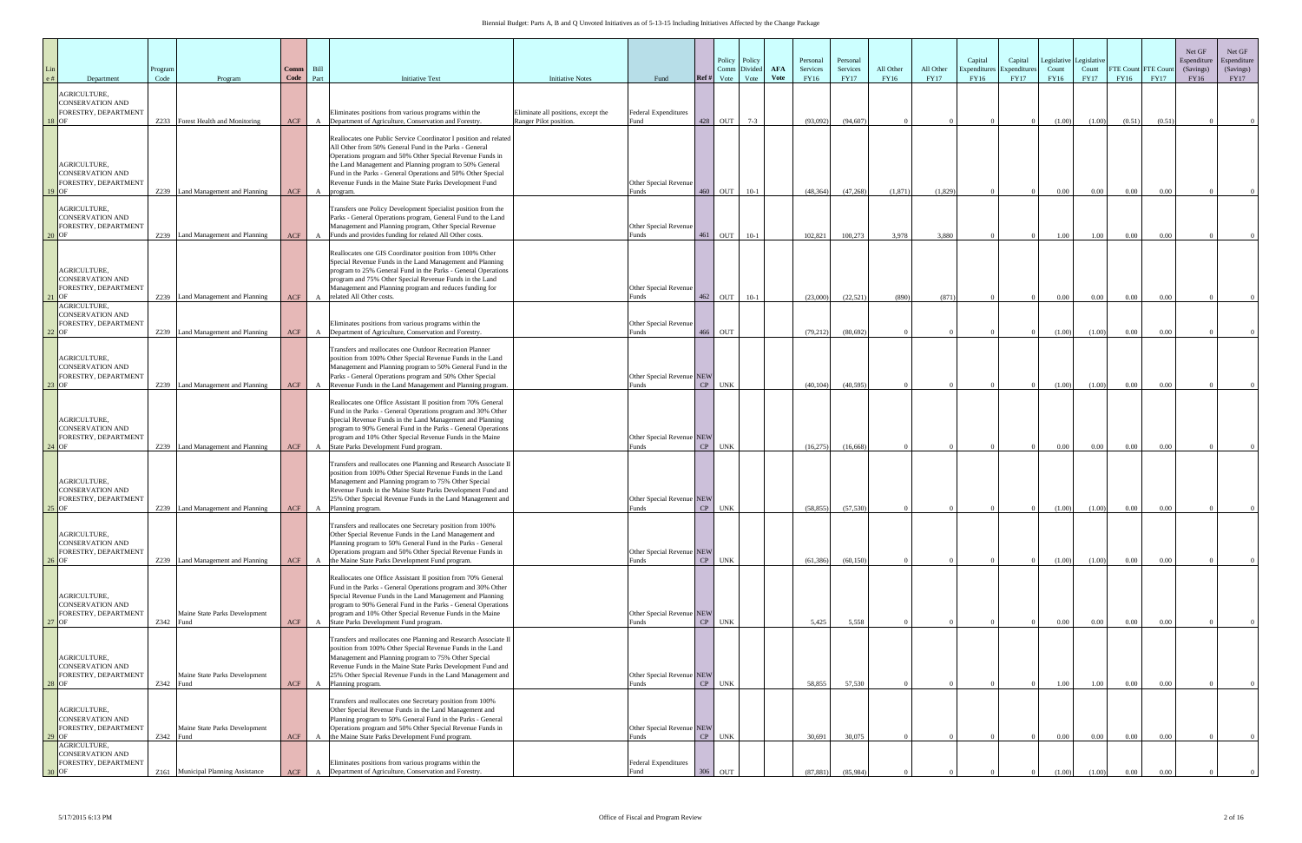|                    | Department                                                      | Program<br>Code | Program                                                                | Comm<br>Code | Bill<br>Part | <b>Initiative Text</b>                                                                                                                                                                                                                                                                                                                                                                     | <b>Initiative Notes</b>                                       | Fund                                        | Ref# | Policy<br>Comm Divide<br>Vote | Policy<br>Vote | <b>AFA</b><br><b>Vote</b> | Personal<br>Services<br>FY16 | Personal<br>Services<br><b>FY17</b> | All Other<br>FY16 | All Other<br><b>FY17</b> | Capital<br>Expenditur<br>FY16 | Capital<br>Expenditure<br><b>FY17</b> | egislative<br>Count<br>FY16 | Legislative<br>Count<br><b>FY17</b> | FTE Count FTE Cour<br>FY16 | <b>FY17</b>  | Net GF<br>Espenditure<br>(Savings)<br>FY16 | Net GF<br>Espenditure<br>(Savings)<br><b>FY17</b> |
|--------------------|-----------------------------------------------------------------|-----------------|------------------------------------------------------------------------|--------------|--------------|--------------------------------------------------------------------------------------------------------------------------------------------------------------------------------------------------------------------------------------------------------------------------------------------------------------------------------------------------------------------------------------------|---------------------------------------------------------------|---------------------------------------------|------|-------------------------------|----------------|---------------------------|------------------------------|-------------------------------------|-------------------|--------------------------|-------------------------------|---------------------------------------|-----------------------------|-------------------------------------|----------------------------|--------------|--------------------------------------------|---------------------------------------------------|
| 18 OF              | AGRICULTURE,<br><b>CONSERVATION AND</b><br>FORESTRY, DEPARTMENT | Z233            | Forest Health and Monitoring                                           | ACF          |              | Eliminates positions from various programs within the<br>Department of Agriculture, Conservation and Forestry.                                                                                                                                                                                                                                                                             | Eliminate all positions, except the<br>Ranger Pilot position. | Federal Expenditures<br>Fund                | 428  | OUT                           | $7 - 3$        |                           | (93,092)                     | (94, 607)                           |                   |                          |                               |                                       | (1.00)                      | (1.00)                              | (0.51)                     | (0.51)       |                                            |                                                   |
| 9.0F               | AGRICULTURE,<br><b>CONSERVATION AND</b><br>FORESTRY, DEPARTMENT | Z239            | Land Management and Planning                                           | ACF          | A            | Reallocates one Public Service Coordinator I position and related<br>All Other from 50% General Fund in the Parks - General<br>Operations program and 50% Other Special Revenue Funds in<br>the Land Management and Planning program to 50% General<br>Fund in the Parks - General Operations and 50% Other Special<br>Revenue Funds in the Maine State Parks Development Fund<br>program. |                                                               | Other Special Revenue<br>Funds              | 460  | OUT                           | $10-1$         |                           | (48, 364)                    | (47, 268)                           | (1,871)           | (1,829)                  |                               |                                       | 0.00                        | $0.00\,$                            | 0.00                       | 0.00         |                                            |                                                   |
| 20 IOF             | AGRICULTURE,<br><b>CONSERVATION AND</b><br>FORESTRY, DEPARTMENT | Z239            | Land Management and Planning                                           | ACF          |              | Transfers one Policy Development Specialist position from the<br>Parks - General Operations program, General Fund to the Land<br>Management and Planning program, Other Special Revenue<br>Funds and provides funding for related All Other costs.                                                                                                                                         |                                                               | Other Special Revenue<br>Funds              | 461  | OUT                           | $10-1$         |                           | 102.821                      | 100,273                             | 3.978             | 3.880                    |                               |                                       | 1.00                        | 1.00                                | 0.00                       | 0.00         |                                            |                                                   |
|                    | AGRICULTURE,<br><b>CONSERVATION AND</b><br>FORESTRY, DEPARTMENT | Z239            | Land Management and Planning                                           | ACF          |              | Reallocates one GIS Coordinator position from 100% Other<br>Special Revenue Funds in the Land Management and Planning<br>program to 25% General Fund in the Parks - General Operations<br>program and 75% Other Special Revenue Funds in the Land<br>Management and Planning program and reduces funding for<br>related All Other costs.                                                   |                                                               | Other Special Revenue<br>Funds              | 462  | OUT                           | $10-1$         |                           | (23,000)                     | (22, 521)                           | (890)             | (871)                    |                               |                                       | $0.00\,$                    | $0.00\,$                            | $0.00\,$                   | 0.00         |                                            |                                                   |
| $2$ OF             | AGRICULTURE,<br><b>CONSERVATION AND</b><br>FORESTRY, DEPARTMENT | Z239            | Land Management and Planning                                           | ACF          |              | Eliminates positions from various programs within the<br>Department of Agriculture, Conservation and Forestry.                                                                                                                                                                                                                                                                             |                                                               | Other Special Revenue<br>Funds              | 466  | OUT                           |                |                           | (79,212)                     | (80, 692)                           |                   |                          |                               |                                       | (1.00)                      | (1.00)                              | $0.00\,$                   | 0.00         |                                            |                                                   |
| $3$ OF             | AGRICULTURE,<br><b>CONSERVATION AND</b><br>FORESTRY, DEPARTMENT |                 | Z239 Land Management and Planning                                      | ACF          |              | Transfers and reallocates one Outdoor Recreation Planner<br>position from 100% Other Special Revenue Funds in the Land<br>Management and Planning program to 50% General Fund in the<br>Parks - General Operations program and 50% Other Special<br>Revenue Funds in the Land Management and Planning program.                                                                             |                                                               | Other Special Revenue NEW<br>Funds          |      | CP UNK                        |                |                           | (40, 104)                    | (40, 595)                           |                   |                          |                               |                                       | (1.00)                      | (1.00)                              | 0.00                       | 0.00         |                                            |                                                   |
|                    | AGRICULTURE,<br><b>CONSERVATION AND</b><br>FORESTRY, DEPARTMENT |                 |                                                                        |              |              | Reallocates one Office Assistant II position from 70% General<br>Fund in the Parks - General Operations program and 30% Other<br>Special Revenue Funds in the Land Management and Planning<br>program to 90% General Fund in the Parks - General Operations<br>program and 10% Other Special Revenue Funds in the Maine                                                                    |                                                               | Other Special Revenue NEW                   |      |                               |                |                           |                              |                                     |                   |                          |                               |                                       |                             |                                     |                            |              |                                            |                                                   |
| $24$ OF            | AGRICULTURE,<br><b>CONSERVATION AND</b><br>FORESTRY, DEPARTMENT | Z239            | Land Management and Planning                                           | ACF          |              | State Parks Development Fund program.<br>Fransfers and reallocates one Planning and Research Associate I<br>position from 100% Other Special Revenue Funds in the Land<br>Management and Planning program to 75% Other Special<br>Revenue Funds in the Maine State Parks Development Fund and<br>25% Other Special Revenue Funds in the Land Management and                                |                                                               | Funds<br>Other Special Revenue NEW          |      | CP UNK                        |                |                           | (16,275)                     | (16,668)                            |                   |                          |                               |                                       | 0.00                        | $0.00\,$                            | 0.00                       | 0.00         |                                            |                                                   |
| $25$ OF<br>$26$ OF | AGRICULTURE,<br><b>CONSERVATION AND</b><br>FORESTRY, DEPARTMENT |                 | Z239 Land Management and Planning<br>Z239 Land Management and Planning | ACF<br>ACF   |              | Planning program.<br>Transfers and reallocates one Secretary position from 100%<br>Other Special Revenue Funds in the Land Management and<br>Planning program to 50% General Fund in the Parks - General<br>Operations program and 50% Other Special Revenue Funds in<br>the Maine State Parks Development Fund program.                                                                   |                                                               | Funds<br>Other Special Revenue NEW<br>Funds |      | CP UNK<br>CP UNK              |                |                           | (58, 855)<br>(61, 386)       | (57, 530)<br>(60, 150)              |                   |                          |                               |                                       | (1.00)<br>(1.00)            | (1.00)<br>(1.00)                    | $0.00\,$<br>$0.00\,$       | 0.00<br>0.00 |                                            |                                                   |
| $27$ OF            | AGRICULTURE,<br><b>CONSERVATION AND</b><br>FORESTRY, DEPARTMENT | Z342 Fund       | Maine State Parks Development                                          | ACF          |              | Reallocates one Office Assistant II position from 70% General<br>Fund in the Parks - General Operations program and 30% Other<br>Special Revenue Funds in the Land Management and Planning<br>program to 90% General Fund in the Parks - General Operations<br>program and 10% Other Special Revenue Funds in the Maine<br>State Parks Development Fund program.                           |                                                               | Other Special Revenue NEW<br>Funds          |      | CP UNK                        |                |                           | 5,425                        | 5.558                               |                   |                          |                               |                                       | 0.00                        | $0.00\,$                            | 0.00                       | 0.00         |                                            |                                                   |
| $28$ OF            | AGRICULTURE,<br><b>CONSERVATION AND</b><br>FORESTRY, DEPARTMENT | Z342 Fund       | Maine State Parks Development                                          | <b>ACF</b>   |              | Transfers and reallocates one Planning and Research Associate II<br>position from 100% Other Special Revenue Funds in the Land<br>Management and Planning program to 75% Other Special<br>Revenue Funds in the Maine State Parks Development Fund and<br>25% Other Special Revenue Funds in the Land Management and<br>A Planning program.                                                 |                                                               | Other Special Revenue NEW<br>Funds          |      | CP UNK                        |                |                           | 58.855                       | 57,530                              |                   |                          |                               |                                       | 1.00                        | 1.00                                | 0.00                       | 0.00         |                                            |                                                   |
| $29$ OF            | AGRICULTURE,<br><b>CONSERVATION AND</b><br>FORESTRY, DEPARTMENT | $Z342$ Fund     | Maine State Parks Development                                          | ACF          |              | Transfers and reallocates one Secretary position from 100%<br>Other Special Revenue Funds in the Land Management and<br>Planning program to 50% General Fund in the Parks - General<br>Operations program and 50% Other Special Revenue Funds in<br>the Maine State Parks Development Fund program.                                                                                        |                                                               | Other Special Revenue NEW<br>Funds          |      | CP UNK                        |                |                           | 30.691                       | 30,075                              |                   |                          |                               |                                       | $0.00\,$                    | $0.00\,$                            | $0.00\,$                   | 0.00         |                                            |                                                   |
| 30 OF              | AGRICULTURE,<br><b>CONSERVATION AND</b><br>FORESTRY, DEPARTMENT |                 | Z161 Municipal Planning Assistance                                     | ACF          |              | Eliminates positions from various programs within the<br>Department of Agriculture, Conservation and Forestry.                                                                                                                                                                                                                                                                             |                                                               | Federal Expenditures<br>Fund                | 306  | OUT                           |                |                           | (87, 881)                    | (85,984)                            |                   |                          |                               |                                       | (1.00)                      | (1.00)                              | $0.00\,$                   | 0.00         |                                            |                                                   |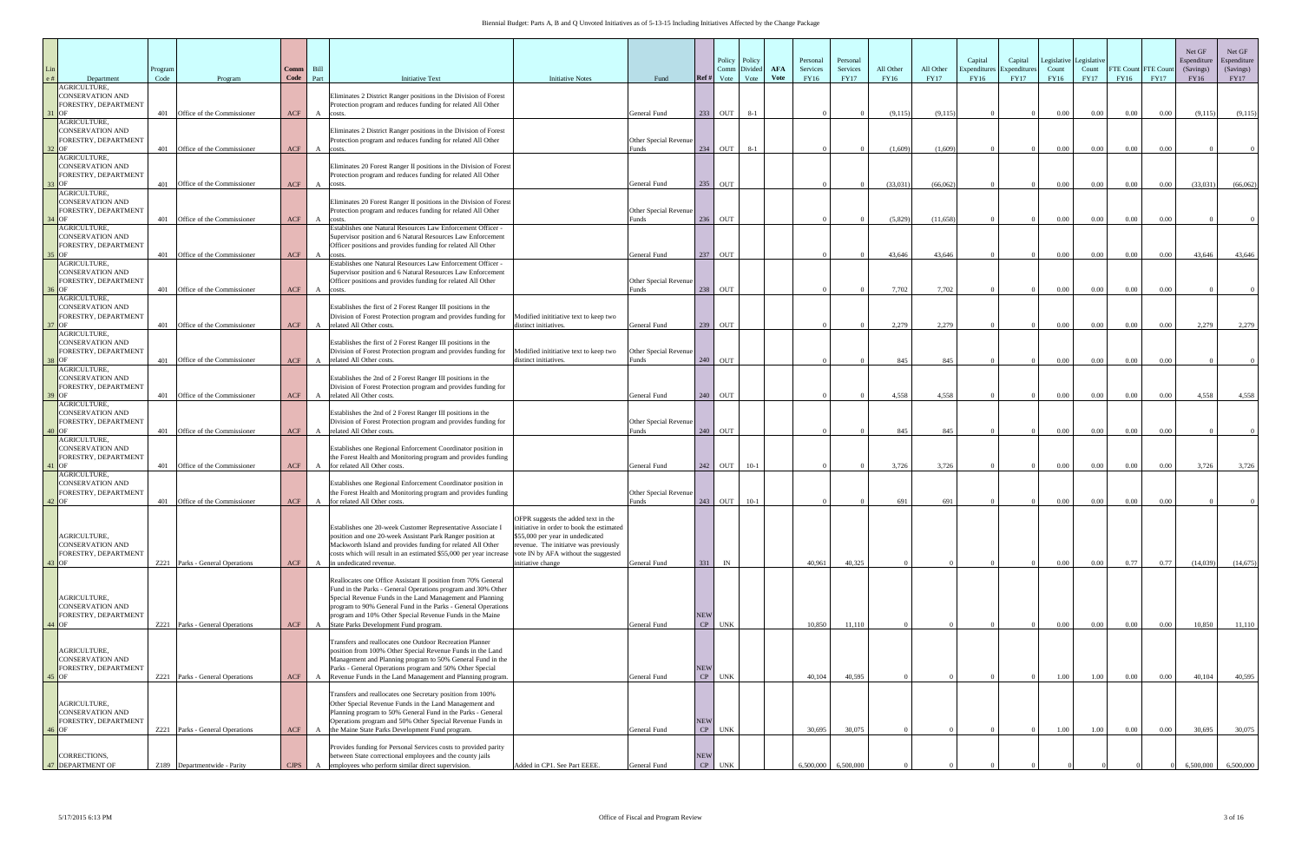| Department                                                                         | Program<br>Code | Program                         | Comm<br>Code | Bill<br>Part | <b>Initiative Text</b><br><b>Initiative Notes</b>                                                                                                                                                                                                                                                                                                                                                                                                                    | Fund                                       | Ref#             | Policy<br>Comm<br>Vote | Policy<br>Divide<br>Vote | <b>AFA</b><br><b>Vote</b> | Personal<br>Services<br>FY16 | Personal<br>Services<br><b>FY17</b> | All Other<br>FY16 | All Other<br><b>FY17</b> | Capital<br>Capital<br>Expenditure<br>Expenditure.<br>FY16<br><b>FY17</b> | Legislative<br>Count<br>FY16 | Legislative<br>Count<br><b>FY17</b> | FTE Count FTE Cour<br>FY16 | <b>FY17</b> | Net GF<br>Espenditure<br>(Savings)<br>FY16 | Net GF<br>Espenditure<br>(Savings)<br><b>FY17</b> |
|------------------------------------------------------------------------------------|-----------------|---------------------------------|--------------|--------------|----------------------------------------------------------------------------------------------------------------------------------------------------------------------------------------------------------------------------------------------------------------------------------------------------------------------------------------------------------------------------------------------------------------------------------------------------------------------|--------------------------------------------|------------------|------------------------|--------------------------|---------------------------|------------------------------|-------------------------------------|-------------------|--------------------------|--------------------------------------------------------------------------|------------------------------|-------------------------------------|----------------------------|-------------|--------------------------------------------|---------------------------------------------------|
| <b>AGRICULTURE.</b><br><b>CONSERVATION AND</b><br>FORESTRY, DEPARTMENT<br>$31$ OF  |                 | 401 Office of the Commissioner  | ACF          |              | Eliminates 2 District Ranger positions in the Division of Forest<br>Protection program and reduces funding for related All Other<br>A costs.                                                                                                                                                                                                                                                                                                                         | General Fund                               |                  | 233 OUT                | $8-1$                    |                           |                              |                                     | (9,115)           | (9,115)                  |                                                                          | $0.00\,$                     | $0.00\,$                            | 0.00                       | $0.00\,$    | (9,115)                                    | (9,115)                                           |
| AGRICULTURE,<br><b>CONSERVATION AND</b><br>FORESTRY, DEPARTMENT<br>$2$ OF          |                 | 401 Office of the Commissioner  | ACF          |              | Eliminates 2 District Ranger positions in the Division of Forest<br>Protection program and reduces funding for related All Other<br>A costs.                                                                                                                                                                                                                                                                                                                         | Other Special Revenue<br>unds <sup>3</sup> |                  | 234 OUT                | $8 - 1$                  |                           |                              |                                     | (1,609)           | (1.609)                  |                                                                          | 0.00                         | $0.00\,$                            | 0.00                       | 0.00        |                                            |                                                   |
| <b>AGRICULTURE,</b><br><b>CONSERVATION AND</b><br>FORESTRY, DEPARTMENT<br>$3$ OF   | 401             | Office of the Commissioner      | ACF          |              | Eliminates 20 Forest Ranger II positions in the Division of Forest<br>Protection program and reduces funding for related All Other<br>A costs.                                                                                                                                                                                                                                                                                                                       | General Fund                               | 235              | OUT                    |                          |                           |                              |                                     | (33,031)          | (66,062)                 |                                                                          | 0.00                         | 0.00                                | 0.00                       | $0.00\,$    | (33,031)                                   | (66,062)                                          |
| AGRICULTURE.<br><b>CONSERVATION AND</b><br>FORESTRY, DEPARTMENT<br>$4$ OF          |                 | 401 Office of the Commissioner  | ACF          |              | Eliminates 20 Forest Ranger II positions in the Division of Forest<br>Protection program and reduces funding for related All Other<br>A costs.                                                                                                                                                                                                                                                                                                                       | Other Special Revenue<br>Funds             |                  | 236 OUT                |                          |                           |                              |                                     | (5,829)           | (11,658)                 |                                                                          | $0.00\,$                     | 0.00                                | 0.00                       | 0.00        |                                            |                                                   |
| AGRICULTURE,<br><b>CONSERVATION AND</b><br>FORESTRY, DEPARTMENT<br>$\overline{OP}$ |                 | 401 Office of the Commissioner  | ACF          | $\mathbf{A}$ | Establishes one Natural Resources Law Enforcement Officer<br>Supervisor position and 6 Natural Resources Law Enforcement<br>Officer positions and provides funding for related All Other<br>costs.                                                                                                                                                                                                                                                                   | General Fund                               |                  | 237 OUT                |                          |                           |                              |                                     | 43.646            | 43,646                   |                                                                          | $0.00\,$                     | 0.00                                | 0.00                       | 0.00        | 43,646                                     | 43,646                                            |
| AGRICULTURE,<br><b>CONSERVATION AND</b><br>FORESTRY, DEPARTMENT<br><b>OF</b>       |                 | 401 Office of the Commissioner  | ACF          | $\mathbf{A}$ | Establishes one Natural Resources Law Enforcement Officer<br>Supervisor position and 6 Natural Resources Law Enforcement<br>Officer positions and provides funding for related All Other<br>costs                                                                                                                                                                                                                                                                    | Other Special Revenue<br>unds              |                  | 238 OUT                |                          |                           |                              |                                     | 7,702             | 7,702                    |                                                                          | 0.00                         | 0.00                                | 0.00                       | 0.00        |                                            |                                                   |
| AGRICULTURE,<br><b>CONSERVATION AND</b><br>FORESTRY, DEPARTMENT<br>$7$ OF          | 401             | Office of the Commissioner      | <b>ACF</b>   | $\mathbf{A}$ | Establishes the first of 2 Forest Ranger III positions in the<br>Division of Forest Protection program and provides funding for<br>Modified inititiative text to keep two<br>related All Other costs.<br>distinct initiatives.                                                                                                                                                                                                                                       | General Fund                               |                  | 239 OUT                |                          |                           |                              |                                     | 2,279             | 2,279                    |                                                                          | $0.00\,$                     | 0.00                                | 0.00                       | 0.00        | 2,279                                      | 2,279                                             |
| <b>AGRICULTURE</b><br><b>CONSERVATION AND</b><br>FORESTRY, DEPARTMENT<br><b>OF</b> |                 | 401 Office of the Commissioner  | ACF          | $\mathbf{A}$ | Establishes the first of 2 Forest Ranger III positions in the<br>Division of Forest Protection program and provides funding for Modified initiative text to keep two<br>related All Other costs.<br>distinct initiatives.                                                                                                                                                                                                                                            | Other Special Revenue<br>Funds             |                  | 240 OUT                |                          |                           |                              |                                     | 845               | 845                      |                                                                          | 0.00                         | $0.00\,$                            | 0.00                       | 0.00        |                                            |                                                   |
| <b>AGRICULTURE,</b><br><b>CONSERVATION AND</b><br>FORESTRY, DEPARTMENT<br>OC       |                 | 401 Office of the Commissioner  | ACF          | $\mathbf{A}$ | Establishes the 2nd of 2 Forest Ranger III positions in the<br>Division of Forest Protection program and provides funding for<br>related All Other costs.                                                                                                                                                                                                                                                                                                            | General Fund                               |                  | 240 OUT                |                          |                           |                              |                                     | 4.558             | 4.558                    |                                                                          | $0.00\,$                     | 0.00                                | 0.00                       | 0.00        | 4.558                                      | 4,558                                             |
| AGRICULTURE,<br><b>CONSERVATION AND</b><br>FORESTRY, DEPARTMENT<br>$0$ OF          |                 | 401 Office of the Commissioner  | ACF          | $\mathbf{A}$ | Establishes the 2nd of 2 Forest Ranger III positions in the<br>Division of Forest Protection program and provides funding for<br>related All Other costs.                                                                                                                                                                                                                                                                                                            | Other Special Revenue<br>unds <sup>?</sup> | 240              | OUT                    |                          |                           |                              |                                     | 845               | 845                      |                                                                          | 0.00                         | 0.00                                | 0.00                       | 0.00        |                                            |                                                   |
| AGRICULTURE,<br><b>CONSERVATION AND</b><br>FORESTRY, DEPARTMENT<br>$11$ OF         | 401             | Office of the Commissioner      | <b>ACF</b>   |              | Establishes one Regional Enforcement Coordinator position in<br>the Forest Health and Monitoring program and provides funding<br>for related All Other costs.                                                                                                                                                                                                                                                                                                        | General Fund                               |                  | 242 OUT                | $10-1$                   |                           |                              |                                     | 3,726             | 3,726                    |                                                                          | $0.00\,$                     | $0.00\,$                            | 0.00                       | $0.00\,$    | 3,726                                      | 3,726                                             |
| AGRICULTURE,<br><b>CONSERVATION AND</b><br>FORESTRY, DEPARTMENT<br>$42$ OF         | 401             | Office of the Commissioner      | ACF          | $\mathbf{A}$ | Establishes one Regional Enforcement Coordinator position in<br>the Forest Health and Monitoring program and provides funding<br>for related All Other costs.                                                                                                                                                                                                                                                                                                        | Other Special Revenue<br>unds <sup>.</sup> |                  | 243 OUT                | $10-1$                   |                           |                              |                                     | 691               | 691                      |                                                                          | $0.00\,$                     | $0.00\,$                            | 0.00                       | 0.00        |                                            |                                                   |
| AGRICULTURE,<br><b>CONSERVATION AND</b><br>FORESTRY, DEPARTMENT                    |                 |                                 |              |              | OFPR suggests the added text in the<br>initiative in order to book the estimated<br>Establishes one 20-week Customer Representative Associate I<br>position and one 20-week Assistant Park Ranger position at<br>\$55,000 per year in undedicated<br>revenue. The initiatve was previously<br>Mackworth Island and provides funding for related All Other<br>costs which will result in an estimated \$55,000 per year increase vote IN by AFA without the suggested |                                            |                  |                        |                          |                           |                              |                                     |                   |                          |                                                                          |                              |                                     |                            |             |                                            |                                                   |
| $43$ OF                                                                            |                 | Z221 Parks - General Operations | ACF          | A            | in undedicated revenue.<br>initiative change<br>Reallocates one Office Assistant II position from 70% General                                                                                                                                                                                                                                                                                                                                                        | General Fund                               | 331              | IN                     |                          |                           | 40,961                       | 40,325                              |                   |                          |                                                                          | $0.00\,$                     | $0.00\,$                            | 0.77                       | 0.77        | (14,039)                                   | (14,675)                                          |
| AGRICULTURE,<br><b>CONSERVATION AND</b><br>FORESTRY, DEPARTMENT<br>$14$ OF         |                 | Z221 Parks - General Operations | ACF          | A            | Fund in the Parks - General Operations program and 30% Other<br>Special Revenue Funds in the Land Management and Planning<br>program to 90% General Fund in the Parks - General Operations<br>program and 10% Other Special Revenue Funds in the Maine<br>State Parks Development Fund program.                                                                                                                                                                      | General Fund                               | <b>NEW</b><br>CP | <b>UNK</b>             |                          |                           | 10,850                       | 11,110                              |                   |                          |                                                                          | $0.00\,$                     | $0.00\,$                            | 0.00                       | $0.00\,$    | 10,850                                     | 11,110                                            |
| AGRICULTURE,<br><b>CONSERVATION AND</b><br>FORESTRY, DEPARTMENT<br>$45$ OF         |                 | Z221 Parks - General Operations | ACF          | A            | Transfers and reallocates one Outdoor Recreation Planner<br>position from 100% Other Special Revenue Funds in the Land<br>Management and Planning program to 50% General Fund in the<br>Parks - General Operations program and 50% Other Special<br>Revenue Funds in the Land Management and Planning program.                                                                                                                                                       | General Fund                               | <b>NEW</b>       | CP UNK                 |                          |                           | 40,104                       | 40,595                              |                   |                          |                                                                          | $1.00\,$                     | $1.00\,$                            | 0.00                       | $0.00\,$    | 40,104                                     | 40,595                                            |
| AGRICULTURE,<br><b>CONSERVATION AND</b><br>FORESTRY, DEPARTMENT<br>$16$ OF         |                 | Z221 Parks - General Operations | ACF          | $\mathbf{A}$ | Transfers and reallocates one Secretary position from 100%<br>Other Special Revenue Funds in the Land Management and<br>Planning program to 50% General Fund in the Parks - General<br>Operations program and 50% Other Special Revenue Funds in<br>the Maine State Parks Development Fund program.                                                                                                                                                                  | General Fund                               | <b>NEW</b><br>CP | UNK                    |                          |                           | 30,695                       | 30,075                              |                   |                          |                                                                          | 1.00                         | 1.00                                | $0.00\,$                   | 0.00        | 30,695                                     | 30,075                                            |
| CORRECTIONS.<br><b>47 DEPARTMENT OF</b>                                            |                 | Z189 Departmentwide - Parity    |              |              | Provides funding for Personal Services costs to provided parity<br>between State correctional employees and the county jails<br>CJPS A employees who perform similar direct supervision.<br>Added in CP1. See Part EEEE                                                                                                                                                                                                                                              | General Fund                               | <b>NEW</b>       | CP UNK                 |                          |                           | 6,500,000                    | 6,500,000                           |                   |                          |                                                                          |                              |                                     |                            |             | 6.500.000                                  | 6,500,000                                         |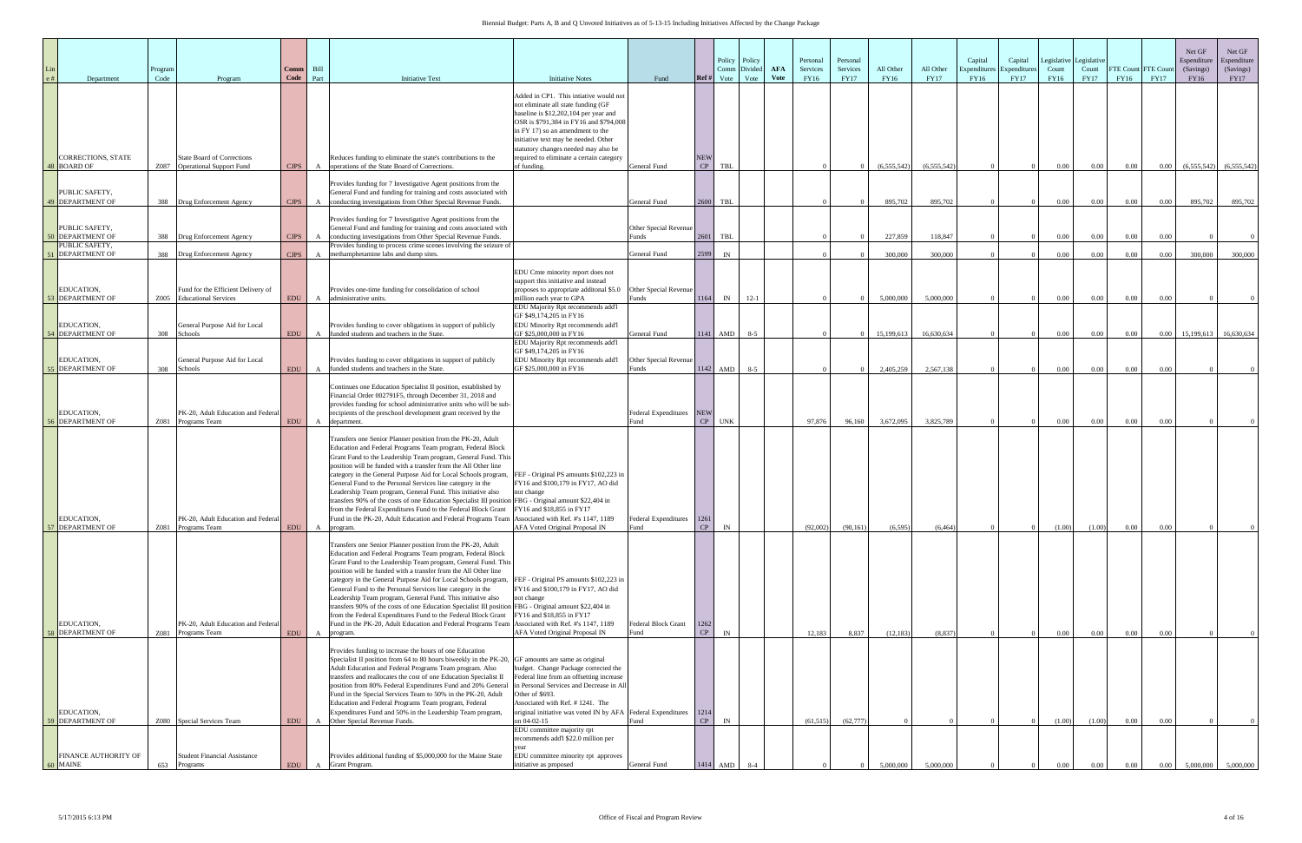| Department                                                | Program<br>Code | Program                                                                        | Comm<br>Code             | Bill<br>Part | <b>Initiative Text</b>                                                                                                                                                                                                                                                                                                                                                                                                                                                                                                                                                                                                                                                                                                                                                                                        | <b>Initiative Notes</b>                                                                                                                                                                                                                                                              | Fund                                       | Ref#             | Policy<br>Comm<br>Vote | Policy<br>Divide<br>Vote | <b>AFA</b><br><b>Vote</b> | Personal<br>Services<br>FY16 | Personal<br>Services<br><b>FY17</b> | All Other<br>FY16    | All Other<br><b>FY17</b> | Capital<br>Expenditur<br>FY16 | Capital<br>Expenditure<br><b>FY17</b> | egislative<br>Count<br>FY16 | Legislative<br>Count<br><b>FY17</b> | FTE Count FTE Cour<br>FY16 | <b>FY17</b>  | Net GF<br>Espenditure<br>(Savings)<br>FY16 | Net GF<br>Espenditure<br>(Savings)<br><b>FY17</b> |
|-----------------------------------------------------------|-----------------|--------------------------------------------------------------------------------|--------------------------|--------------|---------------------------------------------------------------------------------------------------------------------------------------------------------------------------------------------------------------------------------------------------------------------------------------------------------------------------------------------------------------------------------------------------------------------------------------------------------------------------------------------------------------------------------------------------------------------------------------------------------------------------------------------------------------------------------------------------------------------------------------------------------------------------------------------------------------|--------------------------------------------------------------------------------------------------------------------------------------------------------------------------------------------------------------------------------------------------------------------------------------|--------------------------------------------|------------------|------------------------|--------------------------|---------------------------|------------------------------|-------------------------------------|----------------------|--------------------------|-------------------------------|---------------------------------------|-----------------------------|-------------------------------------|----------------------------|--------------|--------------------------------------------|---------------------------------------------------|
|                                                           |                 |                                                                                |                          |              |                                                                                                                                                                                                                                                                                                                                                                                                                                                                                                                                                                                                                                                                                                                                                                                                               | Added in CP1. This intiative would not<br>not eliminate all state funding (GF<br>baseline is \$12,202,104 per year and<br>OSR is \$791,384 in FY16 and \$794,008<br>in FY 17) so an amendment to the<br>initiative text may be needed. Other<br>statutory changes needed may also be |                                            |                  |                        |                          |                           |                              |                                     |                      |                          |                               |                                       |                             |                                     |                            |              |                                            |                                                   |
| <b>CORRECTIONS, STATE</b><br>48 BOARD OF                  |                 | <b>State Board of Corrections</b><br>Z087 Operational Support Fund             | <b>CJPS</b>              | A            | Reduces funding to eliminate the state's contributions to the<br>operations of the State Board of Corrections.                                                                                                                                                                                                                                                                                                                                                                                                                                                                                                                                                                                                                                                                                                | required to eliminate a certain category<br>of funding.                                                                                                                                                                                                                              | General Fund                               | <b>NEW</b><br>CP | TBL                    |                          |                           |                              |                                     | (6, 555, 542)        | (6,555,542)              |                               |                                       | $0.00\,$                    | $0.00\,$                            | $0.00\,$                   | $0.00\,$     | (6,555,542)                                | (6,555,542)                                       |
| PUBLIC SAFETY,<br>49 DEPARTMENT OF                        |                 | 388 Drug Enforcement Agency                                                    | CIPS                     |              | Provides funding for 7 Investigative Agent positions from the<br>General Fund and funding for training and costs associated with<br>conducting investigations from Other Special Revenue Funds.                                                                                                                                                                                                                                                                                                                                                                                                                                                                                                                                                                                                               |                                                                                                                                                                                                                                                                                      | General Fund                               |                  | 2600 TBL               |                          |                           |                              |                                     | 895,702              | 895,702                  |                               |                                       | $0.00\,$                    | $0.00\,$                            | $0.00\,$                   | $0.00\,$     | 895,702                                    | 895,702                                           |
| PUBLIC SAFETY,<br>O DEPARTMENT OF                         |                 | 388 Drug Enforcement Agency                                                    | <b>CJPS</b>              |              | Provides funding for 7 Investigative Agent positions from the<br>General Fund and funding for training and costs associated with<br>conducting investigations from Other Special Revenue Funds.                                                                                                                                                                                                                                                                                                                                                                                                                                                                                                                                                                                                               |                                                                                                                                                                                                                                                                                      | Other Special Revenue<br><sup>3</sup> unds |                  | 2601 TBL               |                          |                           |                              |                                     | 227,859              | 118,847                  |                               |                                       | $0.00\,$                    | $0.00\,$                            | $0.00\,$                   | 0.00         |                                            |                                                   |
| PUBLIC SAFETY,<br><b>51 DEPARTMENT OF</b>                 | 388             | Drug Enforcement Agency                                                        | <b>CJPS</b>              |              | Provides funding to process crime scenes involving the seizure of<br>methamphetamine labs and dump sites.                                                                                                                                                                                                                                                                                                                                                                                                                                                                                                                                                                                                                                                                                                     |                                                                                                                                                                                                                                                                                      | General Fund                               | 2599             | $\mathbb{N}$           |                          |                           |                              |                                     | 300,000              | 300,000                  |                               |                                       | 0.00                        | $0.00\,$                            | 0.00                       | $0.00\,$     | 300,000                                    | 300,000                                           |
| EDUCATION,<br>53 DEPARTMENT OF                            | Z005            | Fund for the Efficient Delivery of<br><b>Educational Services</b>              | <b>EDU</b>               |              | Provides one-time funding for consolidation of school<br>administrative units.                                                                                                                                                                                                                                                                                                                                                                                                                                                                                                                                                                                                                                                                                                                                | EDU Cmte minority report does not<br>support this initiative and instead<br>proposes to appropriate additonal \$5.0<br>million each year to GPA                                                                                                                                      | Other Special Revenue<br>Funds             | 1164             | IN                     | $12-1$                   |                           |                              |                                     | 5,000,000            | 5,000,000                |                               |                                       | 0.00                        | $0.00\,$                            | $0.00\,$                   | 0.00         |                                            |                                                   |
| EDUCATION,<br><b>54 DEPARTMENT OF</b>                     | 308             | General Purpose Aid for Local<br>Schools                                       | EDU                      | $\mathbf{A}$ | Provides funding to cover obligations in support of publicly<br>funded students and teachers in the State.                                                                                                                                                                                                                                                                                                                                                                                                                                                                                                                                                                                                                                                                                                    | EDU Majority Rpt recommends add'l<br>GF \$49,174,205 in FY16<br>EDU Minority Rpt recommends add'l<br>GF \$25,000,000 in FY16                                                                                                                                                         | General Fund                               |                  | $1141$ AMD             | $8 - 5$                  |                           |                              |                                     | 15,199,613           | 16,630,634               |                               |                                       | 0.00                        | 0.00                                | $0.00\,$                   | 0.00         | 15,199,613                                 | 16,630,634                                        |
| EDUCATION,<br><b>55 DEPARTMENT OF</b>                     | 308             | General Purpose Aid for Local<br>Schools                                       | EDU                      | $\mathbf{A}$ | Provides funding to cover obligations in support of publicly<br>funded students and teachers in the State.                                                                                                                                                                                                                                                                                                                                                                                                                                                                                                                                                                                                                                                                                                    | EDU Majority Rpt recommends add'l<br>GF \$49,174,205 in FY16<br>EDU Minority Rpt recommends add'l<br>GF \$25,000,000 in FY16                                                                                                                                                         | Other Special Revenue<br>Funds             |                  | $1142$ AMD             | $8 - 5$                  |                           |                              |                                     | 2,405,259            | 2,567,138                |                               |                                       | 0.00                        | $0.00\,$                            | 0.00                       | 0.00         |                                            |                                                   |
| EDUCATION,                                                |                 | PK-20, Adult Education and Federal                                             |                          |              | Continues one Education Specialist II position, established by<br>Financial Order 002791F5, through December 31, 2018 and<br>provides funding for school administrative units who will be sub-<br>recipients of the preschool development grant received by the                                                                                                                                                                                                                                                                                                                                                                                                                                                                                                                                               |                                                                                                                                                                                                                                                                                      | Federal Expenditures<br>Fund               | <b>NEW</b>       |                        |                          |                           |                              |                                     |                      |                          |                               |                                       |                             |                                     |                            |              |                                            |                                                   |
| <b>56 DEPARTMENT OF</b><br>EDUCATION,                     | Z081            | Programs Team<br>PK-20, Adult Education and Federal                            | EDU                      | A            | department.<br>Transfers one Senior Planner position from the PK-20, Adult<br>Education and Federal Programs Team program, Federal Block<br>Grant Fund to the Leadership Team program, General Fund. This<br>position will be funded with a transfer from the All Other line<br>category in the General Purpose Aid for Local Schools program, FEF - Original PS amounts \$102,223 in<br>General Fund to the Personal Services line category in the<br>Leadership Team program, General Fund. This initiative also<br>transfers 90% of the costs of one Education Specialist III position FBG - Original amount \$22,404 in<br>from the Federal Expenditures Fund to the Federal Block Grant<br>Fund in the PK-20, Adult Education and Federal Programs Team Associated with Ref. #'s 1147, 1189              | FY16 and \$100,179 in FY17, AO did<br>not change<br>FY16 and \$18,855 in FY17                                                                                                                                                                                                        | Federal Expenditures 1261                  | CP               | <b>UNK</b>             |                          |                           | 97,876                       | 96,160                              | 3,672,095            | 3,825,789                |                               |                                       | $0.00\,$                    | $0.00\,$                            | $0.00\,$                   | 0.00         |                                            |                                                   |
| 57 DEPARTMENT OF<br>EDUCATION,<br><b>58 DEPARTMENT OF</b> |                 | Z081 Programs Team<br>PK-20, Adult Education and Federal<br>Z081 Programs Team | <b>EDU</b><br><b>EDU</b> |              | A program.<br>Transfers one Senior Planner position from the PK-20, Adult<br>Education and Federal Programs Team program, Federal Block<br>Grant Fund to the Leadership Team program, General Fund. This<br>position will be funded with a transfer from the All Other line<br>category in the General Purpose Aid for Local Schools program, FEF - Original PS amounts \$102,223 in<br>General Fund to the Personal Services line category in the<br>Leadership Team program, General Fund. This initiative also<br>transfers 90% of the costs of one Education Specialist III position FBG - Original amount \$22,404 in<br>from the Federal Expenditures Fund to the Federal Block Grant<br>Fund in the PK-20, Adult Education and Federal Programs Team Associated with Ref. #'s 1147, 1189<br>A program. | AFA Voted Original Proposal IN<br>FY16 and \$100,179 in FY17, AO did<br>not change<br>FY16 and \$18,855 in FY17<br>AFA Voted Original Proposal IN                                                                                                                                    | Fund<br>Federal Block Grant<br>Fund        | 1262<br>CP       | $CP$ IN<br>IN          |                          |                           | (92,002)<br>12,183           | (90, 161)<br>8,837                  | (6,595)<br>(12, 183) | (6, 464)<br>(8, 837)     |                               |                                       | (1.00)<br>0.00              | (1.00)<br>$0.00\,$                  | $0.00\,$<br>0.00           | 0.00<br>0.00 |                                            |                                                   |
| EDUCATION,<br><b>59 DEPARTMENT OF</b>                     | Z080            | Special Services Team                                                          | <b>EDU</b>               |              | Provides funding to increase the hours of one Education<br>Specialist II position from 64 to 80 hours biweekly in the $PK-20$ , GF amounts are same as original<br>Adult Education and Federal Programs Team program. Also<br>transfers and reallocates the cost of one Education Specialist II<br>position from 80% Federal Expenditures Fund and 20% General<br>Fund in the Special Services Team to 50% in the PK-20, Adult<br>Education and Federal Programs Team program, Federal<br>Expenditures Fund and 50% in the Leadership Team program,<br>Other Special Revenue Funds.                                                                                                                                                                                                                           | budget. Change Package corrected the<br>Federal line from an offsetting increase<br>in Personal Services and Decrease in All<br>Other of \$693.<br>Associated with Ref. #1241. The<br>original initiative was voted IN by AFA Federal Expenditures<br>on 04-02-15                    | Fund                                       | 1214<br>CP       | IN                     |                          |                           | (61, 515)                    | (62, 777)                           |                      |                          |                               |                                       | (1.00)                      | (1.00)                              | $0.00\,$                   | 0.00         |                                            |                                                   |
| FINANCE AUTHORITY OF<br>60 MAINE                          | 653             | <b>Student Financial Assistance</b><br>Programs                                | <b>EDU</b>               |              | Provides additional funding of \$5,000,000 for the Maine State<br>Grant Program.                                                                                                                                                                                                                                                                                                                                                                                                                                                                                                                                                                                                                                                                                                                              | EDU committee majority rpt<br>recommends add'l \$22.0 million per<br>year<br>EDU committee minority rpt approves<br>initiative as proposed                                                                                                                                           | General Fund                               |                  | 1414 AMD               | $8 - 4$                  |                           |                              |                                     | 5,000,000            | 5,000,000                |                               |                                       | $0.00\,$                    | $0.00\,$                            | $0.00\,$                   | $0.00\,$     | 5,000,000                                  | 5,000,000                                         |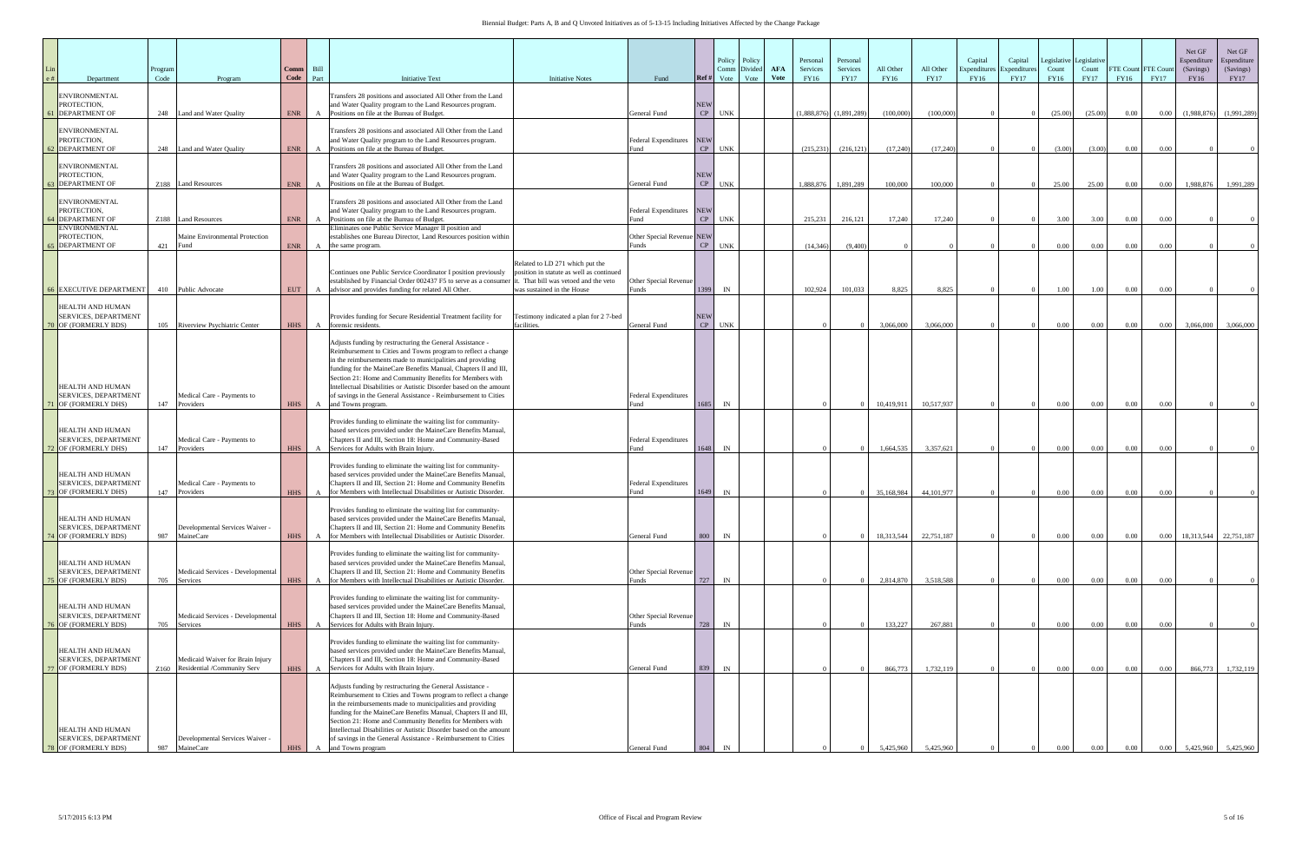| Department                                                              | Program<br>Code | Program                                                              | Comm<br>Code             | Bill<br>Part      | <b>Initiative Text</b><br><b>Initiative Notes</b>                                                                                                                                                                                                                                                                                                                                                                                                                                    | Fund                                            | Ref#             | Comm<br>Vote | Policy Policy<br>Divide<br>Vote | <b>AFA</b><br><b>Vote</b> | Personal<br><b>Services</b><br>FY16 | Personal<br>Services<br><b>FY17</b> | All Other<br>FY16       | All Other<br><b>FY17</b> | Capital<br>Expenditure<br>FY16 | Capital<br>Expenditure<br><b>FY17</b> | Count<br>FY16    | Legislative Legislative<br>Count<br><b>FY17</b> | FTE Count FTE Cour<br>FY16 | <b>FY17</b> | Net GF<br>Espenditure<br>(Savings)<br>FY16 | Net GF<br>Espenditure<br>(Savings)<br><b>FY17</b> |
|-------------------------------------------------------------------------|-----------------|----------------------------------------------------------------------|--------------------------|-------------------|--------------------------------------------------------------------------------------------------------------------------------------------------------------------------------------------------------------------------------------------------------------------------------------------------------------------------------------------------------------------------------------------------------------------------------------------------------------------------------------|-------------------------------------------------|------------------|--------------|---------------------------------|---------------------------|-------------------------------------|-------------------------------------|-------------------------|--------------------------|--------------------------------|---------------------------------------|------------------|-------------------------------------------------|----------------------------|-------------|--------------------------------------------|---------------------------------------------------|
| <b>ENVIRONMENTAL</b><br>PROTECTION,<br><b>61 DEPARTMENT OF</b>          |                 | 248 Land and Water Quality                                           | ENR                      |                   | Transfers 28 positions and associated All Other from the Land<br>and Water Quality program to the Land Resources program.<br>Positions on file at the Bureau of Budget.                                                                                                                                                                                                                                                                                                              | General Fund                                    | <b>NEW</b><br>CP | <b>UNK</b>   |                                 |                           | $(1,888,876)$ $(1,891,289)$         |                                     | (100,000)               | (100,000)                |                                |                                       | (25.00)          | (25.00)                                         | $0.00\,$                   | $0.00\,$    | (1,988,876)                                | (1,991,289)                                       |
| <b>ENVIRONMENTAL</b><br>PROTECTION,<br>2 DEPARTMENT OF                  |                 | 248 Land and Water Ouality                                           | <b>ENR</b>               | $\mathbf{A}$      | Transfers 28 positions and associated All Other from the Land<br>and Water Quality program to the Land Resources program.<br>Positions on file at the Bureau of Budget.                                                                                                                                                                                                                                                                                                              | <b>Federal Expenditures</b><br>und <sup>3</sup> | <b>NEW</b><br>CP | <b>UNK</b>   |                                 |                           | (215, 231)                          | (216, 121)                          | (17,240)                | (17,240)                 |                                |                                       | (3.00)           | (3.00)                                          | 0.00                       | 0.00        |                                            |                                                   |
| <b>ENVIRONMENTAL</b><br>PROTECTION,<br><b>B</b> DEPARTMENT OF           |                 | Z188 Land Resources                                                  | <b>ENR</b>               |                   | Transfers 28 positions and associated All Other from the Land<br>and Water Quality program to the Land Resources program.<br>Positions on file at the Bureau of Budget.                                                                                                                                                                                                                                                                                                              | General Fund                                    | <b>NEW</b><br>CP | <b>UNK</b>   |                                 |                           | 1.888.876                           | 1,891,289                           | 100,000                 | 100.000                  |                                |                                       | 25.00            | 25.00                                           | 0.00                       | $0.00\,$    | 1.988.876                                  | 1,991,289                                         |
| <b>ENVIRONMENTAL</b><br>PROTECTION.<br><b>DEPARTMENT OF</b>             |                 | Z188 Land Resources                                                  | <b>ENR</b>               |                   | Transfers 28 positions and associated All Other from the Land<br>and Water Quality program to the Land Resources program.<br>A Positions on file at the Bureau of Budget.                                                                                                                                                                                                                                                                                                            | Federal Expenditures NEW<br>und                 |                  | $CP$ UNK     |                                 |                           | 215,231                             | 216,121                             | 17,240                  | 17,240                   |                                |                                       | 3.00             | 3.00                                            | 0.00                       | 0.00        |                                            |                                                   |
| <b>ENVIRONMENTAL</b><br>PROTECTION,<br><b>55 DEPARTMENT OF</b>          | 421             | Maine Environmental Protection<br>Fund                               | ENR                      |                   | Eliminates one Public Service Manager II position and<br>establishes one Bureau Director, Land Resources position within<br>A the same program.                                                                                                                                                                                                                                                                                                                                      | Other Special Revenue NEW<br>Funds              |                  | CP UNK       |                                 |                           | (14, 346)                           | (9,400)                             |                         |                          |                                |                                       | $0.00\,$         | $0.00\,$                                        | 0.00                       | 0.00        |                                            |                                                   |
| <b>66 EXECUTIVE DEPARTMENT</b>                                          |                 | 410 Public Advocate                                                  | <b>EUT</b>               | A                 | Related to LD 271 which put the<br>Continues one Public Service Coordinator I position previously<br>position in statute as well as continued<br>established by Financial Order 002437 F5 to serve as a consumer it. That bill was vetoed and the veto<br>advisor and provides funding for related All Other.<br>was sustained in the House                                                                                                                                          | Other Special Revenue<br>Funds                  |                  | 1399 IN      |                                 |                           | 102,924                             | 101,033                             | 8,825                   | 8,825                    |                                |                                       | 1.00             | 1.00                                            | 0.00                       | 0.00        |                                            |                                                   |
| HEALTH AND HUMAN<br>SERVICES, DEPARTMENT<br>OF (FORMERLY BDS)           | 105             | Riverview Psychiatric Center                                         | <b>HHS</b>               |                   | Provides funding for Secure Residential Treatment facility for<br>Testimony indicated a plan for 27-bed<br>forensic residents.<br>facilities.                                                                                                                                                                                                                                                                                                                                        | General Fund                                    | <b>NEW</b><br>CP | <b>UNK</b>   |                                 |                           |                                     |                                     | 3,066,000               | 3.066,000                |                                |                                       | $0.00\,$         | 0.00                                            | 0.00                       | 0.00        | 3,066,000                                  | 3,066,000                                         |
| HEALTH AND HUMAN<br>SERVICES, DEPARTMENT<br>1 OF (FORMERLY DHS)         | 147             | Medical Care - Payments to<br>Providers                              |                          |                   | Adjusts funding by restructuring the General Assistance -<br>Reimbursement to Cities and Towns program to reflect a change<br>in the reimbursements made to municipalities and providing<br>funding for the MaineCare Benefits Manual, Chapters II and III,<br>Section 21: Home and Community Benefits for Members with<br>Intellectual Disabilities or Autistic Disorder based on the amount<br>of savings in the General Assistance - Reimbursement to Cities                      | <b>Federal Expenditures</b><br>Fund             | 1685             | IN           |                                 |                           |                                     |                                     |                         | 10.517.937               |                                |                                       |                  |                                                 |                            | 0.00        |                                            |                                                   |
| <b>HEALTH AND HUMAN</b><br>SERVICES, DEPARTMENT<br>72 OF (FORMERLY DHS) |                 | Medical Care - Payments to<br>147 Providers                          | <b>HHS</b><br><b>HHS</b> | $\mathbf{A}$<br>A | and Towns program.<br>Provides funding to eliminate the waiting list for community-<br>based services provided under the MaineCare Benefits Manual,<br>Chapters II and III, Section 18: Home and Community-Based<br>Services for Adults with Brain Injury.                                                                                                                                                                                                                           | Federal Expenditures<br>Fund                    | 1648             | IN           |                                 |                           |                                     |                                     | 10.419.911<br>1,664,535 | 3,357,621                |                                |                                       | 0.00<br>$0.00\,$ | 0.00<br>$0.00\,$                                | 0.00<br>$0.00\,$           | 0.00        |                                            |                                                   |
| HEALTH AND HUMAN<br>SERVICES, DEPARTMENT<br><b>73 OF (FORMERLY DHS)</b> | 147             | Medical Care - Payments to<br>Providers                              | <b>HHS</b>               |                   | Provides funding to eliminate the waiting list for community-<br>based services provided under the MaineCare Benefits Manual,<br>Chapters II and III, Section 21: Home and Community Benefits<br>for Members with Intellectual Disabilities or Autistic Disorder.                                                                                                                                                                                                                    | <b>Federal Expenditures</b><br>Fund             | 1649             | IN           |                                 |                           |                                     |                                     | 35,168,984              | 44, 101, 977             |                                |                                       | $0.00\,$         | 0.00                                            | 0.00                       | 0.00        |                                            |                                                   |
| HEALTH AND HUMAN<br>SERVICES, DEPARTMENT<br><b>74 OF (FORMERLY BDS)</b> | 987             | Developmental Services Waiver -<br>MaineCare                         | <b>HHS</b>               |                   | Provides funding to eliminate the waiting list for community-<br>based services provided under the MaineCare Benefits Manual,<br>Chapters II and III, Section 21: Home and Community Benefits<br>for Members with Intellectual Disabilities or Autistic Disorder.                                                                                                                                                                                                                    | General Fund                                    |                  | 800 IN       |                                 |                           |                                     |                                     | 18,313,544              | 22,751,187               |                                |                                       | 0.00             | 0.00                                            | $0.00\,$                   | 0.00        | 18,313,544 22,751,187                      |                                                   |
| HEALTH AND HUMAN<br>SERVICES, DEPARTMENT<br><b>75 OF (FORMERLY BDS)</b> | 705             | Medicaid Services - Developmental<br>Services                        | <b>HHS</b>               | $\mathbf{A}$      | Provides funding to eliminate the waiting list for community-<br>based services provided under the MaineCare Benefits Manual,<br>Chapters II and III, Section 21: Home and Community Benefits<br>for Members with Intellectual Disabilities or Autistic Disorder.                                                                                                                                                                                                                    | Other Special Revenue<br>Funds                  | 727              | $\mathbb{N}$ |                                 |                           |                                     |                                     | 2,814,870               | 3.518.588                |                                |                                       | 0.00             | $0.00\,$                                        | 0.00                       | 0.00        |                                            |                                                   |
| HEALTH AND HUMAN<br>SERVICES, DEPARTMENT<br><b>76 OF (FORMERLY BDS)</b> | 705             | Medicaid Services - Developmental<br><b>Services</b>                 | <b>HHS</b>               |                   | Provides funding to eliminate the waiting list for community-<br>based services provided under the MaineCare Benefits Manual,<br>Chapters II and III, Section 18: Home and Community-Based<br>Services for Adults with Brain Injury.                                                                                                                                                                                                                                                 | Other Special Revenue<br>Funds                  | 728              | IN           |                                 |                           |                                     |                                     | 133,227                 | 267,881                  |                                |                                       | $0.00\,$         | $0.00\,$                                        |                            | $0.00\,$    |                                            |                                                   |
| HEALTH AND HUMAN<br>SERVICES, DEPARTMENT<br>77 OF (FORMERLY BDS)        |                 | Medicaid Waiver for Brain Injury<br>Z160 Residential /Community Serv | <b>HHS</b>               | A<br>A            | Provides funding to eliminate the waiting list for community-<br>based services provided under the MaineCare Benefits Manual,<br>Chapters II and III, Section 18: Home and Community-Based<br>Services for Adults with Brain Injury.                                                                                                                                                                                                                                                 | General Fund                                    | 839              | $\mathbb{N}$ |                                 |                           |                                     |                                     | 866,773                 | 1,732,119                |                                |                                       | $0.00\,$         | 0.00                                            | $0.00\,$<br>$0.00\,$       | $0.00\,$    | 866,773                                    | 1,732,119                                         |
| HEALTH AND HUMAN<br>SERVICES, DEPARTMENT<br>8 OF (FORMERLY BDS)         | 987             | Developmental Services Waiver -<br>MaineCare                         |                          |                   | Adjusts funding by restructuring the General Assistance -<br>Reimbursement to Cities and Towns program to reflect a change<br>in the reimbursements made to municipalities and providing<br>funding for the MaineCare Benefits Manual, Chapters II and III,<br>Section 21: Home and Community Benefits for Members with<br>Intellectual Disabilities or Autistic Disorder based on the amount<br>of savings in the General Assistance - Reimbursement to Cities<br>and Towns program | General Fund                                    |                  |              |                                 |                           |                                     |                                     | 5,425,960               | 5.425,960                |                                |                                       |                  |                                                 |                            |             | 5.425.960                                  | 5.425.960                                         |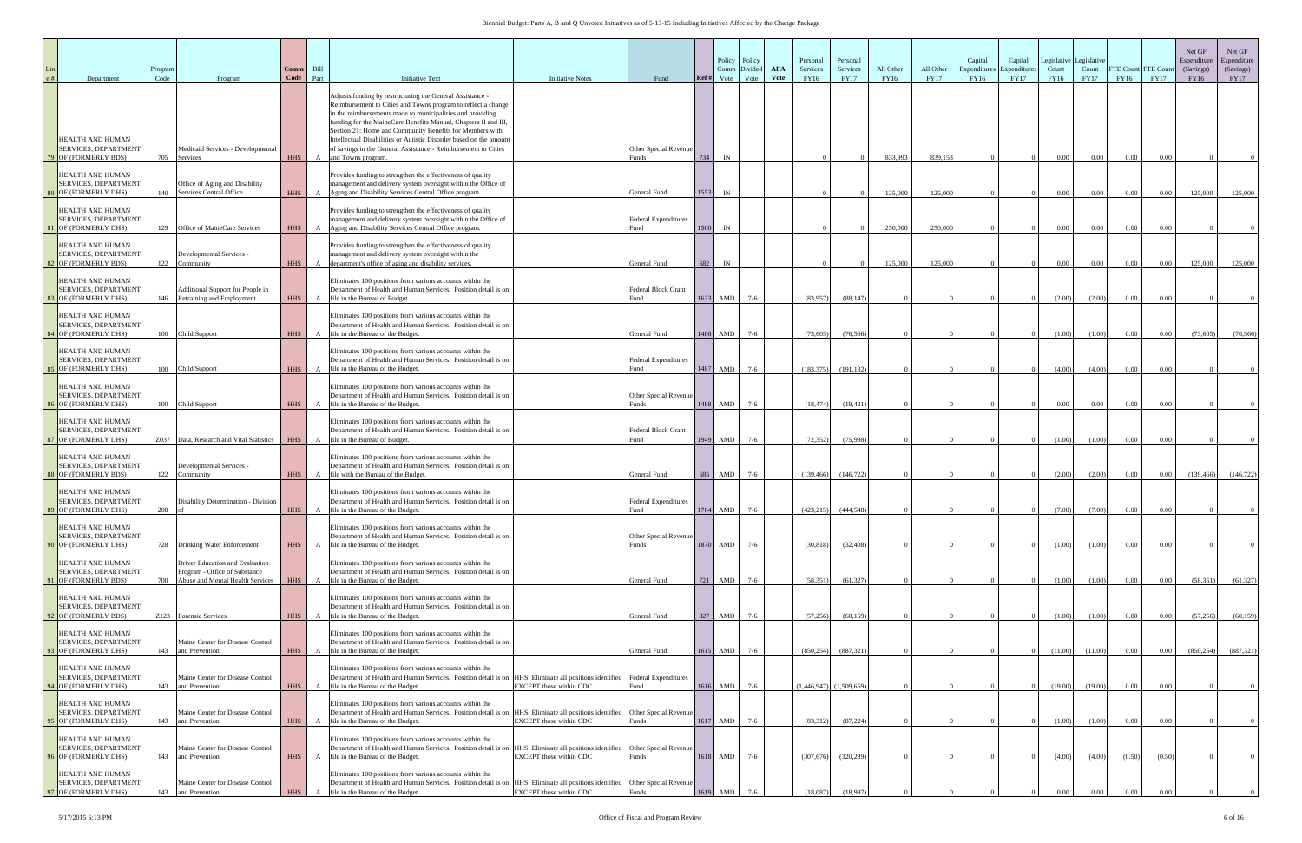| Department                                                              | Program<br>Code | Program                                                                                              | Comm<br>Code | Bill<br>Part | <b>Initiative Text</b>                                                                                                                                                                                                                                                                                                                                                                                                                                                                | <b>Initiative Notes</b>        | Fund                                       | Policy Policy<br>Divided<br>Comm<br>Vote<br>Ref #<br>Vote | <b>AFA</b><br>Vote | Personal<br>Services<br>FY16 | Personal<br>Services<br><b>FY17</b> | All Other<br>FY16 | All Other<br><b>FY17</b> | Capital<br>Expenditur<br>FY16 | Capital<br>Expenditure<br><b>FY17</b> | Legislative<br>Count<br>FY16 | Legislativ<br>Count<br><b>FY17</b> | FTE Count FTE Coun<br>FY16 | <b>FY17</b> | Net GF<br>Espenditure<br>(Savings)<br>FY16 | Net GF<br>Espenditure<br>(Savings)<br><b>FY17</b> |
|-------------------------------------------------------------------------|-----------------|------------------------------------------------------------------------------------------------------|--------------|--------------|---------------------------------------------------------------------------------------------------------------------------------------------------------------------------------------------------------------------------------------------------------------------------------------------------------------------------------------------------------------------------------------------------------------------------------------------------------------------------------------|--------------------------------|--------------------------------------------|-----------------------------------------------------------|--------------------|------------------------------|-------------------------------------|-------------------|--------------------------|-------------------------------|---------------------------------------|------------------------------|------------------------------------|----------------------------|-------------|--------------------------------------------|---------------------------------------------------|
| HEALTH AND HUMAN<br>SERVICES, DEPARTMENT<br>79 OF (FORMERLY BDS)        | 705             | Medicaid Services - Developmental<br>Services                                                        | <b>HHS</b>   | $\mathbf{A}$ | Adjusts funding by restructuring the General Assistance -<br>Reimbursement to Cities and Towns program to reflect a change<br>in the reimbursements made to municipalities and providing<br>funding for the MaineCare Benefits Manual, Chapters II and III,<br>Section 21: Home and Community Benefits for Members with<br>Intellectual Disabilities or Autistic Disorder based on the amount<br>of savings in the General Assistance - Reimbursement to Cities<br>and Towns program. |                                | Other Special Revenue<br>Funds             | 734<br>$\ensuremath{\text{IN}}$                           |                    |                              |                                     | 833.993           | 839,153                  |                               |                                       | $0.00\,$                     | $0.00\,$                           | 0.00                       | 0.00        |                                            |                                                   |
| HEALTH AND HUMAN<br>SERVICES, DEPARTMENT<br>80 OF (FORMERLY DHS)        | 140             | Office of Aging and Disability<br>Services Central Office                                            | <b>HHS</b>   | $\mathbf{A}$ | Provides funding to strengthen the effectiveness of quality<br>management and delivery system oversight within the Office of<br>Aging and Disability Services Central Office program.                                                                                                                                                                                                                                                                                                 |                                | General Fund                               | 1553<br>IN                                                |                    |                              |                                     | 125,000           | 125,000                  |                               |                                       | $0.00\,$                     | $0.00\,$                           | 0.00                       | $0.00\,$    | 125,000                                    | 125,000                                           |
| HEALTH AND HUMAN<br>SERVICES, DEPARTMENT<br><b>1 OF (FORMERLY DHS)</b>  | 129             | Office of MaineCare Services                                                                         | <b>HHS</b>   | $\mathbf{A}$ | Provides funding to strengthen the effectiveness of quality<br>management and delivery system oversight within the Office of<br>Aging and Disability Services Central Office program.                                                                                                                                                                                                                                                                                                 |                                | Federal Expenditures<br>Fund               | 1500<br>IN                                                |                    |                              |                                     | 250,000           | 250,000                  |                               |                                       | $0.00\,$                     | $0.00\,$                           | 0.00                       | 0.00        |                                            |                                                   |
| HEALTH AND HUMAN<br>SERVICES, DEPARTMENT<br>82 OF (FORMERLY BDS)        | 122             | Developmental Services -<br>Community                                                                | <b>HHS</b>   | $\mathbf{A}$ | Provides funding to strengthen the effectiveness of quality<br>management and delivery system oversight within the<br>department's office of aging and disability services.                                                                                                                                                                                                                                                                                                           |                                | General Fund                               | 682<br>IN                                                 |                    |                              |                                     | 125,000           | 125,000                  |                               |                                       | $0.00\,$                     | $0.00\,$                           | 0.00                       | $0.00\,$    | 125,000                                    | 125,000                                           |
| HEALTH AND HUMAN<br>SERVICES, DEPARTMENT<br><b>3 OF (FORMERLY DHS)</b>  | 146             | Additional Support for People in<br>Retraining and Employment                                        | <b>HHS</b>   | $\mathbf{A}$ | Eliminates 100 positions from various accounts within the<br>Department of Health and Human Services. Position detail is on<br>file in the Bureau of Budget.                                                                                                                                                                                                                                                                                                                          |                                | Federal Block Grant<br>Fund                | 1633<br>AMD<br>$7-6$                                      |                    | (83,957)                     | (88, 147)                           |                   |                          |                               |                                       | (2.00)                       | (2.00)                             | 0.00                       | 0.00        |                                            |                                                   |
| HEALTH AND HUMAN<br>SERVICES, DEPARTMENT<br>84 OF (FORMERLY DHS)        | 100             | Child Support                                                                                        | <b>HHS</b>   | A            | Eliminates 100 positions from various accounts within the<br>Department of Health and Human Services. Position detail is on<br>file in the Bureau of the Budget.                                                                                                                                                                                                                                                                                                                      |                                | General Fund                               | $7-6$<br>1486<br>AMD                                      |                    | (73,605)                     | (76, 566)                           |                   |                          |                               |                                       | (1.00)                       | (1.00)                             | 0.00                       | $0.00\,$    | (73,605)                                   | (76, 566)                                         |
| HEALTH AND HUMAN<br>SERVICES, DEPARTMENT<br>OF (FORMERLY DHS)           | 100             | Child Support                                                                                        | <b>HHS</b>   | $\mathbf{A}$ | Eliminates 100 positions from various accounts within the<br>Department of Health and Human Services. Position detail is on<br>file in the Bureau of the Budget.                                                                                                                                                                                                                                                                                                                      |                                | <b>Federal Expenditures</b><br>Fund        | $7-6$<br>1487<br>AMD                                      |                    | (183, 375)                   | (191, 132)                          |                   |                          |                               |                                       | (4.00)                       | (4.00)                             | 0.00                       | 0.00        |                                            |                                                   |
| HEALTH AND HUMAN<br>SERVICES, DEPARTMENT<br>86 OF (FORMERLY DHS)        | 100             | Child Support                                                                                        | <b>HHS</b>   | A            | Eliminates 100 positions from various accounts within the<br>Department of Health and Human Services. Position detail is on<br>file in the Bureau of the Budget.                                                                                                                                                                                                                                                                                                                      |                                | Other Special Revenue<br><sup>3</sup> unds | 1488<br>AMD<br>$7-6$                                      |                    | (18, 474)                    | (19, 421)                           |                   |                          |                               |                                       | $0.00\,$                     | $0.00\,$                           | 0.00                       | 0.00        |                                            |                                                   |
| HEALTH AND HUMAN<br>SERVICES, DEPARTMENT<br>87 OF (FORMERLY DHS)        | Z037            | Data, Research and Vital Statistics                                                                  | <b>HHS</b>   | $\mathbf{A}$ | Eliminates 100 positions from various accounts within the<br>Department of Health and Human Services. Position detail is on<br>file in the Bureau of Budget.                                                                                                                                                                                                                                                                                                                          |                                | Federal Block Grant<br>Fund                | AMD<br>$7-6$<br>1949                                      |                    | (72, 352)                    | (75,998)                            |                   |                          |                               |                                       | (1.00)                       | (1.00)                             | 0.00                       | 0.00        |                                            |                                                   |
| HEALTH AND HUMAN<br>SERVICES, DEPARTMENT<br>88 OF (FORMERLY BDS)        | 122             | Developmental Services -<br>Community                                                                | <b>HHS</b>   | $\mathbf{A}$ | Eliminates 100 positions from various accounts within the<br>Department of Health and Human Services. Position detail is on<br>file with the Bureau of the Budget.                                                                                                                                                                                                                                                                                                                    |                                | General Fund                               | 685<br><b>AMD</b><br>$7-6$                                |                    | (139, 466)                   | (146, 722)                          |                   |                          |                               |                                       | (2.00)                       | (2.00)                             | 0.00                       | $0.00\,$    | (139, 466)                                 | (146, 722)                                        |
| HEALTH AND HUMAN<br>SERVICES, DEPARTMENT<br>89 OF (FORMERLY DHS)        | 208             | Disability Determination - Division                                                                  | <b>HHS</b>   | $\mathbf{A}$ | Eliminates 100 positions from various accounts within the<br>Department of Health and Human Services. Position detail is on<br>file in the Bureau of the Budget.                                                                                                                                                                                                                                                                                                                      |                                | <b>Federal Expenditures</b><br>Fund        | 1764<br><b>AMD</b><br>$7-6$                               |                    | (423, 215)                   | (444, 548)                          | $\Omega$          |                          | $\Omega$                      | $\overline{0}$                        | (7.00)                       | (7.00)                             | 0.00                       | 0.00        | $\Omega$                                   |                                                   |
| HEALTH AND HUMAN<br><b>SERVICES, DEPARTMENT</b><br>90 OF (FORMERLY DHS) |                 | 728 Drinking Water Enforcement                                                                       | <b>HHS</b>   | A            | Eliminates 100 positions from various accounts within the<br>Department of Health and Human Services. Position detail is on<br>file in the Bureau of the Budget.                                                                                                                                                                                                                                                                                                                      |                                | Other Special Revenue<br>Funds             | 1870<br>AMD<br>$7-6$                                      |                    | (30, 818)                    | (32, 408)                           |                   |                          |                               |                                       | (1.00)                       | (1.00)                             | 0.00                       | $0.00\,$    |                                            |                                                   |
| HEALTH AND HUMAN<br>SERVICES, DEPARTMENT<br>1 OF (FORMERLY BDS)         | 700             | Driver Education and Evaluation<br>Program - Office of Substance<br>Abuse and Mental Health Services | <b>HHS</b>   | $\mathbf{A}$ | Eliminates 100 positions from various accounts within the<br>Department of Health and Human Services. Position detail is on<br>file in the Bureau of the Budget.                                                                                                                                                                                                                                                                                                                      |                                | General Fund                               | AMD<br>721<br>$7-6$                                       |                    | (58, 351)                    | (61, 327)                           |                   |                          |                               |                                       | (1.00)                       | (1.00)                             | 0.00                       | 0.00        | (58, 351)                                  | (61, 327)                                         |
| HEALTH AND HUMAN<br>SERVICES, DEPARTMENT<br>92 OF (FORMERLY BDS)        |                 | Z123 Forensic Services                                                                               | <b>HHS</b>   |              | Eliminates 100 positions from various accounts within the<br>Department of Health and Human Services. Position detail is on<br>A file in the Bureau of the Budget.                                                                                                                                                                                                                                                                                                                    |                                | General Fund                               | 827 AMD<br>$7-6$                                          |                    | (57,256)                     | (60, 159)                           |                   |                          |                               |                                       | (1.00)                       | (1.00)                             | $0.00\,$                   | $0.00\,$    | (57, 256)                                  | (60, 159)                                         |
| HEALTH AND HUMAN<br>SERVICES, DEPARTMENT<br>93 OF (FORMERLY DHS)        |                 | Maine Center for Disease Control<br>143 and Prevention                                               | <b>HHS</b>   | A            | Eliminates 100 positions from various accounts within the<br>Department of Health and Human Services. Position detail is on<br>file in the Bureau of the Budget.                                                                                                                                                                                                                                                                                                                      |                                | General Fund                               | $1615$ AMD<br>$7-6$                                       |                    | (850, 254)                   | (887, 321)                          |                   |                          |                               |                                       | (11.00)                      | (11.00)                            | $0.00\,$                   | 0.00        | (850, 254)                                 | (887, 321)                                        |
| HEALTH AND HUMAN<br>SERVICES, DEPARTMENT<br>94 OF (FORMERLY DHS)        | 143             | Maine Center for Disease Control<br>and Prevention                                                   | <b>HHS</b>   | $\mathbf{A}$ | Eliminates 100 positions from various accounts within the<br>Department of Health and Human Services. Position detail is on HHS: Eliminate all positions identified Federal Expenditures<br>file in the Bureau of the Budget.                                                                                                                                                                                                                                                         | EXCEPT those within CDC        | ≀und                                       | 1616<br>AMD<br>$7-6$                                      |                    |                              | $(1,446,947)$ $(1,509,659)$         |                   |                          |                               |                                       | (19.00)                      | (19.00)                            | 0.00                       | 0.00        |                                            |                                                   |
| HEALTH AND HUMAN<br>SERVICES, DEPARTMENT<br>95 OF (FORMERLY DHS)        | 143             | Maine Center for Disease Control<br>and Prevention                                                   | <b>HHS</b>   |              | Eliminates 100 positions from various accounts within the<br>Department of Health and Human Services. Position detail is on HHS: Eliminate all positions identified Other Special Revenue<br>A file in the Bureau of the Budget.                                                                                                                                                                                                                                                      | <b>EXCEPT</b> those within CDC | Funds                                      | 1617<br>AMD<br>$7-6$                                      |                    | (83,312)                     | (87, 224)                           |                   |                          |                               |                                       | (1.00)                       | (1.00)                             | 0.00                       | $0.00\,$    |                                            |                                                   |
| HEALTH AND HUMAN<br>SERVICES, DEPARTMENT<br>96 OF (FORMERLY DHS)        | 143             | Maine Center for Disease Control<br>and Prevention                                                   |              |              | Eliminates 100 positions from various accounts within the<br>Department of Health and Human Services. Position detail is on HHS: Eliminate all positions identified Other Special Revenue<br>HHS A file in the Bureau of the Budget.                                                                                                                                                                                                                                                  | EXCEPT those within CDC        | Funds                                      | 1618 AMD<br>$7-6$                                         |                    | (307,676)                    | (320, 239)                          |                   |                          |                               |                                       | (4.00)                       | (4.00)                             | (0.50)                     | (0.50)      |                                            |                                                   |
| HEALTH AND HUMAN<br>SERVICES, DEPARTMENT<br>97 OF (FORMERLY DHS)        | 143             | Maine Center for Disease Control<br>and Prevention                                                   | <b>HHS</b>   | $\mathbf{A}$ | Eliminates 100 positions from various accounts within the<br>Department of Health and Human Services. Position detail is on HHS: Eliminate all positions identified Other Special Revenue<br>file in the Bureau of the Budget.                                                                                                                                                                                                                                                        | <b>EXCEPT</b> those within CDC | Funds                                      | 1619<br>AMD                                               |                    | (18,087)                     | (18.997                             |                   |                          |                               |                                       | 0.00                         | 0.00                               | 0.00                       |             |                                            |                                                   |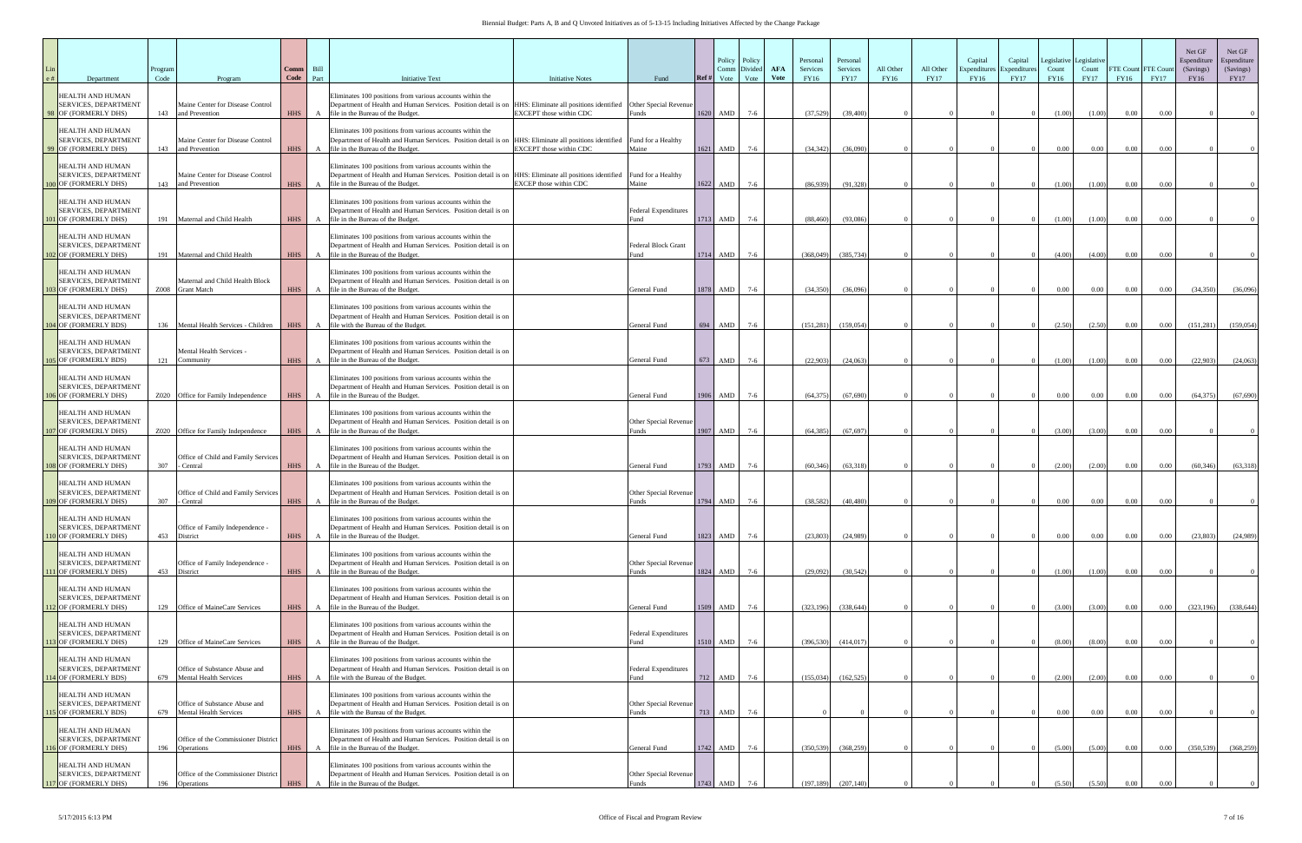## Biennial Budget: Parts A, B and Q Unvoted Initiatives as of 5-13-15 Including Initiatives Affected by the Change Package

| Department                                                                     | Program<br>Code | Program                                                        | <b>Comm</b><br>Code | Bill<br>Part | <b>Initiative Text</b>                                                                                                                                                                                                               | <b>Initiative Notes</b>        | Fund                                | Ref# | Policy Policy<br>Divided<br>Comm<br>Vote<br>Vote | <b>AFA</b><br>Vote | Personal<br>Services<br><b>FY16</b> | Personal<br>Services<br><b>FY17</b> | All Other<br><b>FY16</b> | All Other<br><b>FY17</b> | Capital<br>Expenditur<br>FY16 | Capital<br>Expenditure<br><b>FY17</b> | Legislative<br>Count<br>FY16 | Legislative<br>Count<br><b>FY17</b> | <b>FY16</b> | FTE Count FTE Coun<br><b>FY17</b> | Net GF<br>Espenditure<br>(Savings)<br>FY16 | Net GF<br>Espenditure<br>(Savings)<br><b>FY17</b> |
|--------------------------------------------------------------------------------|-----------------|----------------------------------------------------------------|---------------------|--------------|--------------------------------------------------------------------------------------------------------------------------------------------------------------------------------------------------------------------------------------|--------------------------------|-------------------------------------|------|--------------------------------------------------|--------------------|-------------------------------------|-------------------------------------|--------------------------|--------------------------|-------------------------------|---------------------------------------|------------------------------|-------------------------------------|-------------|-----------------------------------|--------------------------------------------|---------------------------------------------------|
| HEALTH AND HUMAN<br><b>SERVICES, DEPARTMENT</b><br>98 OF (FORMERLY DHS)        | 143             | Maine Center for Disease Control<br>and Prevention             |                     |              | Eliminates 100 positions from various accounts within the<br>Department of Health and Human Services. Position detail is on HHS: Eliminate all positions identified Other Special Revenue<br>HHS A file in the Bureau of the Budget. | <b>EXCEPT</b> those within CDC | unds <sup>?</sup>                   |      | $1620$ AMD<br>$7-6$                              |                    | (37,529)                            | (39,400)                            |                          |                          |                               |                                       | (1.00)                       | (1.00)                              | 0.00        | 0.00                              |                                            |                                                   |
| HEALTH AND HUMAN<br><b>SERVICES, DEPARTMENT</b><br>99 OF (FORMERLY DHS)        | 143             | Maine Center for Disease Control<br>and Prevention             | <b>HHS</b>          |              | Eliminates 100 positions from various accounts within the<br>Department of Health and Human Services. Position detail is on HHS: Eliminate all positions identified Fund for a Healthy<br>A file in the Bureau of the Budget.        | EXCEPT those within CDC        | Maine                               |      | 1621 AMD<br>$7-6$                                |                    | (34, 342)                           | (36,090)                            |                          |                          |                               |                                       | 0.00                         | 0.00                                | 0.00        | 0.00                              |                                            |                                                   |
| HEALTH AND HUMAN<br><b>SERVICES, DEPARTMENT</b><br>100 OF (FORMERLY DHS)       | 143             | Maine Center for Disease Control<br>and Prevention             | <b>HHS</b>          |              | Eliminates 100 positions from various accounts within the<br>Department of Health and Human Services. Position detail is on HHS: Eliminate all positions identified<br>A file in the Bureau of the Budget.                           | EXCEP those within CDC         | Fund for a Healthy<br>Maine         |      | 1622 AMD<br>$7-6$                                |                    | (86.939)                            | (91.328)                            |                          |                          |                               |                                       | (1.00)                       | (1.00)                              | 0.00        | 0.00                              |                                            |                                                   |
| HEALTH AND HUMAN<br><b>SERVICES, DEPARTMENT</b><br>01 OF (FORMERLY DHS)        |                 | 191 Maternal and Child Health                                  |                     |              | Eliminates 100 positions from various accounts within the<br>Department of Health and Human Services. Position detail is on<br>HHS A file in the Bureau of the Budget.                                                               |                                | <b>Federal Expenditures</b>         |      | $1713$ AMD<br>$7-6$                              |                    | (88, 460)                           | (93,086)                            |                          |                          |                               |                                       | (1.00)                       | (1.00)                              | 0.00        | 0.00                              |                                            |                                                   |
| HEALTH AND HUMAN<br><b>SERVICES, DEPARTMENT</b><br>02 OF (FORMERLY DHS)        | 191             | Maternal and Child Health                                      |                     |              | Eliminates 100 positions from various accounts within the<br>Department of Health and Human Services. Position detail is on<br>HHS A file in the Bureau of the Budget.                                                               |                                | Federal Block Grant<br>Fund         |      | 1714 AMD<br>$7-6$                                |                    | (368.049)                           | (385, 734)                          |                          |                          |                               |                                       | (4.00)                       | (4.00)                              | 0.00        | 0.00                              |                                            |                                                   |
| HEALTH AND HUMAN<br><b>SERVICES, DEPARTMENT</b><br>03 OF (FORMERLY DHS)        |                 | Maternal and Child Health Block<br>Z008 Grant Match            |                     |              | Eliminates 100 positions from various accounts within the<br>Department of Health and Human Services. Position detail is on<br>HHS A file in the Bureau of the Budget.                                                               |                                | General Fund                        |      | $1878$ AMD<br>$7-6$                              |                    | (34,350)                            | (36,096)                            |                          |                          |                               |                                       | 0.00                         | 0.00                                | $0.00\,$    | 0.00                              | (34,350)                                   | (36,096)                                          |
| HEALTH AND HUMAN<br><b>SERVICES, DEPARTMENT</b><br>104 OF (FORMERLY BDS)       |                 | 136 Mental Health Services - Children                          | <b>HHS</b>          | A            | Eliminates 100 positions from various accounts within the<br>Department of Health and Human Services. Position detail is on<br>file with the Bureau of the Budget.                                                                   |                                | General Fund                        |      | 694 AMD<br>$7-6$                                 |                    | (151, 281)                          | (159, 054)                          |                          |                          |                               |                                       | (2.50)                       | (2.50)                              | $0.00\,$    | $0.00\,$                          | (151, 281)                                 | (159, 054)                                        |
| HEALTH AND HUMAN<br><b>SERVICES, DEPARTMENT</b><br>105 OF (FORMERLY BDS)       | 121             | Mental Health Services -<br>Community                          | <b>HHS</b>          |              | Eliminates 100 positions from various accounts within the<br>Department of Health and Human Services. Position detail is on<br>A file in the Bureau of the Budget.                                                                   |                                | General Fund                        |      | $673$ AMD<br>$7-6$                               |                    | (22,903)                            | (24,063)                            |                          |                          |                               |                                       | (1.00)                       | (1.00)                              | $0.00\,$    | 0.00                              | (22,903)                                   | (24,063)                                          |
| HEALTH AND HUMAN<br><b>SERVICES, DEPARTMENT</b><br>106 OF (FORMERLY DHS)       |                 | Z020 Office for Family Independence                            | <b>HHS</b>          | A            | Eliminates 100 positions from various accounts within the<br>Department of Health and Human Services. Position detail is on<br>file in the Bureau of the Budget.                                                                     |                                | General Fund                        |      | 1906 AMD<br>$7-6$                                |                    | (64, 375)                           | (67,690)                            |                          |                          |                               |                                       | 0.00                         | $0.00\,$                            | 0.00        | 0.00                              | (64, 375)                                  | (67, 690)                                         |
| HEALTH AND HUMAN<br><b>SERVICES, DEPARTMENT</b><br>107 OF (FORMERLY DHS)       |                 | Z020 Office for Family Independence                            |                     |              | Eliminates 100 positions from various accounts within the<br>Department of Health and Human Services. Position detail is on<br>HHS A file in the Bureau of the Budget.                                                               |                                | Other Special Revenue<br>Funds      |      | 1907 AMD<br>$7-6$                                |                    | (64, 385)                           | (67, 697)                           |                          |                          |                               |                                       | (3.00)                       | (3.00)                              | $0.00\,$    | 0.00                              |                                            |                                                   |
| HEALTH AND HUMAN<br><b>SERVICES, DEPARTMENT</b><br><b>08 OF (FORMERLY DHS)</b> | 307             | Office of Child and Family Services<br>Central                 | <b>HHS</b>          | $\mathbf{A}$ | Eliminates 100 positions from various accounts within the<br>Department of Health and Human Services. Position detail is on<br>file in the Bureau of the Budget.                                                                     |                                | General Fund                        |      | $1793$ AMD<br>$7-6$                              |                    | (60, 346)                           | (63,318)                            |                          |                          |                               |                                       | (2.00)                       | (2.00)                              | 0.00        | 0.00                              | (60, 346)                                  | (63,318)                                          |
| HEALTH AND HUMAN<br><b>SERVICES, DEPARTMENT</b><br>109 OF (FORMERLY DHS)       | 307             | Office of Child and Family Services<br>Central                 | <b>HHS</b>          | A            | Eliminates 100 positions from various accounts within the<br>Department of Health and Human Services. Position detail is on<br>file in the Bureau of the Budget.                                                                     |                                | Other Special Revenue<br>Funds      |      | 1794 AMD<br>$7-6$                                |                    | (38, 582)                           | (40, 480)                           |                          |                          |                               |                                       | $0.00\,$                     | $0.00\,$                            | 0.00        | 0.00                              |                                            |                                                   |
| HEALTH AND HUMAN<br>SERVICES, DEPARTMENT<br>O OF (FORMERLY DHS)                | 453             | Office of Family Independence -<br>District                    | <b>HHS</b>          | A            | Eliminates 100 positions from various accounts within the<br>Department of Health and Human Services. Position detail is on<br>file in the Bureau of the Budget.                                                                     |                                | General Fund                        |      | 1823 AMD<br>$7-6$                                |                    | (23, 803)                           | (24,989)                            |                          |                          |                               |                                       | $0.00\,$                     | $0.00\,$                            | $0.00\,$    | 0.00                              | (23,803)                                   | (24,989)                                          |
| HEALTH AND HUMAN<br>SERVICES, DEPARTMENT<br>111 OF (FORMERLY DHS)              | 453             | Office of Family Independence -<br>District                    | <b>HHS</b>          |              | Eliminates 100 positions from various accounts within the<br>Department of Health and Human Services. Position detail is on<br>A file in the Bureau of the Budget.                                                                   |                                | Other Special Revenue<br>Funds      |      | $1824$ AMD<br>$7-6$                              |                    | (29,092)                            | (30,542)                            |                          |                          |                               |                                       | (1.00)                       | (1.00)                              | 0.00        | 0.00                              |                                            |                                                   |
| HEALTH AND HUMAN<br>SERVICES, DEPARTMENT<br>12 OF (FORMERLY DHS)               | 129             | Office of MaineCare Services                                   | HHS                 |              | Eliminates 100 positions from various accounts within the<br>Department of Health and Human Services. Position detail is on<br>A file in the Bureau of the Budget.                                                                   |                                | General Fund                        |      | 1509 AMD<br>$7-6$                                |                    | (323, 196)                          | (338, 644)                          |                          |                          |                               |                                       | (3.00)                       | (3.00)                              | 0.00        | $0.00\,$                          | (323, 196)                                 | (338, 644)                                        |
| HEALTH AND HUMAN<br>SERVICES, DEPARTMENT<br>13 OF (FORMERLY DHS)               |                 | 129 Office of MaineCare Services                               | <b>HHS</b>          |              | Eliminates 100 positions from various accounts within the<br>Department of Health and Human Services. Position detail is on<br>A file in the Bureau of the Budget.                                                                   |                                | <b>Federal Expenditures</b>         |      | $1510$ AMD<br>$7-6$                              |                    | (396, 530)                          | (414, 017)                          |                          |                          |                               |                                       | (8.00)                       | (8.00)                              | 0.00        | 0.00                              |                                            |                                                   |
| HEALTH AND HUMAN<br>SERVICES, DEPARTMENT<br>14 OF (FORMERLY BDS)               | 679             | Office of Substance Abuse and<br><b>Mental Health Services</b> | <b>HHS</b>          | A            | Eliminates 100 positions from various accounts within the<br>Department of Health and Human Services. Position detail is on<br>file with the Bureau of the Budget.                                                                   |                                | <b>Federal Expenditures</b><br>Fund |      | 712 AMD<br>$7-6$                                 |                    | (155,034)                           | (162, 525)                          |                          |                          |                               |                                       | (2.00)                       | (2.00)                              | 0.00        | 0.00                              |                                            |                                                   |
| HEALTH AND HUMAN<br>SERVICES, DEPARTMENT<br>115 OF (FORMERLY BDS)              | 679             | Office of Substance Abuse and<br><b>Mental Health Services</b> | <b>HHS</b>          |              | Eliminates 100 positions from various accounts within the<br>Department of Health and Human Services. Position detail is on<br>A file with the Bureau of the Budget.                                                                 |                                | Other Special Revenue<br>Funds      |      | $713$ AMD<br>$7-6$                               |                    |                                     |                                     |                          |                          |                               |                                       | $0.00\,$                     | $0.00\,$                            | 0.00        | $0.00\,$                          |                                            |                                                   |
| HEALTH AND HUMAN<br>SERVICES, DEPARTMENT<br>16 OF (FORMERLY DHS)               | 196             | Office of the Commissioner District<br>Operations              | <b>HHS</b>          |              | Eliminates 100 positions from various accounts within the<br>Department of Health and Human Services. Position detail is on<br>A file in the Bureau of the Budget.                                                                   |                                | General Fund                        |      | $1742$ AMD<br>$7-6$                              |                    | (350, 539)                          | (368, 259)                          |                          |                          |                               |                                       | (5.00)                       | (5.00)                              | 0.00        | $0.00\,$                          | (350, 539)                                 | (368, 259)                                        |
| HEALTH AND HUMAN<br>SERVICES, DEPARTMENT<br>117 OF (FORMERLY DHS)              | 196             | Office of the Commissioner District<br>Operations              | <b>HHS</b>          | $\mathbf{A}$ | Eliminates 100 positions from various accounts within the<br>Department of Health and Human Services. Position detail is on<br>file in the Bureau of the Budget.                                                                     |                                | Other Special Revenue<br>Funds      |      | 1743 AMD<br>$7-6$                                |                    | (197, 189)                          | (207, 140)                          |                          |                          |                               |                                       | (5.50)                       | (5,50)                              | 0.00        |                                   |                                            |                                                   |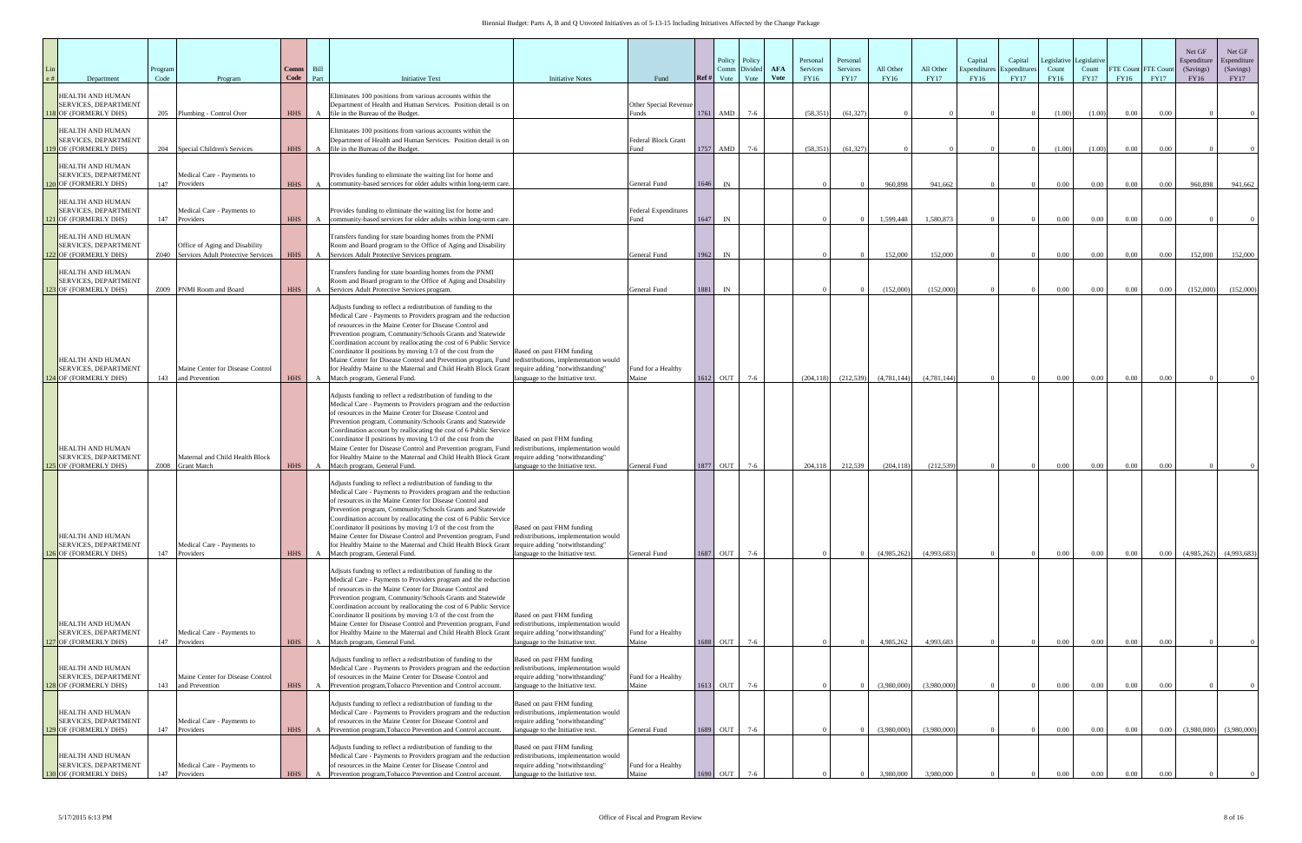| Department                                                                      | Program<br>Code | Program                                                              | Comm<br>Code | Bill<br>Part | <b>Initiative Text</b>                                                                                                                                                                                                                                                                                                                                                                                                                                                                                                                                                                                                                    | <b>Initiative Notes</b>                                                                           | Fund                                       | Policy Policy<br>Divided<br>Comm<br>Vote<br>Ref#<br>Vote | <b>AFA</b><br>Vote | Personal<br>Services<br><b>FY16</b> | Personal<br>Services<br><b>FY17</b> | All Other<br>FY16 | All Other<br><b>FY17</b> | Capital<br>Expenditur<br>FY16 | Capital<br>Count<br>Expenditure<br><b>FY17</b> | egislative<br>FY16 | Legislative<br>Count<br><b>FY17</b> | FTE Count FTE Cour<br><b>FY16</b> | <b>FY17</b>       | Net GF<br>Espenditure<br>(Savings)<br>FY16 | Net GF<br>Espenditure<br>(Savings)<br><b>FY17</b> |
|---------------------------------------------------------------------------------|-----------------|----------------------------------------------------------------------|--------------|--------------|-------------------------------------------------------------------------------------------------------------------------------------------------------------------------------------------------------------------------------------------------------------------------------------------------------------------------------------------------------------------------------------------------------------------------------------------------------------------------------------------------------------------------------------------------------------------------------------------------------------------------------------------|---------------------------------------------------------------------------------------------------|--------------------------------------------|----------------------------------------------------------|--------------------|-------------------------------------|-------------------------------------|-------------------|--------------------------|-------------------------------|------------------------------------------------|--------------------|-------------------------------------|-----------------------------------|-------------------|--------------------------------------------|---------------------------------------------------|
| <b>HEALTH AND HUMAN</b><br><b>SERVICES, DEPARTMENT</b><br>118 OF (FORMERLY DHS) | 205             | Plumbing - Control Over                                              | <b>HHS</b>   | A            | Eliminates 100 positions from various accounts within the<br>Department of Health and Human Services. Position detail is on<br>file in the Bureau of the Budget.                                                                                                                                                                                                                                                                                                                                                                                                                                                                          |                                                                                                   | Other Special Revenue<br>unds <sup>?</sup> | 1761<br>AMD<br>$7-6$                                     |                    | (58, 351)                           | (61, 327)                           |                   |                          |                               |                                                | (1.00)             | (1.00)                              | 0.00                              | 0.00              |                                            |                                                   |
| HEALTH AND HUMAN<br>SERVICES, DEPARTMENT<br>119 OF (FORMERLY DHS)               |                 | 204 Special Children's Services                                      | <b>HHS</b>   | A            | Eliminates 100 positions from various accounts within the<br>Department of Health and Human Services. Position detail is on<br>file in the Bureau of the Budget.                                                                                                                                                                                                                                                                                                                                                                                                                                                                          |                                                                                                   | <b>Federal Block Grant</b><br>Fund         | 1757<br>AMD<br>$7-6$                                     |                    | (58, 351)                           | (61, 327)                           |                   |                          |                               |                                                | (1.00)             | (1.00)                              | 0.00                              | 0.00              |                                            |                                                   |
| HEALTH AND HUMAN<br>SERVICES, DEPARTMENT<br>120 OF (FORMERLY DHS)               | 147             | Medical Care - Payments to<br>Providers                              | <b>HHS</b>   | $\mathbf{A}$ | Provides funding to eliminate the waiting list for home and<br>community-based services for older adults within long-term care.                                                                                                                                                                                                                                                                                                                                                                                                                                                                                                           |                                                                                                   | General Fund                               | IN<br>1646                                               |                    |                                     |                                     | 960,898           | 941.662                  |                               |                                                | 0.00               | 0.00                                | 0.00                              | $0.00\,$          | 960,898                                    | 941,662                                           |
| HEALTH AND HUMAN<br>SERVICES, DEPARTMENT<br>121 OF (FORMERLY DHS)               | 147             | Medical Care - Payments to<br>Providers                              | <b>HHS</b>   | A            | Provides funding to eliminate the waiting list for home and<br>community-based services for older adults within long-term care.                                                                                                                                                                                                                                                                                                                                                                                                                                                                                                           |                                                                                                   | <b>Federal Expenditures</b><br>ùnd         | 1647<br>IN                                               |                    |                                     |                                     | 1,599,448         | 1,580,873                |                               |                                                | 0.00               | $0.00\,$                            | 0.00                              | 0.00              |                                            |                                                   |
| HEALTH AND HUMAN<br><b>SERVICES, DEPARTMENT</b><br>22 OF (FORMERLY DHS)         | Z040            | Office of Aging and Disability<br>Services Adult Protective Services | <b>HHS</b>   | $\mathbf{A}$ | Transfers funding for state boarding homes from the PNMI<br>Room and Board program to the Office of Aging and Disability<br>Services Adult Protective Services program.                                                                                                                                                                                                                                                                                                                                                                                                                                                                   |                                                                                                   | General Fund                               | 1962<br>IN                                               |                    |                                     |                                     | 152,000           | 152,000                  |                               |                                                | 0.00               | 0.00                                | 0.00                              | 0.00              | 152,000                                    | 152,000                                           |
| HEALTH AND HUMAN<br>SERVICES, DEPARTMENT<br>23 OF (FORMERLY DHS)                |                 | Z009 PNMI Room and Board                                             | <b>HHS</b>   | A            | Transfers funding for state boarding homes from the PNMI<br>Room and Board program to the Office of Aging and Disability<br>Services Adult Protective Services program.                                                                                                                                                                                                                                                                                                                                                                                                                                                                   |                                                                                                   | General Fund                               | IN<br>1881                                               |                    |                                     |                                     | (152,000)         | (152,000)                |                               |                                                | 0.00               | 0.00                                | $0.00\,$                          | 0.00              | (152,000)                                  | (152,000)                                         |
| HEALTH AND HUMAN<br>SERVICES, DEPARTMENT<br><b>I</b> OF (FORMERLY DHS)          | 143             | Maine Center for Disease Control<br>and Prevention                   | <b>HHS</b>   | $\mathbf{A}$ | Adjusts funding to reflect a redistribution of funding to the<br>Medical Care - Payments to Providers program and the reduction<br>of resources in the Maine Center for Disease Control and<br>Prevention program, Community/Schools Grants and Statewide<br>Coordination account by reallocating the cost of 6 Public Service<br>Coordinator II positions by moving 1/3 of the cost from the<br>Maine Center for Disease Control and Prevention program, Fund redistributions, implementation would<br>for Healthy Maine to the Maternal and Child Health Block Grant<br>Match program, General Fund.                                    | Based on past FHM funding<br>require adding "notwithstanding"<br>language to the Initiative text. | Fund for a Healthy<br>Maine                | 1612<br>OUT<br>$7-6$                                     |                    | (204, 118)                          | (212, 539)                          | (4,781,144)       | (4,781,144)              |                               |                                                | $0.00\,$           | $0.00\,$                            | 0.00                              | 0.00              |                                            |                                                   |
| HEALTH AND HUMAN<br>SERVICES, DEPARTMENT<br>5 OF (FORMERLY DHS)                 | Z008            | Maternal and Child Health Block<br><b>Grant Match</b>                | <b>HHS</b>   | A            | Adjusts funding to reflect a redistribution of funding to the<br>Medical Care - Payments to Providers program and the reduction<br>of resources in the Maine Center for Disease Control and<br>Prevention program, Community/Schools Grants and Statewide<br>Coordination account by reallocating the cost of 6 Public Service<br>Coordinator II positions by moving 1/3 of the cost from the<br>Maine Center for Disease Control and Prevention program, Fund redistributions, implementation would<br>for Healthy Maine to the Maternal and Child Health Block Grant<br>Match program, General Fund.                                    | Based on past FHM funding<br>require adding "notwithstanding"<br>anguage to the Initiative text.  | General Fund                               | 1877 OUT<br>$7-6$                                        |                    | 204,118                             | 212,539                             | (204, 118)        | (212, 539)               |                               |                                                | 0.00               | 0.00                                | 0.00                              | 0.00              |                                            |                                                   |
| HEALTH AND HUMAN<br>SERVICES, DEPARTMENT<br>6 OF (FORMERLY DHS)                 | 147             | Medical Care - Payments to<br>Providers                              | <b>HHS</b>   | $\mathbf{A}$ | Adjusts funding to reflect a redistribution of funding to the<br>Medical Care - Payments to Providers program and the reduction<br>of resources in the Maine Center for Disease Control and<br>Prevention program, Community/Schools Grants and Statewide<br>Coordination account by reallocating the cost of 6 Public Service<br>Coordinator II positions by moving $1/3$ of the cost from the<br>Maine Center for Disease Control and Prevention program, Fund redistributions, implementation would<br>for Healthy Maine to the Maternal and Child Health Block Grant require adding "notwithstanding"<br>Match program, General Fund. | Based on past FHM funding<br>anguage to the Initiative text.                                      | General Fund                               | 1687 OUT<br>$7-6$                                        |                    |                                     |                                     | (4,985,262)       | (4,993,683)              |                               |                                                | $0.00\,$           | $0.00\,$                            | 0.00                              | 0.00              | (4,985,262)                                | (4.993.683)                                       |
| HEALTH AND HUMAN<br>SERVICES, DEPARTMENT<br>7 OF (FORMERLY DHS)                 | 147             | Medical Care - Payments to<br>Providers                              | <b>HHS</b>   | A            | Adjsuts funding to reflect a redistribution of funding to the<br>Medical Care - Payments to Providers program and the reduction<br>of resources in the Maine Center for Disease Control and<br>Prevention program, Community/Schools Grants and Statewide<br>Coordination account by reallocating the cost of 6 Public Service<br>Coordinator II positions by moving 1/3 of the cost from the<br>Maine Center for Disease Control and Prevention program, Fund redistributions, implementation would<br>for Healthy Maine to the Maternal and Child Health Block Grant require adding "notwithstanding"<br>Match program, General Fund.   | Based on past FHM funding<br>language to the Initiative text.                                     | Fund for a Healthy<br>Maine                | OUT<br>$7-6$<br>1688                                     |                    |                                     |                                     | 4,985,262         | 4,993,683                |                               |                                                | $0.00\,$           | $0.00\,$                            | 0.00                              | 0.00              |                                            |                                                   |
| HEALTH AND HUMAN<br>SERVICES, DEPARTMENT<br>128 OF (FORMERLY DHS)               | 143             | Maine Center for Disease Control<br>and Prevention                   | <b>HHS</b>   | $\mathbf{A}$ | Adjusts funding to reflect a redistribution of funding to the<br>Medical Care - Payments to Providers program and the reduction redistributions, implementation would<br>of resources in the Maine Center for Disease Control and<br>Prevention program, Tobacco Prevention and Control account.                                                                                                                                                                                                                                                                                                                                          | Based on past FHM funding<br>require adding "notwithstanding"<br>language to the Initiative text. | Fund for a Healthy<br>Maine                | $7-6$<br>1613<br>OUT                                     |                    |                                     |                                     | (3,980,000)       | (3,980,000)              |                               |                                                | 0.00               | 0.00                                | 0.00                              | $0.00\,$          |                                            |                                                   |
| HEALTH AND HUMAN<br>SERVICES, DEPARTMENT<br>129 OF (FORMERLY DHS)               | 147             | Medical Care - Payments to<br>Providers                              | HHS A        |              | Adjusts funding to reflect a redistribution of funding to the<br>Medical Care - Payments to Providers program and the reduction redistributions, implementation would<br>of resources in the Maine Center for Disease Control and<br>Prevention program, Tobacco Prevention and Control account.                                                                                                                                                                                                                                                                                                                                          | Based on past FHM funding<br>require adding "notwithstanding"<br>anguage to the Initiative text.  | General Fund                               | 1689 OUT<br>$7-6$                                        |                    |                                     |                                     | (3,980,000)       | (3.980,000)              |                               |                                                | 0.00               | 0.00                                | $0.00\,$                          | 0.00              | (3.980,000)                                | (3,980,000)                                       |
| HEALTH AND HUMAN<br>SERVICES, DEPARTMENT<br>0 OF (FORMERLY DHS)                 |                 | Medical Care - Payments to<br>147 Providers                          | <b>HHS</b>   | $\mathbf{A}$ | Adjusts funding to reflect a redistribution of funding to the<br>Medical Care - Payments to Providers program and the reduction redistributions, implementation would<br>of resources in the Maine Center for Disease Control and<br>Prevention program, Tobacco Prevention and Control account.                                                                                                                                                                                                                                                                                                                                          | Based on past FHM funding<br>require adding "notwithstanding"<br>language to the Initiative text. | Fund for a Healthy<br>Maine                | OUT<br>$7-6$<br>1690                                     |                    |                                     |                                     | 3.980.000         | 3.980,000                |                               |                                                | 0.00               | 0.00                                | 0.00                              | 0.00 <sub>1</sub> |                                            |                                                   |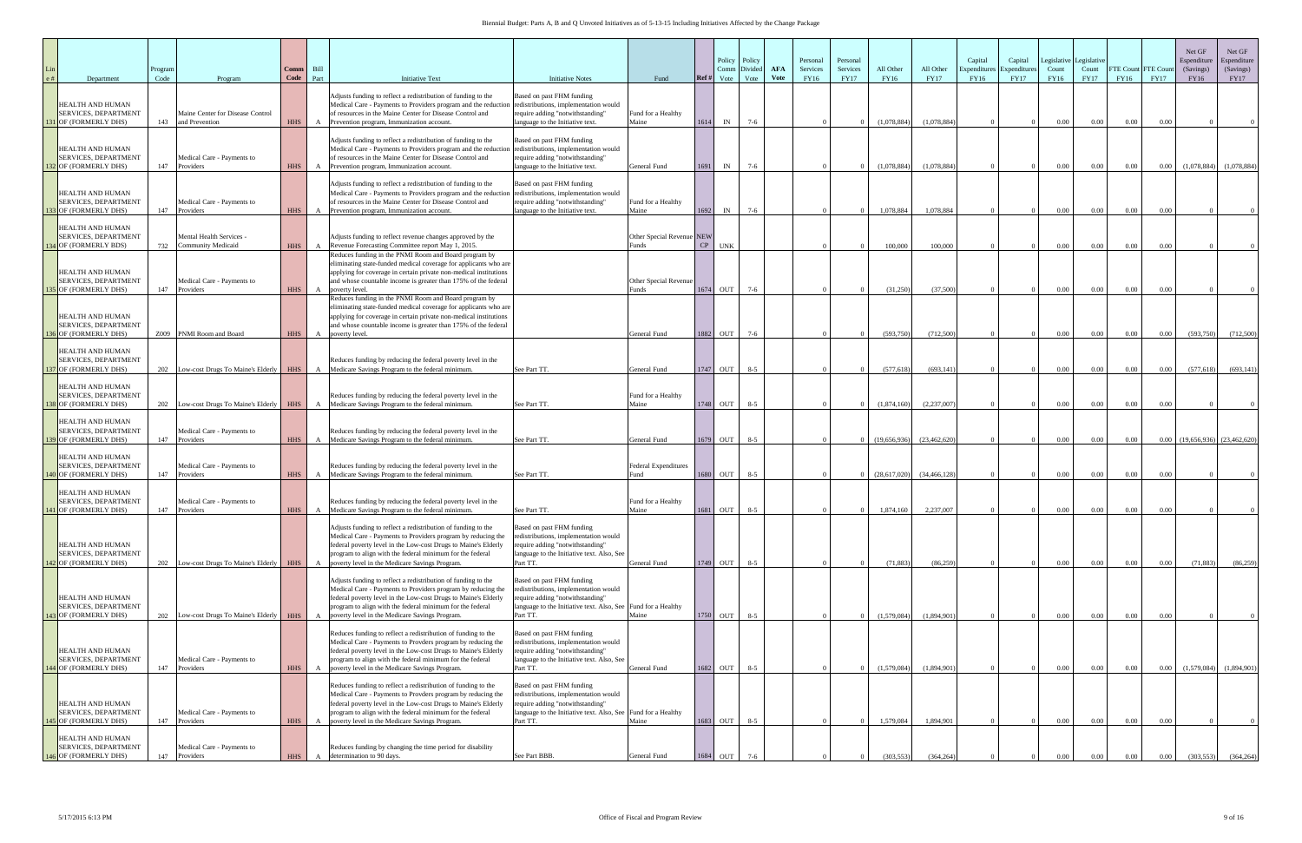| Department                                                                                  | Program<br>Code | Program                                                               | Comm  <br><b>Code</b>    | Bill<br>Part | <b>Initiative Text</b>                                                                                                                                                                                                                                                                                        | <b>Initiative Notes</b>                                                                                                                                                 | Fund                                               | Policy<br>Comm<br>Ref #<br>Vote | Policy<br>Divide<br>Vote | <b>AFA</b><br>Vote | Personal<br>Services<br>FY16 | Personal<br>Services<br><b>FY17</b> | All Other<br>FY16      | All Other<br><b>FY17</b> | Capital<br>Expenditur<br>FY16 | Capital<br>Expenditure<br><b>FY17</b> | Count<br>FY16        | Legislative Legislative<br>Count<br><b>FY17</b> | <b>FTE Count</b><br>FY16 | <b>FTE Cour</b><br><b>FY17</b> | Net GF<br>Espenditure<br>(Savings)<br>FY16 | Net GF<br>Espenditure<br>(Savings)<br>FY17 |
|---------------------------------------------------------------------------------------------|-----------------|-----------------------------------------------------------------------|--------------------------|--------------|---------------------------------------------------------------------------------------------------------------------------------------------------------------------------------------------------------------------------------------------------------------------------------------------------------------|-------------------------------------------------------------------------------------------------------------------------------------------------------------------------|----------------------------------------------------|---------------------------------|--------------------------|--------------------|------------------------------|-------------------------------------|------------------------|--------------------------|-------------------------------|---------------------------------------|----------------------|-------------------------------------------------|--------------------------|--------------------------------|--------------------------------------------|--------------------------------------------|
| HEALTH AND HUMAN<br>SERVICES, DEPARTMENT<br><b>B1</b> OF (FORMERLY DHS)                     | 143             | Maine Center for Disease Control<br>and Prevention                    | <b>HHS</b>               |              | Adjusts funding to reflect a redistribution of funding to the<br>Medical Care - Payments to Providers program and the reduction redistributions, implementation would<br>of resources in the Maine Center for Disease Control and<br>Prevention program, Immunization account.                                | Based on past FHM funding<br>require adding "notwithstanding"<br>language to the Initiative text.                                                                       | Fund for a Healthy<br>Maine                        | 1614<br>IN                      | $7-6$                    |                    |                              |                                     | (1,078,884)            | (1,078,884)              |                               |                                       | $0.00\,$             | 0.00                                            | $0.00\,$                 | 0.00                           |                                            |                                            |
| HEALTH AND HUMAN<br>SERVICES, DEPARTMENT<br><b>32 OF (FORMERLY DHS)</b>                     | 147             | Medical Care - Payments to<br>Providers                               | <b>HHS</b>               |              | Adjusts funding to reflect a redistribution of funding to the<br>Medical Care - Payments to Providers program and the reduction<br>of resources in the Maine Center for Disease Control and<br>Prevention program, Immunization account.                                                                      | Based on past FHM funding<br>redistributions, implementation would<br>require adding "notwithstanding"<br>language to the Initiative text.                              | General Fund                                       | 1691<br>IN                      | $7 - 6$                  |                    |                              |                                     | (1,078,884)            | (1,078,884)              |                               |                                       | 0.00                 | $0.00\,$                                        | 0.00                     | 0.00                           | (1,078,884)                                | (1,078,884)                                |
| HEALTH AND HUMAN<br>SERVICES, DEPARTMENT<br><b>33 OF (FORMERLY DHS)</b>                     | 147             | Medical Care - Payments to<br>Providers                               | <b>HHS</b>               |              | Adjusts funding to reflect a redistribution of funding to the<br>Medical Care - Payments to Providers program and the reduction<br>of resources in the Maine Center for Disease Control and<br>Prevention program, Immunization account.                                                                      | Based on past FHM funding<br>redistributions, implementation would<br>require adding "notwithstanding"<br>language to the Initiative text.                              | Fund for a Healthy<br>Maine                        | 1692<br>IN                      | $7-6$                    |                    |                              |                                     | 1,078,884              | 1.078.884                |                               |                                       | $0.00\,$             | 0.00                                            | $0.00\,$                 | 0.00                           |                                            |                                            |
| HEALTH AND HUMAN<br>SERVICES, DEPARTMENT<br><b>34 OF (FORMERLY BDS)</b>                     | 732             | <b>Mental Health Services -</b><br><b>Community Medicaid</b>          | <b>HHS</b>               |              | Adjusts funding to reflect revenue changes approved by the<br>Revenue Forecasting Committee report May 1, 2015.                                                                                                                                                                                               |                                                                                                                                                                         | Other Special Revenue NEW<br><b>unds</b>           | CP<br><b>UNK</b>                |                          |                    |                              |                                     | 100,000                | 100,000                  |                               |                                       | 0.00                 | $0.00\,$                                        | $0.00\,$                 | 0.00                           |                                            |                                            |
| HEALTH AND HUMAN<br><b>SERVICES, DEPARTMENT</b><br><b>35 OF (FORMERLY DHS)</b>              | 147             | Medical Care - Payments to<br>Providers                               | <b>HHS</b>               | $\mathbf{A}$ | Reduces funding in the PNMI Room and Board program by<br>eliminating state-funded medical coverage for applicants who are<br>applying for coverage in certain private non-medical institutions<br>and whose countable income is greater than 175% of the federal<br>poverty level.                            |                                                                                                                                                                         | Other Special Revenue<br>unds?                     | 1674 OUT                        | $7-6$                    |                    |                              |                                     | (31,250)               | (37,500)                 |                               |                                       | 0.00                 | 0.00                                            | 0.00                     | 0.00                           |                                            |                                            |
| HEALTH AND HUMAN<br><b>SERVICES, DEPARTMENT</b><br><b>36 OF (FORMERLY DHS)</b>              | Z009            | PNMI Room and Board                                                   | <b>HHS</b>               | A            | Reduces funding in the PNMI Room and Board program by<br>eliminating state-funded medical coverage for applicants who are<br>applying for coverage in certain private non-medical institutions<br>and whose countable income is greater than 175% of the federal<br>poverty level.                            |                                                                                                                                                                         | General Fund                                       | 1882<br>OUT                     | $7-6$                    |                    |                              |                                     | (593,750)              | (712,500)                |                               |                                       | 0.00                 | 0.00                                            | $0.00\,$                 | $0.00\,$                       | (593,750)                                  | (712,500)                                  |
| HEALTH AND HUMAN<br>SERVICES, DEPARTMENT<br>37 OF (FORMERLY DHS)                            | 202             | Low-cost Drugs To Maine's Elderly                                     | <b>HHS</b>               |              | Reduces funding by reducing the federal poverty level in the<br>Medicare Savings Program to the federal minimum.                                                                                                                                                                                              | See Part TT.                                                                                                                                                            | General Fund                                       | 1747 OUT                        | $8 - 5$                  |                    |                              |                                     | (577, 618)             | (693, 141)               |                               |                                       | 0.00                 | $0.00\,$                                        | $0.00\,$                 | 0.00                           | (577, 618)                                 | (693, 141)                                 |
| HEALTH AND HUMAN<br>SERVICES, DEPARTMENT<br><b>38 OF (FORMERLY DHS)</b><br>HEALTH AND HUMAN |                 |                                                                       |                          |              | Reduces funding by reducing the federal poverty level in the<br>202 Low-cost Drugs To Maine's Elderly HHS A Medicare Savings Program to the federal minimum.                                                                                                                                                  | See Part TT.                                                                                                                                                            | Fund for a Healthy<br>Maine                        | 1748 OUT                        | $8 - 5$                  |                    |                              |                                     | (1,874,160)            | (2,237,007)              |                               |                                       | $0.00\,$             | 0.00                                            | 0.00                     | 0.00                           |                                            |                                            |
| <b>SERVICES, DEPARTMENT</b><br>39 OF (FORMERLY DHS)<br>HEALTH AND HUMAN                     | 147             | Medical Care - Payments to<br>Providers                               | <b>HHS</b>               |              | Reduces funding by reducing the federal poverty level in the<br>Medicare Savings Program to the federal minimum.                                                                                                                                                                                              | See Part TT.                                                                                                                                                            | General Fund                                       | 1679 OUT                        | $8 - 5$                  |                    |                              |                                     | (19,656,936)           | (23, 462, 620)           |                               |                                       | $0.00\,$             | $0.00\,$                                        | $0.00\,$                 |                                | $0.00$ $(19,656,936)$ $(23,462,620)$       |                                            |
| SERVICES, DEPARTMENT<br>140 OF (FORMERLY DHS)<br>HEALTH AND HUMAN<br>SERVICES, DEPARTMENT   | 147             | Medical Care - Payments to<br>Providers<br>Medical Care - Payments to | <b>HHS</b>               | $\mathbf{A}$ | Reduces funding by reducing the federal poverty level in the<br>Medicare Savings Program to the federal minimum.<br>Reduces funding by reducing the federal poverty level in the                                                                                                                              | See Part TT.                                                                                                                                                            | Federal Expenditures<br>Fund<br>Fund for a Healthy | 1680 OUT                        | $8 - 5$                  |                    |                              |                                     | (28,617,020)           | (34, 466, 128)           |                               |                                       | $0.00\,$             | $0.00\,$                                        | $0.00\,$                 | 0.00                           |                                            |                                            |
| 141 OF (FORMERLY DHS)<br>HEALTH AND HUMAN                                                   | 147             | Providers                                                             | <b>HHS</b>               |              | A Medicare Savings Program to the federal minimum.<br>Adjusts funding to reflect a redistribution of funding to the<br>Medical Care - Payments to Providers program by reducing the<br>federal poverty level in the Low-cost Drugs to Maine's Elderly                                                         | See Part TT.<br>Based on past FHM funding<br>redistributions, implementation would<br>require adding "notwithstanding"                                                  | Maine                                              | 1681 OUT                        | $8 - 5$                  |                    |                              |                                     | 1,874,160              | 2,237,007                |                               |                                       | $0.00\,$             | 0.00                                            | 0.00                     | 0.00                           |                                            |                                            |
| SERVICES, DEPARTMENT<br>42 OF (FORMERLY DHS)                                                |                 | 202 Low-cost Drugs To Maine's Elderly HHS                             |                          | A            | program to align with the federal minimum for the federal<br>poverty level in the Medicare Savings Program.<br>Adjusts funding to reflect a redistribution of funding to the                                                                                                                                  | language to the Initiative text. Also, See<br>Part TT.<br>Based on past FHM funding<br>redistributions, implementation would                                            | General Fund                                       | $1749$ OUT $8-5$                |                          |                    |                              |                                     | (71, 883)              | (86, 259)                |                               |                                       | $0.00\,$             | $0.00\,$                                        | $0.00\,$                 | $0.00\,$                       | (71, 883)                                  | (86,259)                                   |
| HEALTH AND HUMAN<br><b>SERVICES, DEPARTMENT</b><br>43 OF (FORMERLY DHS)                     |                 | 202 Low-cost Drugs To Maine's Elderly HHS                             |                          | $\mathbf{A}$ | Medical Care - Payments to Providers program by reducing the<br>federal poverty level in the Low-cost Drugs to Maine's Elderly<br>program to align with the federal minimum for the federal<br>poverty level in the Medicare Savings Program.                                                                 | require adding "notwithstanding"<br>language to the Initiative text. Also, See Fund for a Healthy<br>Part TT.                                                           | Maine                                              | 1750 OUT                        | $8 - 5$                  |                    |                              |                                     | (1,579,084)            | (1,894,901)              |                               |                                       | 0.00                 | 0.00                                            | $0.00\,$                 | 0.00                           |                                            |                                            |
| HEALTH AND HUMAN<br>SERVICES, DEPARTMENT<br>144 OF (FORMERLY DHS)                           | 147             | Medical Care - Payments to<br>Providers                               | <b>HHS</b>               | $\mathbf{A}$ | Reduces funding to reflect a redistribution of funding to the<br>Medical Care - Payments to Provders program by reducing the<br>federal poverty level in the Low-cost Drugs to Maine's Elderly<br>program to align with the federal minimum for the federal<br>poverty level in the Medicare Savings Program. | Based on past FHM funding<br>redistributions, implementation would<br>require adding "notwithstanding"<br>language to the Initiative text. Also, See<br>Part TT.        | <b>General Fund</b>                                | 1682 OUT                        | $8 - 5$                  |                    |                              |                                     | (1,579,084)            | (1,894,901)              |                               |                                       | $0.00\,$             | $0.00\,$                                        | $0.00\,$                 | $0.00\,$                       | (1,579,084)                                | (1,894,901)                                |
| HEALTH AND HUMAN<br>SERVICES, DEPARTMENT                                                    |                 | Medical Care - Payments to                                            |                          |              | Reduces funding to reflect a redistribution of funding to the<br>Medical Care - Payments to Provders program by reducing the<br>federal poverty level in the Low-cost Drugs to Maine's Elderly<br>program to align with the federal minimum for the federal                                                   | Based on past FHM funding<br>redistributions, implementation would<br>require adding "notwithstanding"<br>language to the Initiative text. Also, See Fund for a Healthy |                                                    |                                 |                          |                    |                              |                                     |                        |                          |                               |                                       |                      |                                                 |                          |                                |                                            |                                            |
| 45 OF (FORMERLY DHS)<br>HEALTH AND HUMAN<br>SERVICES, DEPARTMENT<br>146 OF (FORMERLY DHS)   | 147<br>147      | Providers<br>Medical Care - Payments to<br>Providers                  | <b>HHS</b><br><b>HHS</b> |              | poverty level in the Medicare Savings Program.<br>Reduces funding by changing the time period for disability<br>determination to 90 days.                                                                                                                                                                     | Part TT.<br>See Part BBB.                                                                                                                                               | Maine<br>General Fund                              | 1683 OUT<br>1684 OUT            | $8 - 5$<br>$7-6$         |                    |                              |                                     | 1,579,084<br>(303.553) | 1,894,901<br>(364, 264)  |                               |                                       | $0.00\,$<br>$0.00\,$ | $0.00\,$<br>0.00                                | $0.00\,$<br>0.00         | 0.00<br>0.00                   | (303.553)                                  | (364, 264)                                 |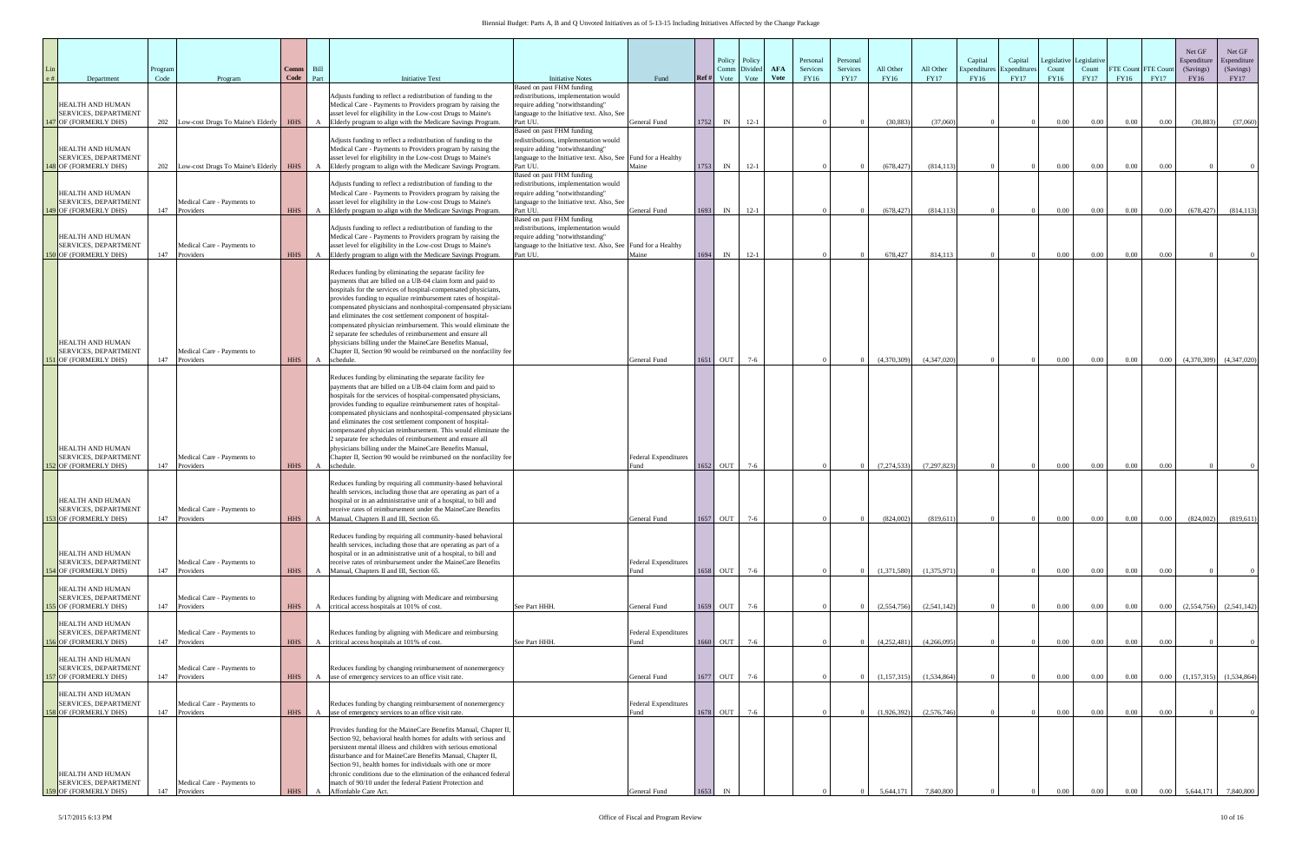| Department                                                                                              | Program<br>Code | Program                                                  | Comm<br>Code      | Bill<br>Part | <b>Initiative Text</b>                                                                                                                                                                                                                                                                                                                                                                                                                                                                                                                                                                                                                                            | <b>Initiative Notes</b>                                                                                                                                                             | Fund                                                | Ref#    | Policy<br>Comm<br>Vote | Policy<br>Divide<br>Vote | <b>AFA</b><br><b>Vote</b> | Personal<br>Services<br>FY16 | Personal<br>Services<br><b>FY17</b> | All Other<br><b>FY16</b> | All Other<br><b>FY17</b>  | Capital<br>Expenditur<br>FY16 | Capital<br>Expenditure<br><b>FY17</b> | Legislative<br>Count<br><b>FY16</b> | Legislative<br>Count<br><b>FY17</b> | FTE Count FTE Cour<br>FY16 | <b>FY17</b>      | Net GF<br>Espenditure<br>(Savings)<br>FY16 | Net GF<br>Espenditure<br>(Savings)<br><b>FY17</b> |
|---------------------------------------------------------------------------------------------------------|-----------------|----------------------------------------------------------|-------------------|--------------|-------------------------------------------------------------------------------------------------------------------------------------------------------------------------------------------------------------------------------------------------------------------------------------------------------------------------------------------------------------------------------------------------------------------------------------------------------------------------------------------------------------------------------------------------------------------------------------------------------------------------------------------------------------------|-------------------------------------------------------------------------------------------------------------------------------------------------------------------------------------|-----------------------------------------------------|---------|------------------------|--------------------------|---------------------------|------------------------------|-------------------------------------|--------------------------|---------------------------|-------------------------------|---------------------------------------|-------------------------------------|-------------------------------------|----------------------------|------------------|--------------------------------------------|---------------------------------------------------|
| HEALTH AND HUMAN<br><b>SERVICES, DEPARTMENT</b>                                                         |                 |                                                          |                   |              | Adjusts funding to reflect a redistribution of funding to the<br>Medical Care - Payments to Providers program by raising the<br>asset level for eligibility in the Low-cost Drugs to Maine's                                                                                                                                                                                                                                                                                                                                                                                                                                                                      | Based on past FHM funding<br>redistributions, implementation would<br>require adding "notwithstanding"<br>language to the Initiative text. Also, See                                |                                                     |         |                        |                          |                           |                              |                                     |                          |                           |                               |                                       |                                     |                                     |                            |                  |                                            |                                                   |
| <b>47 OF (FORMERLY DHS)</b>                                                                             |                 | 202 Low-cost Drugs To Maine's Elderly                    | HHS               | $\mathbf{A}$ | Elderly program to align with the Medicare Savings Program.                                                                                                                                                                                                                                                                                                                                                                                                                                                                                                                                                                                                       | Part UU.<br>Based on past FHM funding                                                                                                                                               | General Fund                                        | 1752    | IN                     | $12-1$                   |                           |                              |                                     | (30, 883)                | (37,060)                  |                               |                                       | 0.00                                | 0.00                                | 0.00                       | 0.00             | (30.883)                                   | (37,060)                                          |
| <b>HEALTH AND HUMAN</b><br><b>SERVICES, DEPARTMENT</b><br>48 OF (FORMERLY DHS)                          |                 | 202 Low-cost Drugs To Maine's Elderly                    | <b>HHS</b>        |              | Adjusts funding to reflect a redistribution of funding to the<br>Medical Care - Payments to Providers program by raising the<br>asset level for eligibility in the Low-cost Drugs to Maine's<br>Elderly program to align with the Medicare Savings Program.                                                                                                                                                                                                                                                                                                                                                                                                       | redistributions, implementation would<br>require adding "notwithstanding"<br>language to the Initiative text. Also, See Fund for a Healthy<br>Part UU.                              | Maine                                               | 1753    | IN                     | $12-1$                   |                           |                              |                                     | (678, 427)               | (814, 113)                |                               |                                       | $0.00\,$                            | $0.00\,$                            | 0.00                       | 0.00             |                                            |                                                   |
| HEALTH AND HUMAN<br>SERVICES, DEPARTMENT<br>49 OF (FORMERLY DHS)                                        |                 | Medical Care - Payments to<br>147 Providers              | <b>HHS</b>        |              | Adjusts funding to reflect a redistribution of funding to the<br>Medical Care - Payments to Providers program by raising the<br>asset level for eligibility in the Low-cost Drugs to Maine's<br>Elderly program to align with the Medicare Savings Program.                                                                                                                                                                                                                                                                                                                                                                                                       | Based on past FHM funding<br>redistributions, implementation would<br>require adding "notwithstanding"<br>language to the Initiative text. Also, See<br>Part UU.                    | General Fund                                        | 1693    | IN                     | $12-1$                   |                           |                              |                                     | (678, 427)               | (814, 113)                |                               |                                       | $0.00\,$                            | $0.00\,$                            | 0.00                       | $0.00\,$         | (678, 427)                                 | (814, 113)                                        |
| HEALTH AND HUMAN<br><b>SERVICES, DEPARTMENT</b><br>50 OF (FORMERLY DHS)                                 |                 | Medical Care - Payments to<br>147 Providers              | <b>HHS</b>        |              | Adjusts funding to reflect a redistribution of funding to the<br>Medical Care - Payments to Providers program by raising the<br>asset level for eligibility in the Low-cost Drugs to Maine's<br>Elderly program to align with the Medicare Savings Program.                                                                                                                                                                                                                                                                                                                                                                                                       | Based on past FHM funding<br>redistributions, implementation would<br>require adding "notwithstanding"<br>language to the Initiative text. Also, See Fund for a Healthy<br>Part UU. | Maine                                               | 1694 IN |                        | $12-1$                   |                           |                              |                                     | 678,427                  | 814,113                   |                               |                                       | $0.00\,$                            | $0.00\,$                            | 0.00                       | 0.00             |                                            |                                                   |
| HEALTH AND HUMAN<br><b>SERVICES, DEPARTMENT</b>                                                         |                 | Medical Care - Payments to                               |                   |              | Reduces funding by eliminating the separate facility fee<br>payments that are billed on a UB-04 claim form and paid to<br>hospitals for the services of hospital-compensated physicians,<br>provides funding to equalize reimbursement rates of hospital-<br>compensated physicians and nonhospital-compensated physicians<br>and eliminates the cost settlement component of hospital-<br>compensated physician reimbursement. This would eliminate the<br>separate fee schedules of reimbursement and ensure all<br>physicians billing under the MaineCare Benefits Manual,<br>Chapter II, Section 90 would be reimbursed on the nonfacility fee                |                                                                                                                                                                                     |                                                     |         |                        |                          |                           |                              |                                     |                          |                           |                               |                                       |                                     |                                     |                            |                  |                                            |                                                   |
| 1 OF (FORMERLY DHS)<br>HEALTH AND HUMAN<br>SERVICES, DEPARTMENT                                         |                 | 147 Providers<br>Medical Care - Payments to              | <b>HHS</b>        | $\mathbf{A}$ | schedule.<br>Reduces funding by eliminating the separate facility fee<br>payments that are billed on a UB-04 claim form and paid to<br>hospitals for the services of hospital-compensated physicians,<br>provides funding to equalize reimbursement rates of hospital-<br>compensated physicians and nonhospital-compensated physicians<br>and eliminates the cost settlement component of hospital-<br>compensated physician reimbursement. This would eliminate the<br>e separate fee schedules of reimbursement and ensure all<br>physicians billing under the MaineCare Benefits Manual,<br>Chapter II, Section 90 would be reimbursed on the nonfacility fee |                                                                                                                                                                                     | General Fund<br><b>Federal Expenditures</b>         |         | 1651 OUT               | $7-6$                    |                           |                              |                                     | (4,370,309)              | (4,347,020)               |                               |                                       | $0.00\,$                            | $0.00\,$                            | 0.00                       | 0.00             | (4,370,309)                                | (4,347,020)                                       |
| <b>52 OF (FORMERLY DHS)</b><br>HEALTH AND HUMAN<br><b>SERVICES, DEPARTMENT</b>                          | 147             | Providers<br>Medical Care - Payments to                  | <b>HHS</b>        | A            | schedule<br>Reduces funding by requiring all community-based behavioral<br>health services, including those that are operating as part of a<br>hospital or in an administrative unit of a hospital, to bill and<br>receive rates of reimbursement under the MaineCare Benefits                                                                                                                                                                                                                                                                                                                                                                                    |                                                                                                                                                                                     | Fund                                                |         | 1652 OUT               | $7-6$                    |                           |                              |                                     | (7, 274, 533)            | (7, 297, 823)             |                               |                                       | $0.00\,$                            | $0.00\,$                            | 0.00                       | 0.00             |                                            |                                                   |
| 153 OF (FORMERLY DHS)<br>HEALTH AND HUMAN<br><b>SERVICES, DEPARTMENT</b><br><b>54 OF (FORMERLY DHS)</b> | 147             | Providers<br>Medical Care - Payments to<br>147 Providers | HHS<br><b>HHS</b> | $\mathbf{A}$ | A Manual, Chapters II and III, Section 65.<br>Reduces funding by requiring all community-based behavioral<br>health services, including those that are operating as part of a<br>hospital or in an administrative unit of a hospital, to bill and<br>receive rates of reimbursement under the MaineCare Benefits<br>Manual, Chapters II and III, Section 65.                                                                                                                                                                                                                                                                                                      |                                                                                                                                                                                     | General Fund<br><b>Federal Expenditures</b><br>Fund | 1658    | $1657$ OUT 7-6<br>OUT  | $7-6$                    |                           |                              |                                     | (824,002)<br>(1,371,580) | (819, 611)<br>(1,375,971) |                               |                                       | 0.00<br>$0.00\,$                    | 0.00<br>$0.00\,$                    | 0.00<br>0.00               | $0.00\,$<br>0.00 | (824,002)                                  | (819,611)                                         |
| HEALTH AND HUMAN<br>SERVICES, DEPARTMENT<br>55 OF (FORMERLY DHS)                                        |                 | Medical Care - Payments to<br>147 Providers              | <b>HHS</b>        |              | Reduces funding by aligning with Medicare and reimbursing<br>A critical access hospitals at 101% of cost.                                                                                                                                                                                                                                                                                                                                                                                                                                                                                                                                                         | See Part HHH.                                                                                                                                                                       | General Fund                                        | 1659    | <b>OUT</b>             | $7-6$                    |                           |                              |                                     | (2,554,756)              | (2,541,142)               |                               |                                       | $0.00\,$                            | $0.00\,$                            | 0.00                       | $0.00\,$         | (2,554,756)                                | (2,541,142)                                       |
| HEALTH AND HUMAN<br><b>SERVICES, DEPARTMENT</b><br>56 OF (FORMERLY DHS)                                 |                 | Medical Care - Payments to<br>147 Providers              | <b>HHS</b>        |              | Reduces funding by aligning with Medicare and reimbursing<br>A critical access hospitals at 101% of cost.                                                                                                                                                                                                                                                                                                                                                                                                                                                                                                                                                         | See Part HHH.                                                                                                                                                                       | <b>Federal Expenditures</b><br>Fund                 |         | 1660 OUT               | $7-6$                    |                           |                              |                                     | (4,252,481)              | (4,266,095)               |                               |                                       | 0.00                                | $0.00\,$                            | 0.00                       | 0.00             |                                            |                                                   |
| HEALTH AND HUMAN<br>SERVICES, DEPARTMENT<br><b>57 OF (FORMERLY DHS)</b>                                 |                 | Medical Care - Payments to<br>147 Providers              | <b>HHS</b>        |              | Reduces funding by changing reimbursement of nonemergency<br>A use of emergency services to an office visit rate.                                                                                                                                                                                                                                                                                                                                                                                                                                                                                                                                                 |                                                                                                                                                                                     | General Fund                                        |         | 1677 OUT               | $7-6$                    |                           |                              |                                     | (1, 157, 315)            | (1,534,864)               |                               |                                       | 0.00                                | $0.00\,$                            | 0.00                       | 0.00             | (1,157,315)                                | (1,534,864)                                       |
| HEALTH AND HUMAN<br>SERVICES, DEPARTMENT<br>58 OF (FORMERLY DHS)                                        | 147             | Medical Care - Payments to<br>Providers                  | <b>HHS</b>        |              | Reduces funding by changing reimbursement of nonemergency<br>A use of emergency services to an office visit rate.                                                                                                                                                                                                                                                                                                                                                                                                                                                                                                                                                 |                                                                                                                                                                                     | <b>Federal Expenditures</b><br>Fund                 | 1678    | OUT                    | $7-6$                    |                           |                              |                                     | (1,926,392)              | (2,576,746)               |                               |                                       | 0.00                                | $0.00\,$                            | 0.00                       | 0.00             |                                            |                                                   |
| HEALTH AND HUMAN<br><b>SERVICES, DEPARTMENT</b><br>59 OF (FORMERLY DHS)                                 | 147             | Medical Care - Payments to<br>Providers                  | <b>HHS</b>        |              | Provides funding for the MaineCare Benefits Manual, Chapter II,<br>Section 92, behavioral health homes for adults with serious and<br>persistent mental illness and children with serious emotional<br>disturbance and for MaineCare Benefits Manual, Chapter II,<br>Section 91, health homes for individuals with one or more<br>chronic conditions due to the elimination of the enhanced federal<br>match of 90/10 under the federal Patient Protection and<br>Affordable Care Act.                                                                                                                                                                            |                                                                                                                                                                                     | General Fund                                        |         |                        |                          |                           |                              |                                     | 5.644.171                | 7.840.800                 |                               |                                       |                                     |                                     |                            |                  |                                            | 7,840,800                                         |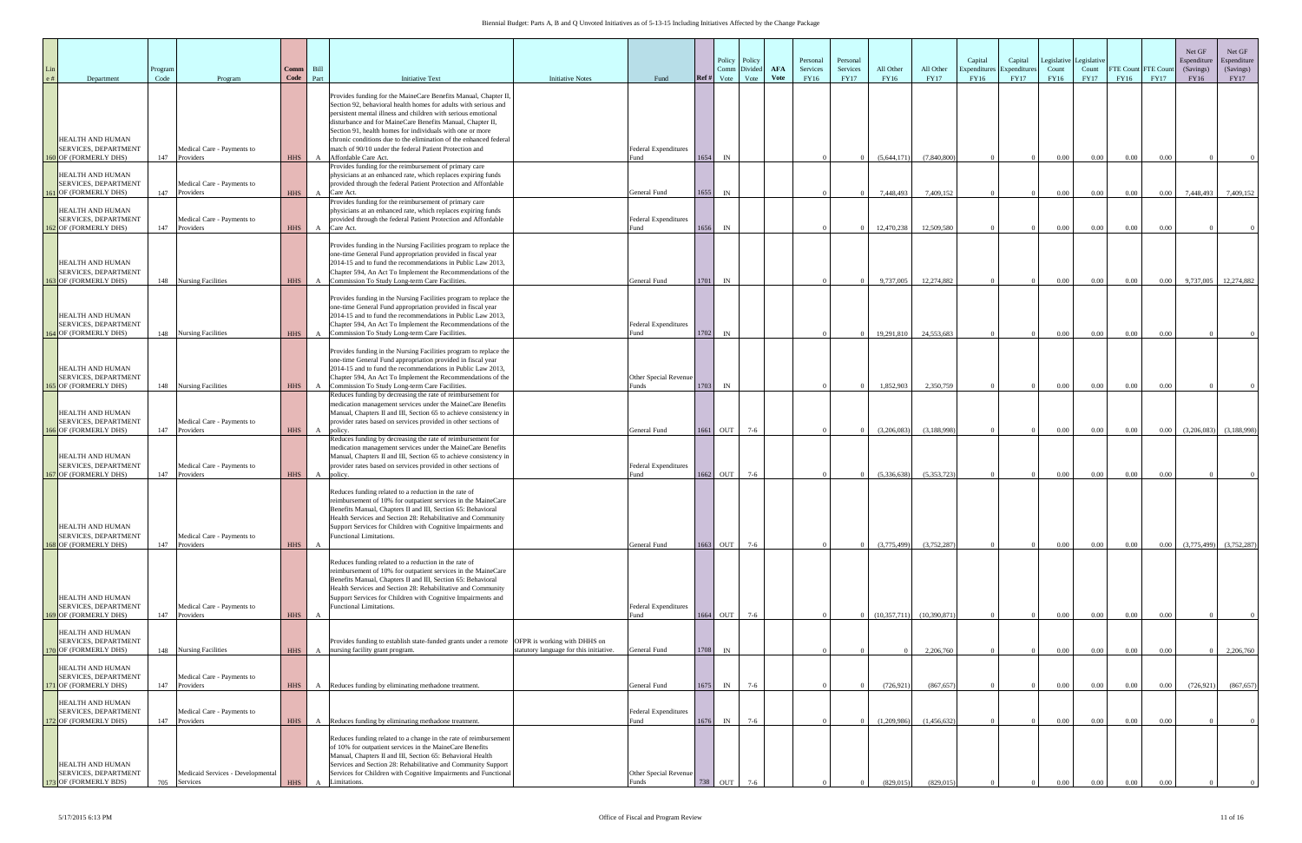| Department                                                                                 | Program<br>Code | Program                                                           | Comm<br>Code             | Bill<br>Part        | <b>Initiative Text</b>                                                                                                                                                                                                                                                                                                                                                                                                                                                                | <b>Initiative Notes</b>                 | Fund                                            | Policy Policy<br>Divided<br>Comm<br>Ref#<br>Vote<br>Vote | AFA<br><b>Vote</b> | Personal<br>Services<br>FY16 | Personal<br>Services<br><b>FY17</b> | All Other<br><b>FY16</b> | All Other<br><b>FY17</b> | Capital<br>Expenditure<br>FY16 | Capital<br>Expenditure<br><b>FY17</b> | Legislative<br>Count<br><b>FY16</b> | Legislativ<br>Count<br><b>FY17</b> | FTE Count FTE Coun<br>FY16 | <b>FY17</b>      | Net GF<br>Espenditure<br>(Savings)<br>FY16 | Net GF<br>Espenditure<br>(Savings)<br><b>FY17</b> |
|--------------------------------------------------------------------------------------------|-----------------|-------------------------------------------------------------------|--------------------------|---------------------|---------------------------------------------------------------------------------------------------------------------------------------------------------------------------------------------------------------------------------------------------------------------------------------------------------------------------------------------------------------------------------------------------------------------------------------------------------------------------------------|-----------------------------------------|-------------------------------------------------|----------------------------------------------------------|--------------------|------------------------------|-------------------------------------|--------------------------|--------------------------|--------------------------------|---------------------------------------|-------------------------------------|------------------------------------|----------------------------|------------------|--------------------------------------------|---------------------------------------------------|
| HEALTH AND HUMAN<br><b>SERVICES, DEPARTMENT</b><br>160 OF (FORMERLY DHS)                   | 147             | Medical Care - Payments to<br>Providers                           | <b>HHS</b>               | A                   | Provides funding for the MaineCare Benefits Manual, Chapter II<br>Section 92, behavioral health homes for adults with serious and<br>persistent mental illness and children with serious emotional<br>disturbance and for MaineCare Benefits Manual, Chapter II,<br>Section 91, health homes for individuals with one or more<br>chronic conditions due to the elimination of the enhanced federal<br>match of 90/10 under the federal Patient Protection and<br>Affordable Care Act. |                                         | <b>Federal Expenditures</b><br><sup>7</sup> und | 1654<br>IN                                               |                    |                              |                                     | (5,644,171)              | (7,840,800)              |                                |                                       | $0.00\,$                            | $0.00\,$                           | 0.00                       | 0.00             |                                            |                                                   |
| HEALTH AND HUMAN<br>SERVICES, DEPARTMENT<br>161 OF (FORMERLY DHS)                          | 147             | Medical Care - Payments to<br>Providers                           | <b>HHS</b>               |                     | Provides funding for the reimbursement of primary care<br>physicians at an enhanced rate, which replaces expiring funds<br>provided through the federal Patient Protection and Affordable<br>A Care Act.                                                                                                                                                                                                                                                                              |                                         | General Fund                                    | 1655<br>IN                                               |                    |                              |                                     | 7,448,493                | 7,409,152                |                                |                                       | 0.00                                | 0.00                               | $0.00\,$                   | $0.00\,$         | 7,448,493                                  | 7,409,152                                         |
| HEALTH AND HUMAN<br>SERVICES, DEPARTMENT<br>2 OF (FORMERLY DHS)                            | 147             | Medical Care - Payments to<br>Providers                           | <b>HHS</b>               | $\mathbf{A}$        | Provides funding for the reimbursement of primary care<br>physicians at an enhanced rate, which replaces expiring funds<br>provided through the federal Patient Protection and Affordable<br>Care Act.                                                                                                                                                                                                                                                                                |                                         | <b>Federal Expenditures</b><br>Fund             | 1656<br>$\ensuremath{\text{IN}}$                         |                    |                              |                                     | 12,470,238               | 12,509,580               |                                |                                       | $0.00\,$                            | $0.00\,$                           | 0.00                       | 0.00             |                                            |                                                   |
| HEALTH AND HUMAN<br>SERVICES, DEPARTMENT<br><b>OF (FORMERLY DHS)</b>                       |                 | 148 Nursing Facilities                                            | <b>HHS</b>               | $\mathbf{A}$        | Provides funding in the Nursing Facilities program to replace the<br>one-time General Fund appropriation provided in fiscal year<br>2014-15 and to fund the recommendations in Public Law 2013,<br>Chapter 594, An Act To Implement the Recommendations of the<br>Commission To Study Long-term Care Facilities.                                                                                                                                                                      |                                         | General Fund                                    | 1701<br>IN                                               |                    |                              |                                     | 9,737,005                | 12,274,882               |                                |                                       | $0.00\,$                            | $0.00\,$                           | 0.00                       | 0.00             | 9,737,005                                  | 12,274,882                                        |
| HEALTH AND HUMAN<br><b>SERVICES, DEPARTMENT</b><br>164 OF (FORMERLY DHS)                   |                 | 148 Nursing Facilities                                            | <b>HHS</b>               | A                   | Provides funding in the Nursing Facilities program to replace the<br>one-time General Fund appropriation provided in fiscal year<br>2014-15 and to fund the recommendations in Public Law 2013,<br>Chapter 594, An Act To Implement the Recommendations of the<br>Commission To Study Long-term Care Facilities.                                                                                                                                                                      |                                         | <b>Federal Expenditures</b><br>Fund             | 1702<br>IN                                               |                    |                              |                                     | 19,291,810               | 24,553,683               |                                |                                       | 0.00                                | 0.00                               | 0.00                       | $0.00\,$         |                                            |                                                   |
| HEALTH AND HUMAN<br>SERVICES, DEPARTMENT                                                   |                 |                                                                   |                          |                     | Provides funding in the Nursing Facilities program to replace the<br>one-time General Fund appropriation provided in fiscal year<br>2014-15 and to fund the recommendations in Public Law 2013,<br>Chapter 594, An Act To Implement the Recommendations of the                                                                                                                                                                                                                        |                                         | Other Special Revenue                           |                                                          |                    |                              |                                     |                          |                          |                                |                                       |                                     |                                    |                            |                  |                                            |                                                   |
| 165 OF (FORMERLY DHS)<br>HEALTH AND HUMAN<br>SERVICES, DEPARTMENT<br>166 OF (FORMERLY DHS) | 147             | 148 Nursing Facilities<br>Medical Care - Payments to<br>Providers | <b>HHS</b><br><b>HHS</b> | $\overline{A}$<br>A | Commission To Study Long-term Care Facilities.<br>Reduces funding by decreasing the rate of reimbursement for<br>medication management services under the MaineCare Benefits<br>Manual, Chapters II and III, Section 65 to achieve consistency in<br>provider rates based on services provided in other sections of<br>policy                                                                                                                                                         |                                         | Funds<br>General Fund                           | 1703<br>IN<br>1661 OUT<br>$7-6$                          |                    |                              |                                     | 1,852,903<br>(3,206,083) | 2.350.759<br>(3,188,998) |                                |                                       | 0.00<br>$0.00\,$                    | 0.00<br>$0.00\,$                   | 0.00<br>0.00               | 0.00<br>$0.00\,$ | (3,206,083)                                | (3,188,998)                                       |
| <b>HEALTH AND HUMAN</b><br>SERVICES, DEPARTMENT<br>167 OF (FORMERLY DHS)                   | 147             | Medical Care - Payments to<br>Providers                           | <b>HHS</b>               |                     | Reduces funding by decreasing the rate of reimbursement for<br>medication management services under the MaineCare Benefits<br>Manual, Chapters II and III, Section 65 to achieve consistency in<br>provider rates based on services provided in other sections of<br>A policy.                                                                                                                                                                                                        |                                         | <b>Federal Expenditures</b><br>Fund             | 1662 OUT<br>$7-6$                                        |                    |                              |                                     | (5,336,638)              | (5,353,723)              |                                |                                       | 0.00                                | 0.00                               | 0.00                       | 0.00             |                                            |                                                   |
| HEALTH AND HUMAN<br>SERVICES, DEPARTMENT<br>168 OF (FORMERLY DHS)                          | 147             | Medical Care - Payments to<br>Providers                           | <b>HHS</b>               | $\mathbf{A}$        | Reduces funding related to a reduction in the rate of<br>reimbursement of 10% for outpatient services in the MaineCare<br>Benefits Manual, Chapters II and III, Section 65: Behavioral<br>Health Services and Section 28: Rehabilitative and Community<br>Support Services for Children with Cognitive Impairments and<br>Functional Limitations.                                                                                                                                     |                                         | General Fund                                    | 1663<br>OUT<br>$7-6$                                     |                    |                              |                                     | (3,775,499)              | (3,752,287)              |                                |                                       | $0.00\,$                            | $0.00\,$                           | 0.00                       | $0.00\,$         | (3,775,499)                                | (3,752,287)                                       |
| HEALTH AND HUMAN<br>SERVICES, DEPARTMENT<br>169 OF (FORMERLY DHS)                          | 147             | Medical Care - Payments to<br>Providers                           | <b>HHS</b>               | $\mathbf{A}$        | Reduces funding related to a reduction in the rate of<br>reimbursement of 10% for outpatient services in the MaineCare<br>Benefits Manual, Chapters II and III, Section 65: Behavioral<br>Health Services and Section 28: Rehabilitative and Community<br>Support Services for Children with Cognitive Impairments and<br><b>Functional Limitations.</b>                                                                                                                              |                                         | <b>Federal Expenditures</b><br>Fund             | 1664 OUT<br>$7-6$                                        |                    |                              |                                     | (10, 357, 711)           | (10, 390, 871)           |                                |                                       | $0.00\,$                            | $0.00\,$                           | 0.00                       | 0.00             |                                            |                                                   |
| HEALTH AND HUMAN<br>SERVICES, DEPARTMENT<br>O OF (FORMERLY DHS)                            | 148             | <b>Nursing Facilities</b>                                         | <b>HHS</b>               |                     | Provides funding to establish state-funded grants under a remote OFPR is working with DHHS on<br>A nursing facility grant program.                                                                                                                                                                                                                                                                                                                                                    | statutory language for this initiative. | General Fund                                    | 1708<br>IN                                               |                    |                              |                                     |                          | 2,206,760                |                                |                                       | $0.00\,$                            | $0.00\,$                           | 0.00                       | 0.00             |                                            | 2,206,760                                         |
| HEALTH AND HUMAN<br>SERVICES, DEPARTMENT<br>171 OF (FORMERLY DHS)                          | 147             | Medical Care - Payments to<br>Providers                           | <b>HHS</b>               |                     | A Reduces funding by eliminating methadone treatment.                                                                                                                                                                                                                                                                                                                                                                                                                                 |                                         | General Fund                                    | 1675<br>$7-6$<br>IN                                      |                    |                              |                                     | (726, 921)               | (867, 657)               |                                |                                       | $0.00\,$                            | $0.00\,$                           | 0.00                       | $0.00\,$         | (726, 921)                                 | (867, 657)                                        |
| HEALTH AND HUMAN<br>SERVICES, DEPARTMENT<br>2 OF (FORMERLY DHS)                            | 147             | Medical Care - Payments to<br>Providers                           | <b>HHS</b>               |                     | A Reduces funding by eliminating methadone treatment.                                                                                                                                                                                                                                                                                                                                                                                                                                 |                                         | <b>Federal Expenditures</b><br>Fund             | $7-6$<br>1676<br>IN                                      |                    |                              |                                     | (1,209,986)              | (1,456,632)              |                                |                                       | $0.00\,$                            | 0.00                               | 0.00                       | 0.00             |                                            |                                                   |
| HEALTH AND HUMAN<br>SERVICES, DEPARTMENT<br>173 OF (FORMERLY BDS)                          | 705             | Medicaid Services - Developmental<br>Services                     | <b>HHS</b>               | $\mathbf{A}$        | Reduces funding related to a change in the rate of reimbursement<br>of 10% for outpatient services in the MaineCare Benefits<br>Manual, Chapters II and III, Section 65: Behavioral Health<br>Services and Section 28: Rehabilitative and Community Support<br>Services for Children with Cognitive Impairments and Functional<br>Limitations.                                                                                                                                        |                                         | Other Special Revenue                           | 738                                                      |                    |                              |                                     | (829, 015)               | (829, 015)               |                                |                                       |                                     |                                    |                            |                  |                                            |                                                   |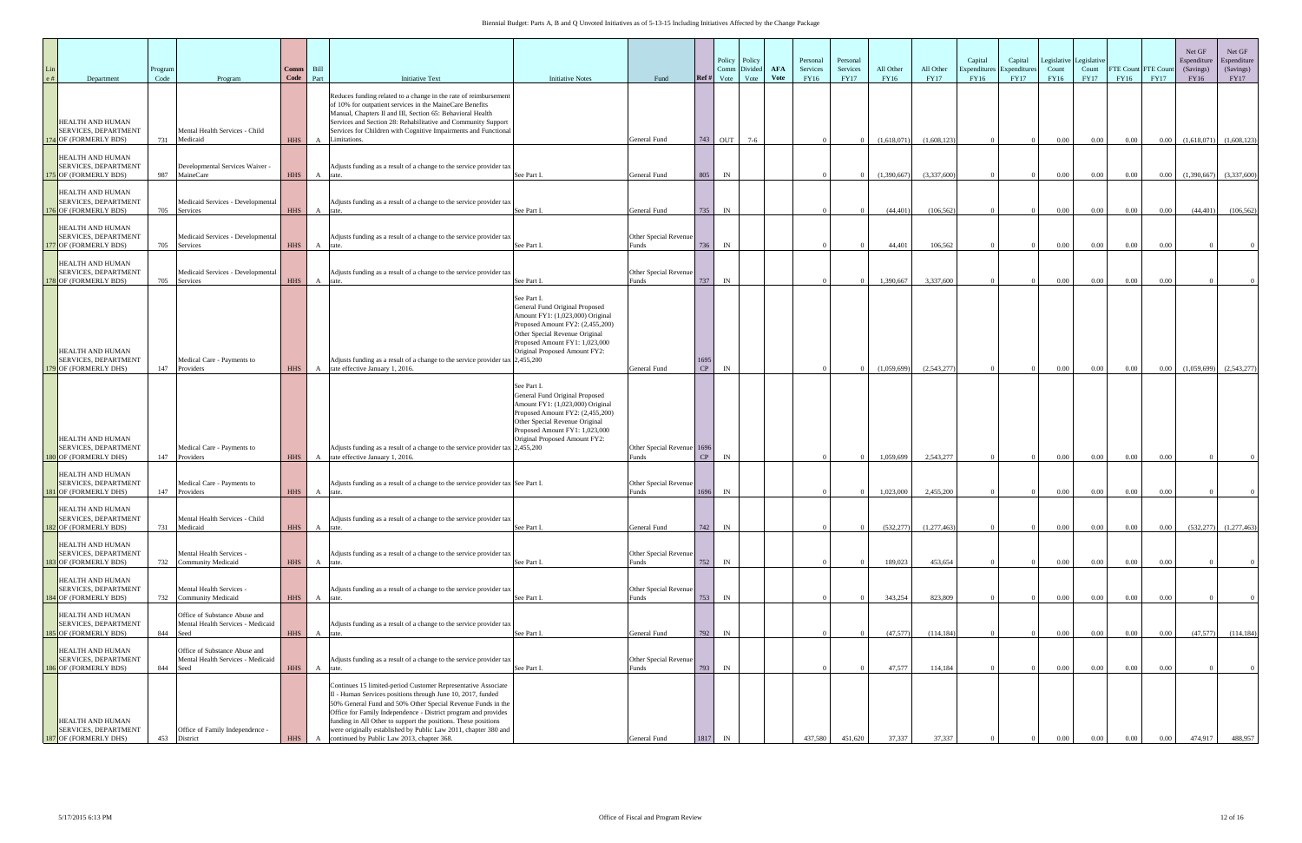| Department                                                                                              | Program<br>Code | Program                                                                    | <b>Comm</b><br>Code | Bill<br>Part      | <b>Initiative Text</b>                                                                                                                                                                                                                                                                                                                                                                                                                           | <b>Initiative Notes</b>                                                                                                                                                                                                    | Fund                                                | Ref#     | Policy Policy<br>Divided<br>Comm<br>Vote<br>Vote | <b>AFA</b><br><b>Vote</b> | Personal<br>Services<br>FY16 | Personal<br>Services<br><b>FY17</b> | All Other<br>FY16      | All Other<br><b>FY17</b> | Capital<br>Expenditur<br>FY16 | Capital<br>Expenditure<br><b>FY17</b> | Count<br>FY16        | Legislative Legislative<br>Count<br><b>FY17</b> | <b>FTE Count FTE Cour</b><br>FY16 | <b>FY17</b>  | Net GF<br>Espenditure<br>(Savings)<br>FY16 | Net GF<br>Espenditure<br>(Savings)<br><b>FY17</b> |
|---------------------------------------------------------------------------------------------------------|-----------------|----------------------------------------------------------------------------|---------------------|-------------------|--------------------------------------------------------------------------------------------------------------------------------------------------------------------------------------------------------------------------------------------------------------------------------------------------------------------------------------------------------------------------------------------------------------------------------------------------|----------------------------------------------------------------------------------------------------------------------------------------------------------------------------------------------------------------------------|-----------------------------------------------------|----------|--------------------------------------------------|---------------------------|------------------------------|-------------------------------------|------------------------|--------------------------|-------------------------------|---------------------------------------|----------------------|-------------------------------------------------|-----------------------------------|--------------|--------------------------------------------|---------------------------------------------------|
| HEALTH AND HUMAN<br><b>SERVICES, DEPARTMENT</b><br>74 OF (FORMERLY BDS)                                 | 731             | Mental Health Services - Child<br>Medicaid                                 | <b>HHS</b>          | A                 | Reduces funding related to a change in the rate of reimbursement<br>of 10% for outpatient services in the MaineCare Benefits<br>Manual, Chapters II and III, Section 65: Behavioral Health<br>Services and Section 28: Rehabilitative and Community Support<br>Services for Children with Cognitive Impairments and Functional<br>Limitations.                                                                                                   |                                                                                                                                                                                                                            | General Fund                                        |          | 743 OUT<br>$7-6$                                 |                           |                              |                                     | (1,618,071)            | (1,608,123)              |                               |                                       | 0.00                 | $0.00\,$                                        | $0.00\,$                          | $0.00\,$     | (1,618,071)                                | (1,608,123)                                       |
| <b>HEALTH AND HUMAN</b><br><b>SERVICES, DEPARTMENT</b><br>175 OF (FORMERLY BDS)                         | 987             | Developmental Services Waiver -<br>MaineCare                               | <b>HHS</b>          | $\mathbf{A}$      | Adjusts funding as a result of a change to the service provider tax                                                                                                                                                                                                                                                                                                                                                                              | See Part I                                                                                                                                                                                                                 | General Fund                                        | 805      | IN                                               |                           |                              |                                     | (1,390,667)            | (3,337,600)              |                               |                                       | $0.00\,$             | $0.00\,$                                        | $0.00\,$                          | $0.00\,$     | (1,390,667)                                | (3,337,600)                                       |
| <b>HEALTH AND HUMAN</b><br><b>SERVICES, DEPARTMENT</b><br><b>76 OF (FORMERLY BDS)</b>                   | 705             | Medicaid Services - Developmental<br>Services                              | <b>HHS</b>          | A                 | Adjusts funding as a result of a change to the service provider tax<br>rate.                                                                                                                                                                                                                                                                                                                                                                     | See Part I                                                                                                                                                                                                                 | General Fund                                        | 735      | IN                                               |                           |                              |                                     | (44, 401)              | (106, 562)               |                               |                                       | $0.00\,$             | $0.00\,$                                        | $0.00\,$                          | 0.00         | (44, 401)                                  | (106, 562)                                        |
| HEALTH AND HUMAN<br><b>SERVICES, DEPARTMENT</b><br>177 OF (FORMERLY BDS)                                | 705             | Medicaid Services - Developmental<br>Services                              | <b>HHS</b>          | A                 | Adjusts funding as a result of a change to the service provider tax<br>rate.                                                                                                                                                                                                                                                                                                                                                                     | See Part I.                                                                                                                                                                                                                | Other Special Revenue<br>Funds                      | 736      | IN                                               |                           |                              |                                     | 44,401                 | 106,562                  |                               |                                       | $0.00\,$             | 0.00                                            | $0.00\,$                          | 0.00         |                                            |                                                   |
| HEALTH AND HUMAN<br><b>SERVICES, DEPARTMENT</b><br><b>8 OF (FORMERLY BDS)</b>                           | 705             | Medicaid Services - Developmental<br>Services                              | <b>HHS</b>          |                   | Adjusts funding as a result of a change to the service provider tax<br>rate.                                                                                                                                                                                                                                                                                                                                                                     | See Part I                                                                                                                                                                                                                 | Other Special Revenue<br>Funds                      | 737      | IN                                               |                           |                              |                                     | 1,390,667              | 3,337,600                |                               |                                       | $0.00\,$             | $0.00\,$                                        | $0.00\,$                          | 0.00         |                                            |                                                   |
| HEALTH AND HUMAN<br><b>SERVICES, DEPARTMENT</b>                                                         |                 | Medical Care - Payments to                                                 |                     | A                 | Adjusts funding as a result of a change to the service provider tax 2,455,200                                                                                                                                                                                                                                                                                                                                                                    | See Part I.<br>General Fund Original Proposed<br>Amount FY1: (1,023,000) Original<br>Proposed Amount FY2: (2,455,200)<br>Other Special Revenue Original<br>Proposed Amount FY1: 1,023,000<br>Original Proposed Amount FY2: |                                                     | 1695     |                                                  |                           |                              |                                     |                        |                          |                               |                                       |                      |                                                 |                                   |              |                                            |                                                   |
| 79 OF (FORMERLY DHS)<br>HEALTH AND HUMAN<br><b>SERVICES, DEPARTMENT</b>                                 | 147             | Providers<br>Medical Care - Payments to                                    | <b>HHS</b>          | $\mathbf{A}$      | rate effective January 1, 2016.<br>Adjusts funding as a result of a change to the service provider tax $2,455,200$                                                                                                                                                                                                                                                                                                                               | See Part I.<br>General Fund Original Proposed<br>Amount FY1: (1,023,000) Original<br>Proposed Amount FY2: (2,455,200)<br>Other Special Revenue Original<br>Proposed Amount FY1: 1,023,000<br>Original Proposed Amount FY2: | General Fund<br>Other Special Revenue 1696<br>Funds | CP<br>CP | IN                                               |                           |                              |                                     | (1,059,699)            | (2,543,277)              |                               |                                       | $0.00\,$             | 0.00                                            | $0.00\,$                          | 0.00         | (1,059,699)                                | (2,543,277)                                       |
| 180 OF (FORMERLY DHS)<br>HEALTH AND HUMAN<br><b>SERVICES, DEPARTMENT</b><br><b>81 OF (FORMERLY DHS)</b> | 147<br>147      | Providers<br>Medical Care - Payments to<br>Providers                       | HHS<br><b>HHS</b>   | $\mathbf{A}$<br>A | rate effective January 1, 2016.<br>Adjusts funding as a result of a change to the service provider tax See Part I.                                                                                                                                                                                                                                                                                                                               |                                                                                                                                                                                                                            | Other Special Revenue<br>Funds                      | 1696     | IN<br>IN                                         |                           |                              |                                     | 1,059,699<br>1,023,000 | 2,543,277<br>2,455,200   |                               |                                       | $0.00\,$<br>$0.00\,$ | $0.00\,$<br>$0.00\,$                            | $0.00\,$<br>$0.00\,$              | 0.00<br>0.00 |                                            |                                                   |
| HEALTH AND HUMAN<br>SERVICES, DEPARTMENT<br>182 OF (FORMERLY BDS)                                       | 731             | Mental Health Services - Child<br>Medicaid                                 | <b>HHS</b>          | $\mathbf{A}$      | Adjusts funding as a result of a change to the service provider tax<br>rate.                                                                                                                                                                                                                                                                                                                                                                     | See Part I                                                                                                                                                                                                                 | General Fund                                        | 742      | IN                                               |                           |                              |                                     | (532, 277)             | (1,277,463)              |                               |                                       | $0.00\,$             | $0.00\,$                                        | $0.00\,$                          | 0.00         | (532, 277)                                 | (1,277,463)                                       |
| HEALTH AND HUMAN<br>SERVICES, DEPARTMENT<br><b>33 OF (FORMERLY BDS)</b>                                 | 732             | Mental Health Services -<br><b>Community Medicaid</b>                      | <b>HHS</b>          | $\mathsf{A}$      | Adjusts funding as a result of a change to the service provider tax                                                                                                                                                                                                                                                                                                                                                                              | See Part I                                                                                                                                                                                                                 | Other Special Revenue<br>Funds                      | 752      | IN                                               |                           |                              |                                     | 189,023                | 453,654                  |                               |                                       | $0.00\,$             | $0.00\,$                                        | $0.00\,$                          | 0.00         |                                            |                                                   |
| <b>HEALTH AND HUMAN</b><br>SERVICES, DEPARTMENT<br>184 OF (FORMERLY BDS)                                | 732             | Mental Health Services -<br><b>Community Medicaid</b>                      | <b>HHS</b>          | A                 | Adjusts funding as a result of a change to the service provider tax<br>rate.                                                                                                                                                                                                                                                                                                                                                                     | See Part I                                                                                                                                                                                                                 | Other Special Revenue<br>Funds                      | 753      | IN                                               |                           |                              |                                     | 343,254                | 823,809                  |                               |                                       | 0.00                 | $0.00\,$                                        | 0.00                              | 0.00         |                                            | $\overline{0}$                                    |
| <b>HEALTH AND HUMAN</b><br>SERVICES, DEPARTMENT<br>5 OF (FORMERLY BDS)                                  | 844             | Office of Substance Abuse and<br>Mental Health Services - Medicaid<br>Seed | <b>HHS</b>          |                   | Adjusts funding as a result of a change to the service provider tax<br>A rate.                                                                                                                                                                                                                                                                                                                                                                   | See Part I.                                                                                                                                                                                                                | General Fund                                        | 792      | IN                                               |                           |                              |                                     | (47, 577)              | (114, 184)               |                               |                                       | $0.00\,$             | $0.00\,$                                        | 0.00                              | 0.00         | (47,577)                                   | (114, 184)                                        |
| HEALTH AND HUMAN<br>SERVICES, DEPARTMENT<br>186 OF (FORMERLY BDS)                                       | 844             | Office of Substance Abuse and<br>Mental Health Services - Medicaid<br>Seed | <b>HHS</b>          | A                 | Adjusts funding as a result of a change to the service provider tax<br>rate.                                                                                                                                                                                                                                                                                                                                                                     | See Part I.                                                                                                                                                                                                                | Other Special Revenue<br>Funds                      | 793      | IN                                               |                           |                              |                                     | 47,577                 | 114,184                  |                               |                                       | $0.00\,$             | $0.00\,$                                        | 0.00                              | 0.00         |                                            | $\Omega$                                          |
| HEALTH AND HUMAN<br><b>SERVICES, DEPARTMENT</b><br>187 OF (FORMERLY DHS)                                | 453             | Office of Family Independence -<br>District                                | <b>HHS</b>          |                   | Continues 15 limited-period Customer Representative Associate<br>II - Human Services positions through June 10, 2017, funded<br>50% General Fund and 50% Other Special Revenue Funds in the<br>Office for Family Independence - District program and provides<br>funding in All Other to support the positions. These positions<br>were originally established by Public Law 2011, chapter 380 and<br>continued by Public Law 2013, chapter 368. |                                                                                                                                                                                                                            | General Fund                                        |          |                                                  |                           | 437.580                      | 451,620                             | 37.337                 | 37,337                   |                               |                                       |                      |                                                 |                                   | 0.00         | 474,917                                    | 488,957                                           |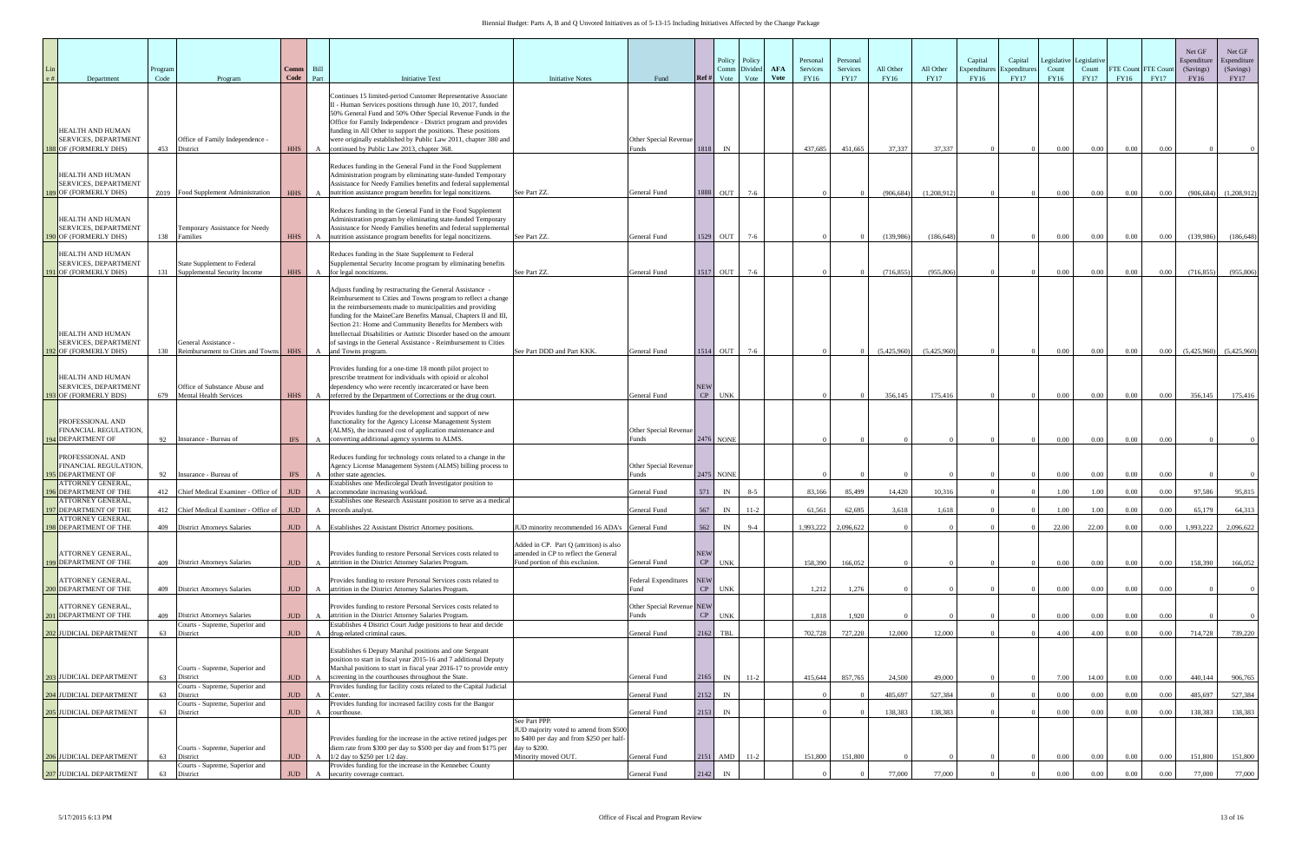| Department                                                                                      | Program<br>Code | Program                                                            | Comm<br>Code | Bill<br>Part | <b>Initiative Text</b>                                                                                                                                                                                                                                                                                                                                                                                                                                                                | <b>Initiative Notes</b>                                                                                                                                              | Fund                                | Policy<br>Policy<br>Divided<br>Comm<br>Ref#<br>Vote<br>Vote | <b>AFA</b><br><b>Vote</b> | Personal<br>Services<br>FY16 | Personal<br>Services<br><b>FY17</b> | All Other<br>FY16 | All Other<br><b>FY17</b> | Capital<br>Expenditur<br>FY16 | Capital<br>Expenditure<br><b>FY17</b> | Legislative<br>Count<br><b>FY16</b> | Legislativ<br>Count<br><b>FY17</b> | FTE Count<br>FY16 | FTE Cour<br><b>FY17</b> | Net GF<br>Espenditure<br>(Savings)<br>FY16 | Net GF<br>Espenditure<br>(Savings)<br><b>FY17</b> |
|-------------------------------------------------------------------------------------------------|-----------------|--------------------------------------------------------------------|--------------|--------------|---------------------------------------------------------------------------------------------------------------------------------------------------------------------------------------------------------------------------------------------------------------------------------------------------------------------------------------------------------------------------------------------------------------------------------------------------------------------------------------|----------------------------------------------------------------------------------------------------------------------------------------------------------------------|-------------------------------------|-------------------------------------------------------------|---------------------------|------------------------------|-------------------------------------|-------------------|--------------------------|-------------------------------|---------------------------------------|-------------------------------------|------------------------------------|-------------------|-------------------------|--------------------------------------------|---------------------------------------------------|
| HEALTH AND HUMAN<br><b>SERVICES, DEPARTMENT</b><br>188 OF (FORMERLY DHS)                        | 453             | Office of Family Independence -<br>District                        | <b>HHS</b>   | $\mathbf{A}$ | Continues 15 limited-period Customer Representative Associate<br>II - Human Services positions through June 10, 2017, funded<br>50% General Fund and 50% Other Special Revenue Funds in the<br>Office for Family Independence - District program and provides<br>funding in All Other to support the positions. These positions<br>were originally established by Public Law 2011, chapter 380 and<br>continued by Public Law 2013, chapter 368.                                      |                                                                                                                                                                      | Other Special Revenue<br>èmds       | 1818<br>IN                                                  |                           | 437,685                      | 451,665                             | 37,337            | 37,337                   |                               |                                       | $0.00\,$                            | $0.00\,$                           | 0.00              | 0.00                    |                                            |                                                   |
| HEALTH AND HUMAN<br><b>SERVICES, DEPARTMENT</b><br>189 OF (FORMERLY DHS)                        |                 | Z019 Food Supplement Administration                                | <b>HHS</b>   | $\mathbf{A}$ | Reduces funding in the General Fund in the Food Supplement<br>Administration program by eliminating state-funded Temporary<br>Assistance for Needy Families benefits and federal supplemental<br>nutrition assistance program benefits for legal noncitizens.                                                                                                                                                                                                                         | See Part ZZ.                                                                                                                                                         | General Fund                        | 1888<br><b>OUT</b><br>$7 - 6$                               |                           |                              |                                     | (906, 684)        | (1,208,912)              |                               |                                       | $0.00\,$                            | $0.00\,$                           | 0.00              | 0.00                    | (906, 684)                                 | (1,208,912)                                       |
| HEALTH AND HUMAN<br><b>SERVICES, DEPARTMENT</b><br>190 OF (FORMERLY DHS)                        | 138             | <b>Temporary Assistance for Needy</b><br>Families                  | <b>HHS</b>   | $\mathbf{A}$ | Reduces funding in the General Fund in the Food Supplement<br>Administration program by eliminating state-funded Temporary<br>Assistance for Needy Families benefits and federal supplemental<br>nutrition assistance program benefits for legal noncitizens.                                                                                                                                                                                                                         | See Part ZZ.                                                                                                                                                         | General Fund                        | 1529<br>OUT<br>$7-6$                                        |                           |                              |                                     | (139,986)         | (186, 648)               |                               |                                       | $0.00\,$                            | $0.00\,$                           | $0.00\,$          | $0.00\,$                | (139, 986)                                 | (186, 648)                                        |
| HEALTH AND HUMAN<br>SERVICES, DEPARTMENT<br>1 OF (FORMERLY DHS)                                 | 131             | State Supplement to Federal<br>Supplemental Security Income        | <b>HHS</b>   | $\mathbf{A}$ | Reduces funding in the State Supplement to Federal<br>Supplemental Security Income program by eliminating benefits<br>for legal noncitizens.                                                                                                                                                                                                                                                                                                                                          | See Part ZZ.                                                                                                                                                         | General Fund                        | 1517 OUT<br>$7-6$                                           |                           |                              |                                     | (716, 855)        | (955, 806)               |                               |                                       | $0.00\,$                            | 0.00                               | 0.00              | $0.00\,$                | (716, 855)                                 | (955,806)                                         |
| <b>HEALTH AND HUMAN</b><br>SERVICES, DEPARTMENT<br>2 OF (FORMERLY DHS)                          | 130             | General Assistance -<br>Reimbursement to Cities and Towns HHS      |              | A            | Adjusts funding by restructuring the General Assistance -<br>Reimbursement to Cities and Towns program to reflect a change<br>in the reimbursements made to municipalities and providing<br>funding for the MaineCare Benefits Manual, Chapters II and III,<br>Section 21: Home and Community Benefits for Members with<br>Intellectual Disabilities or Autistic Disorder based on the amount<br>of savings in the General Assistance - Reimbursement to Cities<br>and Towns program. | See Part DDD and Part KKK                                                                                                                                            | General Fund                        | 1514<br>OUT<br>$7-6$                                        |                           |                              |                                     | (5,425,960)       | (5,425,960)              |                               |                                       | $0.00\,$                            | $0.00\,$                           | 0.00              | $0.00\,$                | (5,425,960)                                | (5,425,960)                                       |
| HEALTH AND HUMAN<br>SERVICES, DEPARTMENT<br><b>BOF (FORMERLY BDS)</b>                           | 679             | Office of Substance Abuse and<br><b>Mental Health Services</b>     | <b>HHS</b>   | A            | Provides funding for a one-time 18 month pilot project to<br>prescribe treatment for individuals with opioid or alcohol<br>dependency who were recently incarcerated or have been<br>referred by the Department of Corrections or the drug court.                                                                                                                                                                                                                                     |                                                                                                                                                                      | General Fund                        | <b>NEW</b><br>CP<br><b>UNK</b>                              |                           |                              |                                     | 356,145           | 175,416                  |                               |                                       | 0.00                                | $0.00\,$                           | 0.00              | $0.00\,$                | 356,145                                    | 175,416                                           |
| PROFESSIONAL AND<br>FINANCIAL REGULATION,<br>4 DEPARTMENT OF                                    | 92              | Insurance - Bureau of                                              | <b>IFS</b>   | A            | Provides funding for the development and support of new<br>functionality for the Agency License Management System<br>(ALMS), the increased cost of application maintenance and<br>converting additional agency systems to ALMS.                                                                                                                                                                                                                                                       |                                                                                                                                                                      | Other Special Revenue<br>Funds      | 2476 NONE                                                   |                           |                              |                                     |                   |                          |                               |                                       | $0.00\,$                            | $0.00\,$                           | 0.00              | 0.00                    |                                            |                                                   |
| PROFESSIONAL AND<br>FINANCIAL REGULATION,<br><b>5 DEPARTMENT OF</b><br><b>ATTORNEY GENERAL,</b> | 92              | Insurance - Bureau of                                              | <b>IFS</b>   | $\mathbf{A}$ | Reduces funding for technology costs related to a change in the<br>Agency License Management System (ALMS) billing process to<br>other state agencies.<br>Establishes one Medicolegal Death Investigator position to                                                                                                                                                                                                                                                                  |                                                                                                                                                                      | Other Special Revenue<br>Funds      | 2475 NONE                                                   |                           |                              |                                     |                   |                          |                               |                                       | $0.00\,$                            | $0.00\,$                           | 0.00              | 0.00                    |                                            |                                                   |
| <b>SDEPARTMENT OF THE</b><br><b>ATTORNEY GENERAL</b>                                            | 412             | Chief Medical Examiner - Office of                                 | <b>JUD</b>   | $\mathbf{A}$ | accommodate increasing workload.<br>Establishes one Research Assistant position to serve as a medical                                                                                                                                                                                                                                                                                                                                                                                 |                                                                                                                                                                      | General Fund                        | 571<br>IN<br>$8 - 5$                                        |                           | 83,166                       | 85,499                              | 14,420            | 10,316                   |                               |                                       | 1.00                                | 1.00                               | 0.00              | 0.00                    | 97,586                                     | 95,815                                            |
| <b>DEPARTMENT OF THE</b><br><b>ATTORNEY GENERAL</b>                                             |                 | 412 Chief Medical Examiner - Office of JUD                         |              | A            | records analyst.                                                                                                                                                                                                                                                                                                                                                                                                                                                                      |                                                                                                                                                                      | General Fund                        | 567<br>IN<br>$11-2$                                         |                           | 61.561                       | 62.695                              | 3.618             | 1.618                    |                               |                                       | 1.00                                | 1.00                               | 0.00              | 0.00                    | 65,179                                     | 64.313                                            |
| 198 DEPARTMENT OF THE<br><b>ATTORNEY GENERAL,</b><br>199 DEPARTMENT OF THE                      |                 | 409 District Attorneys Salaries<br>409 District Attorneys Salaries | JUD<br>JUD - | A            | A Establishes 22 Assistant District Attorney positions.<br>Provides funding to restore Personal Services costs related to<br>attrition in the District Attorney Salaries Program.                                                                                                                                                                                                                                                                                                     | JUD minority recommended 16 ADA's General Fund<br>Added in CP. Part Q (attrition) is also<br>umended in CP to reflect the General<br>Fund portion of this exclusion. | General Fund                        | 562<br>IN<br>$9 - 4$<br><b>NEW</b><br>CP<br><b>UNK</b>      |                           | 1.993.222<br>158,390         | 2.096.622<br>166,052                |                   |                          |                               |                                       | 22.00<br>0.00                       | 22.00<br>0.00                      | 0.00<br>$0.00\,$  | 0.00<br>0.00            | 1,993,222<br>158,390                       | 2,096,622<br>166,052                              |
| <b>ATTORNEY GENERAL,</b><br>200 DEPARTMENT OF THE                                               |                 | 409 District Attorneys Salaries                                    | <b>JUD</b>   | A            | Provides funding to restore Personal Services costs related to<br>attrition in the District Attorney Salaries Program.                                                                                                                                                                                                                                                                                                                                                                |                                                                                                                                                                      | <b>Federal Expenditures</b><br>∛und | <b>NEW</b><br>CP UNK                                        |                           | 1,212                        | 1,276                               |                   |                          |                               |                                       | 0.00                                | $0.00\,$                           | $0.00\,$          | 0.00                    |                                            |                                                   |
| <b>ATTORNEY GENERAL,</b><br><b>I DEPARTMENT OF THE</b>                                          |                 | 409 District Attorneys Salaries                                    | <b>JUD</b>   | A            | Provides funding to restore Personal Services costs related to<br>attrition in the District Attorney Salaries Program.                                                                                                                                                                                                                                                                                                                                                                |                                                                                                                                                                      | Other Special Revenue NEW<br>Funds  | CP UNK                                                      |                           | 1,818                        | 1,920                               |                   |                          |                               |                                       | $0.00\,$                            | $0.00\,$                           | 0.00              | 0.00                    |                                            |                                                   |
| 2 JUDICIAL DEPARTMENT                                                                           | 63              | Courts - Supreme, Superior and<br>District                         | <b>JUD</b>   | A            | Establishes 4 District Court Judge positions to hear and decide<br>drug-related criminal cases.                                                                                                                                                                                                                                                                                                                                                                                       |                                                                                                                                                                      | General Fund                        | 2162<br>TBL                                                 |                           | 702,728                      | 727,220                             | 12,000            | 12,000                   |                               |                                       | 4.00                                | 4.00                               | 0.00              | 0.00                    | 714,728                                    | 739,220                                           |
|                                                                                                 |                 | Courts - Supreme, Superior and                                     |              |              | Establishes 6 Deputy Marshal positions and one Sergeant<br>position to start in fiscal year 2015-16 and 7 additional Deputy<br>Marshal positions to start in fiscal year 2016-17 to provide entry                                                                                                                                                                                                                                                                                     |                                                                                                                                                                      |                                     |                                                             |                           |                              |                                     |                   |                          |                               |                                       |                                     |                                    |                   |                         |                                            |                                                   |
| 203 JUDICIAL DEPARTMENT                                                                         | 63              | District<br>Courts - Supreme, Superior and                         | JUD -        | A            | screening in the courthouses throughout the State.<br>Provides funding for facility costs related to the Capital Judicial                                                                                                                                                                                                                                                                                                                                                             |                                                                                                                                                                      | General Fund                        | 2165<br>IN<br>$11-2$                                        |                           | 415,644                      | 857,765                             | 24,500            | 49,000                   |                               |                                       | 7.00                                | 14.00                              | 0.00              | $0.00\,$                | 440,144                                    | 906,765                                           |
| 204 JUDICIAL DEPARTMENT                                                                         | 63              | District<br>Courts - Supreme, Superior and                         | <b>JUD</b>   | $\mathbf{A}$ | Center.<br>Provides funding for increased facility costs for the Bangor                                                                                                                                                                                                                                                                                                                                                                                                               |                                                                                                                                                                      | General Fund                        | 2152<br>$\ensuremath{\text{IN}}$                            |                           |                              |                                     | 485.697           | 527.384                  |                               |                                       | $0.00\,$                            | 0.00                               | 0.00              | 0.00                    | 485,697                                    | 527,384                                           |
| 205 JUDICIAL DEPARTMENT                                                                         | 63              | District                                                           | <b>JUD</b>   | $\mathbf{A}$ | courthouse.                                                                                                                                                                                                                                                                                                                                                                                                                                                                           | See Part PPP.                                                                                                                                                        | General Fund                        | 2153<br>$\ensuremath{\text{IN}}$                            |                           |                              |                                     | 138,383           | 138,383                  |                               |                                       | $0.00\,$                            | 0.00                               | 0.00              | $0.00\,$                | 138,383                                    | 138,383                                           |
| 206 JUDICIAL DEPARTMENT                                                                         | 63              | Courts - Supreme, Superior and<br>District                         | <b>JUD</b>   | A            | Provides funding for the increase in the active retired judges per to \$400 per day and from \$250 per half-<br>diem rate from \$300 per day to \$500 per day and from \$175 per<br>1/2 day to \$250 per 1/2 day.                                                                                                                                                                                                                                                                     | JUD majority voted to amend from \$500<br>day to \$200.<br>Minority moved OUT.                                                                                       | General Fund                        | 2151 AMD<br>$11-2$                                          |                           | 151,800                      | 151,800                             |                   |                          |                               |                                       | $0.00\,$                            | $0.00\,$                           | 0.00              | $0.00\,$                | 151,800                                    | 151,800                                           |
| 207 JUDICIAL DEPARTMENT                                                                         | 63              | Courts - Supreme, Superior and<br>District                         | <b>JUD</b>   | $\mathbf{A}$ | Provides funding for the increase in the Kennebec County<br>security coverage contract.                                                                                                                                                                                                                                                                                                                                                                                               |                                                                                                                                                                      | General Fund                        | 2142                                                        |                           |                              |                                     | 77,000            | 77,000                   |                               |                                       | 0.00                                | 0.00                               | 0.00              | 0.00                    | 77,000                                     | 77,000                                            |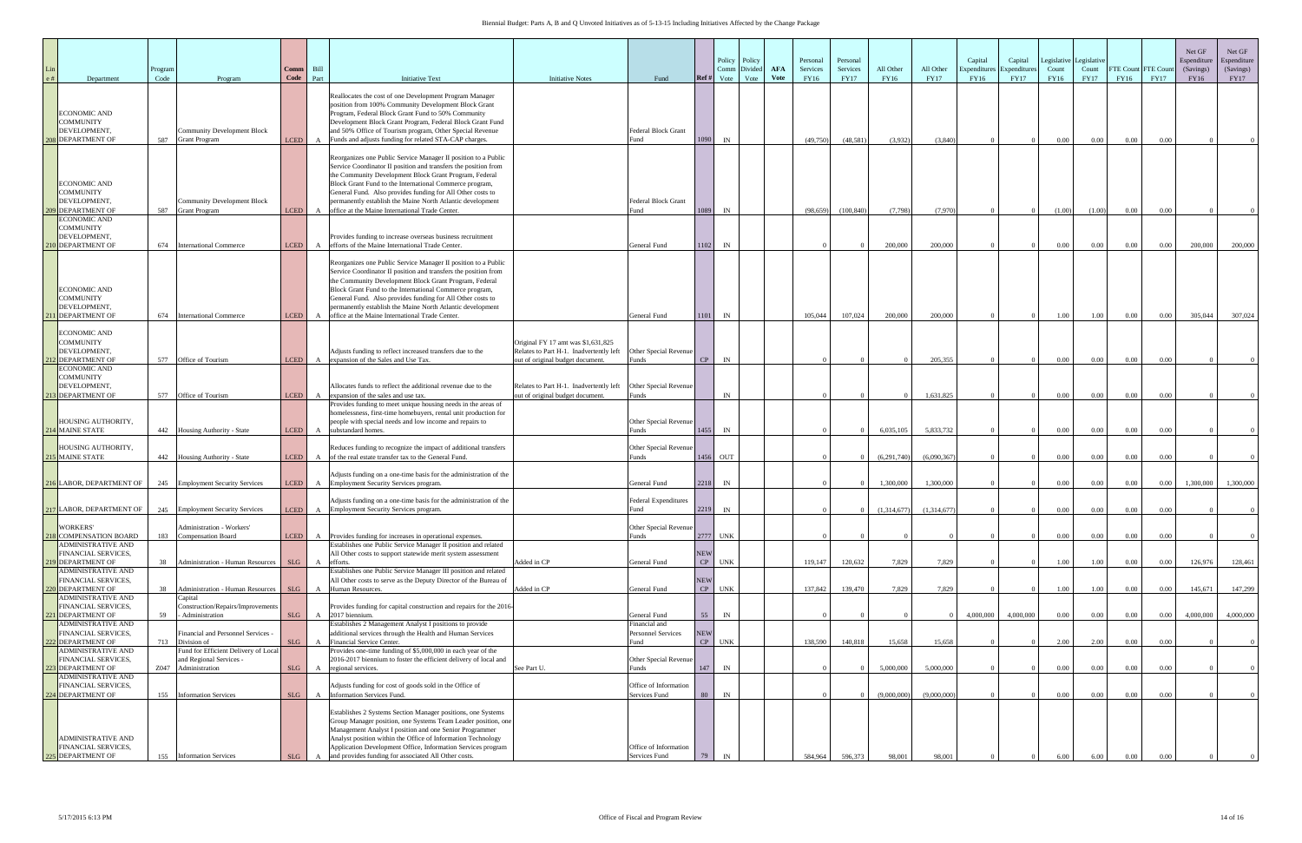| Department                                                                                          | Program<br>Code | Program                                                                                  | Comm<br>Code                    | Bill<br>Part | <b>Initiative Text</b>                                                                                                                                                                                                                                                                                                                                                                                                                | <b>Initiative Notes</b>                                                                                                                 | Fund                                               | Ref #                        | Policy<br>Policy<br>Divided<br>Comm<br>Vote<br>Vote | <b>AFA</b><br><b>V</b> ote | Personal<br>Services<br>FY16 | Personal<br>Services<br><b>FY17</b> | All Other<br>FY16        | All Other<br><b>FY17</b> | Capital<br>Expenditur<br>FY16 | Capital<br>Expenditure<br><b>FY17</b> | Legislative<br>Count<br>FY16 | Legislativ<br>Count<br><b>FY17</b> | <b>FTE Count FTE Cour</b><br>FY16 | <b>FY17</b>  | Net GF<br>Espenditure<br>(Savings)<br>FY16 | Net GF<br>Espenditure<br>(Savings)<br><b>FY17</b> |
|-----------------------------------------------------------------------------------------------------|-----------------|------------------------------------------------------------------------------------------|---------------------------------|--------------|---------------------------------------------------------------------------------------------------------------------------------------------------------------------------------------------------------------------------------------------------------------------------------------------------------------------------------------------------------------------------------------------------------------------------------------|-----------------------------------------------------------------------------------------------------------------------------------------|----------------------------------------------------|------------------------------|-----------------------------------------------------|----------------------------|------------------------------|-------------------------------------|--------------------------|--------------------------|-------------------------------|---------------------------------------|------------------------------|------------------------------------|-----------------------------------|--------------|--------------------------------------------|---------------------------------------------------|
| <b>ECONOMIC AND</b><br><b>COMMUNITY</b><br>DEVELOPMENT,<br><b>8</b> DEPARTMENT OF                   | 587             | Community Development Block<br><b>Grant Program</b>                                      | <b>LCED</b>                     |              | Reallocates the cost of one Development Program Manager<br>position from 100% Community Development Block Grant<br>Program, Federal Block Grant Fund to 50% Community<br>Development Block Grant Program, Federal Block Grant Fund<br>and 50% Office of Tourism program, Other Special Revenue<br>Funds and adjusts funding for related STA-CAP charges.                                                                              |                                                                                                                                         | <b>Federal Block Grant</b><br>Fund                 | 1090                         | IN                                                  |                            | (49,750)                     | (48, 581)                           | (3,932)                  | (3,840)                  |                               |                                       | $0.00\,$                     | $0.00\,$                           | 0.00                              | 0.00         |                                            |                                                   |
| <b>ECONOMIC AND</b><br><b>COMMUNITY</b><br>DEVELOPMENT,<br>09 DEPARTMENT OF                         | 587             | Community Development Block<br><b>Grant Program</b>                                      | <b>LCED</b>                     |              | Reorganizes one Public Service Manager II position to a Public<br>Service Coordinator II position and transfers the position from<br>the Community Development Block Grant Program, Federal<br>Block Grant Fund to the International Commerce program,<br>General Fund. Also provides funding for All Other costs to<br>permanently establish the Maine North Atlantic development<br>office at the Maine International Trade Center. |                                                                                                                                         | Federal Block Grant<br>Fund                        | 1089                         | IN                                                  |                            | (98, 659)                    | (100, 840)                          | (7,798)                  | (7.970)                  |                               |                                       | (1.00)                       | (1.00)                             | $0.00\,$                          | 0.00         |                                            |                                                   |
| <b>ECONOMIC AND</b><br><b>COMMUNITY</b><br>DEVELOPMENT,<br><b>10 DEPARTMENT OF</b>                  | 674             | <b>International Commerce</b>                                                            | <b>LCED</b>                     |              | Provides funding to increase overseas business recruitment<br>efforts of the Maine International Trade Center.                                                                                                                                                                                                                                                                                                                        |                                                                                                                                         | General Fund                                       | 1102                         | IN                                                  |                            |                              |                                     | 200,000                  | 200,000                  |                               |                                       | $0.00\,$                     | $0.00\,$                           | 0.00                              | $0.00\,$     | 200,000                                    | 200,000                                           |
| <b>ECONOMIC AND</b><br><b>COMMUNITY</b><br>DEVELOPMENT,<br><b>11 DEPARTMENT OF</b>                  | 674             | <b>International Commerce</b>                                                            | LCED                            |              | Reorganizes one Public Service Manager II position to a Public<br>Service Coordinator II position and transfers the position from<br>the Community Development Block Grant Program, Federal<br>Block Grant Fund to the International Commerce program,<br>General Fund. Also provides funding for All Other costs to<br>permanently establish the Maine North Atlantic development<br>office at the Maine International Trade Center. |                                                                                                                                         | General Fund                                       | 1101                         | IN                                                  |                            | 105,044                      | 107,024                             | 200,000                  | 200,000                  |                               |                                       | 1.00                         | $1.00\,$                           | 0.00                              | 0.00         | 305,044                                    | 307,024                                           |
| <b>ECONOMIC AND</b><br><b>COMMUNITY</b><br>DEVELOPMENT,<br>12 DEPARTMENT OF                         |                 | 577 Office of Tourism                                                                    |                                 |              | Adjusts funding to reflect increased transfers due to the<br>expansion of the Sales and Use Tax.                                                                                                                                                                                                                                                                                                                                      | Original FY 17 amt was \$1,631,825<br>Relates to Part H-1. Inadvertently left                                                           | Other Special Revenue<br>Funds                     |                              |                                                     |                            |                              |                                     |                          |                          |                               |                                       |                              |                                    |                                   |              |                                            |                                                   |
| <b>ECONOMIC AND</b><br><b>COMMUNITY</b><br>DEVELOPMENT,<br><b>3 DEPARTMENT OF</b>                   | 577             | Office of Tourism                                                                        | <b>LCED</b><br><b>LCED</b>      |              | Allocates funds to reflect the additional revenue due to the<br>expansion of the sales and use tax.                                                                                                                                                                                                                                                                                                                                   | out of original budget document.<br>Relates to Part H-1. Inadvertently left   Other Special Revenue<br>out of original budget document. | Funds                                              | CP                           | IN<br>IN                                            |                            |                              |                                     |                          | 205,355<br>1,631,825     |                               |                                       | $0.00\,$<br>$0.00\,$         | $0.00\,$<br>$0.00\,$               | 0.00<br>0.00                      | 0.00<br>0.00 |                                            |                                                   |
| <b>HOUSING AUTHORITY,</b><br>214 MAINE STATE                                                        |                 | 442 Housing Authority - State                                                            | <b>LCED</b>                     | $\mathbf{A}$ | Provides funding to meet unique housing needs in the areas of<br>homelessness, first-time homebuyers, rental unit production for<br>people with special needs and low income and repairs to<br>substandard homes.                                                                                                                                                                                                                     |                                                                                                                                         | Other Special Revenue<br><b>unds</b>               | 1455                         | IN                                                  |                            |                              |                                     | 6.035.105                | 5.833.732                |                               |                                       | 0.00                         | $0.00\,$                           | $0.00\,$                          | 0.00         |                                            |                                                   |
| HOUSING AUTHORITY,<br><b>15 MAINE STATE</b>                                                         | 442             | Housing Authority - State                                                                | <b>LCED</b>                     | $\mathbf{A}$ | Reduces funding to recognize the impact of additional transfers<br>of the real estate transfer tax to the General Fund.                                                                                                                                                                                                                                                                                                               |                                                                                                                                         | Other Special Revenue<br>Funds                     | 1456                         | OUT                                                 |                            |                              |                                     | (6,291,740)              | (6,090,367)              |                               |                                       | $0.00\,$                     | 0.00                               | 0.00                              | 0.00         |                                            |                                                   |
| 216 LABOR, DEPARTMENT OF                                                                            | 245             | <b>Employment Security Services</b>                                                      | <b>LCED</b>                     |              | Adjusts funding on a one-time basis for the administration of the<br>A Employment Security Services program.<br>Adjusts funding on a one-time basis for the administration of the                                                                                                                                                                                                                                                     |                                                                                                                                         | General Fund<br>Federal Expenditures               | 2218                         | IN                                                  |                            |                              |                                     | 1,300,000                | 1,300,000                |                               |                                       | $0.00\,$                     | $0.00\,$                           | 0.00                              | $0.00\,$     | 1,300,000                                  | 1,300,000                                         |
| 217 LABOR, DEPARTMENT OF 245 Employment Security Services<br><b>WORKERS</b>                         |                 | Administration - Workers'                                                                |                                 |              | <b>LCED</b> A Employment Security Services program.                                                                                                                                                                                                                                                                                                                                                                                   |                                                                                                                                         | Fund<br>Other Special Revenue                      | 2219                         | IN                                                  |                            |                              |                                     | (1,314,677)              | (1,314,677)              |                               |                                       | 0.00                         | $0.00\,$                           | 0.00                              | 0.00         |                                            |                                                   |
| 8 COMPENSATION BOARD<br><b>ADMINISTRATIVE AND</b><br>FINANCIAL SERVICES,<br>9 DEPARTMENT OF         | 183<br>38       | <b>Compensation Board</b><br><b>Administration - Human Resources</b>                     | LCED <sup>1</sup><br><b>SLG</b> |              | A Provides funding for increases in operational expenses.<br>Establishes one Public Service Manager II position and related<br>All Other costs to support statewide merit system assessment<br>efforts.                                                                                                                                                                                                                               | Added in CP                                                                                                                             | Funds<br>General Fund                              | 2777 UNK<br><b>NEW</b><br>CP | <b>UNK</b>                                          |                            | 119,147                      | 120,632                             | 7,829                    | 7,829                    |                               |                                       | $0.00\,$<br>1.00             | $0.00\,$<br>1.00                   | 0.00<br>0.00                      | 0.00<br>0.00 | 126,976                                    | 128,461                                           |
| <b>ADMINISTRATIVE AND</b><br>FINANCIAL SERVICES,<br>220 DEPARTMENT OF<br><b>ADMINISTRATIVE AND</b>  | 38              | Administration - Human Resources<br>Capital                                              | SLG                             |              | Establishes one Public Service Manager III position and related<br>All Other costs to serve as the Deputy Director of the Bureau of<br>Human Resources.                                                                                                                                                                                                                                                                               | Added in CP                                                                                                                             | General Fund                                       | <b>NEW</b><br>CP             | <b>UNK</b>                                          |                            | 137,842                      | 139,470                             | 7,829                    | 7,829                    |                               |                                       | 1.00                         | 1.00                               | 0.00                              | $0.00\,$     | 145,671                                    | 147,299                                           |
| <b>FINANCIAL SERVICES,</b><br>221 DEPARTMENT OF<br><b>ADMINISTRATIVE AND</b><br>FINANCIAL SERVICES. | 59              | Construction/Repairs/Improvements<br>Administration<br>inancial and Personnel Services - | SLG                             |              | Provides funding for capital construction and repairs for the 2016-<br>2017 biennium<br>Establishes 2 Management Analyst I positions to provide<br>additional services through the Health and Human Services                                                                                                                                                                                                                          |                                                                                                                                         | General Fund<br>inancial and<br>Personnel Services | 55<br><b>NEW</b>             | IN                                                  |                            |                              |                                     |                          |                          | 4,000,000                     | 4,000,000                             | $0.00\,$                     | 0.00                               | $0.00\,$                          | $0.00\,$     | 4,000,000                                  | 4,000,000                                         |
| 222 DEPARTMENT OF<br><b>ADMINISTRATIVE AND</b><br><b>FINANCIAL SERVICES,</b>                        | 713             | Division of<br>Fund for Efficient Delivery of Local<br>and Regional Services -           | SLG                             | $\mathbf{A}$ | Financial Service Center.<br>Provides one-time funding of \$5,000,000 in each year of the<br>2016-2017 biennium to foster the efficient delivery of local and                                                                                                                                                                                                                                                                         |                                                                                                                                         | `und<br>Other Special Revenue                      | CP                           | <b>UNK</b>                                          |                            | 138,590                      | 140,818                             | 15,658                   | 15,658                   |                               |                                       | 2.00                         | 2.00                               | 0.00                              | 0.00         |                                            |                                                   |
| 223 DEPARTMENT OF<br>ADMINISTRATIVE AND<br>FINANCIAL SERVICES,<br>224 DEPARTMENT OF                 | Z047<br>155     | Administration<br><b>Information Services</b>                                            | SLG<br>SLG                      |              | A regional services.<br>Adjusts funding for cost of goods sold in the Office of<br>Information Services Fund.                                                                                                                                                                                                                                                                                                                         | See Part U.                                                                                                                             | `unds<br>Office of Information<br>Services Fund    | 147<br>80                    | IN<br>IN                                            |                            |                              |                                     | 5,000,000<br>(9,000,000) | 5,000,000<br>(9,000,000) |                               |                                       | $0.00\,$<br>$0.00\,$         | $0.00\,$<br>$0.00\,$               | 0.00<br>0.00                      | 0.00<br>0.00 |                                            |                                                   |
| <b>ADMINISTRATIVE AND</b><br>FINANCIAL SERVICES,                                                    |                 |                                                                                          |                                 |              | Establishes 2 Systems Section Manager positions, one Systems<br>Group Manager position, one Systems Team Leader position, one<br>Management Analyst I position and one Senior Programmer<br>Analyst position within the Office of Information Technology<br>Application Development Office, Information Services program                                                                                                              |                                                                                                                                         | Office of Information                              |                              |                                                     |                            |                              |                                     |                          |                          |                               |                                       |                              |                                    |                                   |              |                                            |                                                   |
| 225 DEPARTMENT OF                                                                                   | 155             | <b>Information Services</b>                                                              | SLG                             |              | and provides funding for associated All Other costs.                                                                                                                                                                                                                                                                                                                                                                                  |                                                                                                                                         | Services Fund                                      | 79                           |                                                     |                            | 584,964                      | 596,373                             | 98,001                   | 98,001                   |                               |                                       | 6.00                         | 6.00                               | 0.00                              | 0.00         |                                            |                                                   |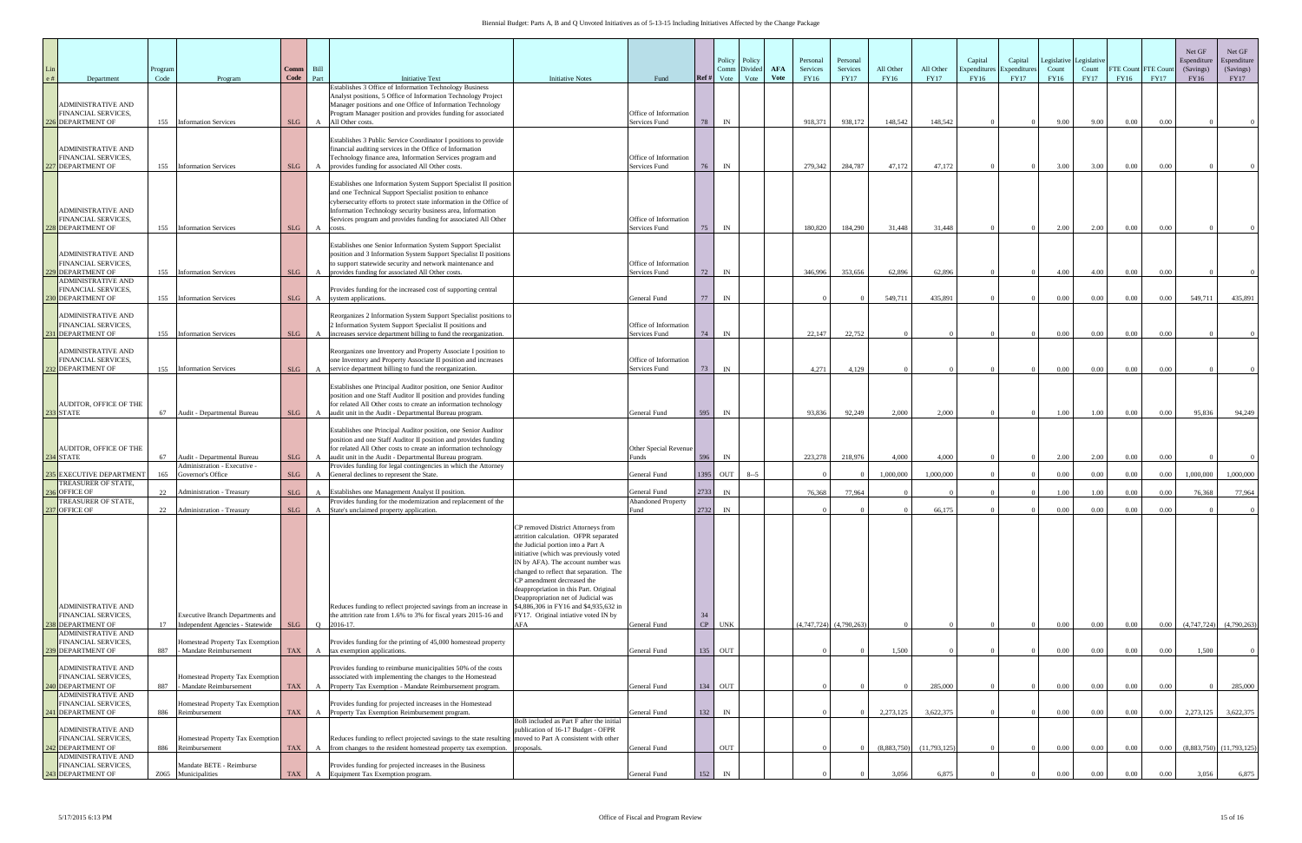| Department                                                                   | Program<br>Code |                             | Program                                                              | Comm<br>Code | Bill<br>Part | <b>Initiative Text</b>                                                                                                                                                                                                                                             | <b>Initiative Notes</b>                                                                                                                                                                                                                                                                                                                                     | Fund                                      | Ref#         | Policy<br>Comm<br>Vote | Policy<br>Divided<br>Vote | <b>AFA</b><br><b>Vote</b> | Personal<br>Services<br>FY16 | Personal<br>Services<br><b>FY17</b> | All Other<br>FY16 | All Other<br><b>FY17</b> | Capital<br>Expenditure<br>FY16 | Capital<br>Expenditure<br><b>FY17</b> | Legislative<br>Count<br>FY16 | Legislative<br>Count<br><b>FY17</b> | FTE Count FTE Cour<br>FY16 | <b>FY17</b> | Net GF<br>Espenditure<br>(Savings)<br>FY16 | Net GF<br>Espenditure<br>(Savings)<br><b>FY17</b> |
|------------------------------------------------------------------------------|-----------------|-----------------------------|----------------------------------------------------------------------|--------------|--------------|--------------------------------------------------------------------------------------------------------------------------------------------------------------------------------------------------------------------------------------------------------------------|-------------------------------------------------------------------------------------------------------------------------------------------------------------------------------------------------------------------------------------------------------------------------------------------------------------------------------------------------------------|-------------------------------------------|--------------|------------------------|---------------------------|---------------------------|------------------------------|-------------------------------------|-------------------|--------------------------|--------------------------------|---------------------------------------|------------------------------|-------------------------------------|----------------------------|-------------|--------------------------------------------|---------------------------------------------------|
| <b>ADMINISTRATIVE AND</b><br>FINANCIAL SERVICES,                             |                 |                             |                                                                      |              |              | Establishes 3 Office of Information Technology Business<br>Analyst positions, 5 Office of Information Technology Project<br>Manager positions and one Office of Information Technology<br>Program Manager position and provides funding for associated             |                                                                                                                                                                                                                                                                                                                                                             | Office of Information                     |              |                        |                           |                           |                              |                                     |                   |                          |                                |                                       |                              |                                     |                            |             |                                            |                                                   |
| 26 DEPARTMENT OF                                                             | 155             | <b>Information Services</b> |                                                                      | SLG          |              | All Other costs.<br>Establishes 3 Public Service Coordinator I positions to provide                                                                                                                                                                                |                                                                                                                                                                                                                                                                                                                                                             | Services Fund                             | 78           | IN                     |                           |                           | 918,371                      | 938,172                             | 148,542           | 148,542                  |                                |                                       | 9.00                         | 9.00                                | 0.00                       | 0.00        |                                            |                                                   |
| <b>ADMINISTRATIVE AND</b><br>FINANCIAL SERVICES,<br>27 DEPARTMENT OF         | 155             | <b>Information Services</b> |                                                                      | <b>SLG</b>   |              | financial auditing services in the Office of Information<br>Technology finance area, Information Services program and<br>provides funding for associated All Other costs.                                                                                          |                                                                                                                                                                                                                                                                                                                                                             | Office of Information<br>Services Fund    | 76           | IN                     |                           |                           | 279,342                      | 284,787                             | 47,172            | 47,172                   |                                |                                       | 3.00                         | 3.00                                | 0.00                       | 0.00        |                                            |                                                   |
| <b>ADMINISTRATIVE AND</b>                                                    |                 |                             |                                                                      |              |              | Establishes one Information System Support Specialist II position<br>and one Technical Support Specialist position to enhance<br>cybersecurity efforts to protect state information in the Office of<br>Information Technology security business area, Information |                                                                                                                                                                                                                                                                                                                                                             |                                           |              |                        |                           |                           |                              |                                     |                   |                          |                                |                                       |                              |                                     |                            |             |                                            |                                                   |
| FINANCIAL SERVICES,<br>228 DEPARTMENT OF                                     | 155             | <b>Information Services</b> |                                                                      | SLG          | A            | Services program and provides funding for associated All Other<br>costs.                                                                                                                                                                                           |                                                                                                                                                                                                                                                                                                                                                             | Office of Information<br>Services Fund    | 75           | IN                     |                           |                           | 180,820                      | 184,290                             | 31,448            | 31,448                   |                                |                                       | 2.00                         | 2.00                                | 0.00                       | 0.00        |                                            |                                                   |
| <b>ADMINISTRATIVE AND</b><br>FINANCIAL SERVICES,                             |                 |                             |                                                                      |              |              | Establishes one Senior Information System Support Specialist<br>position and 3 Information System Support Specialist II positions<br>to support statewide security and network maintenance and                                                                     |                                                                                                                                                                                                                                                                                                                                                             | Office of Information                     |              |                        |                           |                           |                              |                                     |                   |                          |                                |                                       |                              |                                     |                            |             |                                            |                                                   |
| 229 DEPARTMENT OF<br><b>ADMINISTRATIVE AND</b>                               | 155             | <b>Information Services</b> |                                                                      | SLG          | A            | provides funding for associated All Other costs.                                                                                                                                                                                                                   |                                                                                                                                                                                                                                                                                                                                                             | Services Fund                             | 72           | IN                     |                           |                           | 346,996                      | 353,656                             | 62,896            | 62,896                   |                                |                                       | 4.00                         | 4.00                                | 0.00                       | 0.00        |                                            |                                                   |
| FINANCIAL SERVICES,<br><b>230 DEPARTMENT OF</b>                              | 155             | <b>Information Services</b> |                                                                      | SLG          | $\mathbf{A}$ | Provides funding for the increased cost of supporting central<br>system applications.                                                                                                                                                                              |                                                                                                                                                                                                                                                                                                                                                             | General Fund                              | 77           | IN                     |                           |                           |                              |                                     | 549,711           | 435,891                  |                                |                                       | $0.00\,$                     | 0.00                                | 0.00                       | $0.00\,$    | 549,711                                    | 435,891                                           |
| <b>ADMINISTRATIVE AND</b><br>FINANCIAL SERVICES,<br>231 DEPARTMENT OF        | 155             | <b>Information Services</b> |                                                                      | SLG          |              | Reorganizes 2 Information System Support Specialist positions to<br>2 Information System Support Specialist II positions and<br>increases service department billing to fund the reorganization.                                                                   |                                                                                                                                                                                                                                                                                                                                                             | Office of Information<br>Services Fund    | 74           | IN                     |                           |                           | 22,147                       | 22,752                              |                   |                          |                                |                                       | 0.00                         | $0.00\,$                            | 0.00                       | 0.00        |                                            |                                                   |
| <b>ADMINISTRATIVE AND</b><br>FINANCIAL SERVICES,<br>232 DEPARTMENT OF        | 155             | <b>Information Services</b> |                                                                      | SLG          |              | Reorganizes one Inventory and Property Associate I position to<br>one Inventory and Property Associate II position and increases<br>service department billing to fund the reorganization.                                                                         |                                                                                                                                                                                                                                                                                                                                                             | Office of Information<br>Services Fund    | 73           | IN                     |                           |                           | 4,271                        | 4.129                               |                   |                          |                                |                                       | $0.00\,$                     | 0.00                                | 0.00                       | 0.00        |                                            |                                                   |
|                                                                              |                 |                             |                                                                      |              |              | Establishes one Principal Auditor position, one Senior Auditor<br>position and one Staff Auditor II position and provides funding                                                                                                                                  |                                                                                                                                                                                                                                                                                                                                                             |                                           |              |                        |                           |                           |                              |                                     |                   |                          |                                |                                       |                              |                                     |                            |             |                                            |                                                   |
| <b>AUDITOR, OFFICE OF THE</b><br>233 STATE                                   | 67              |                             | Audit - Departmental Bureau                                          | SLG          | $\mathbf{A}$ | for related All Other costs to create an information technology<br>audit unit in the Audit - Departmental Bureau program.                                                                                                                                          |                                                                                                                                                                                                                                                                                                                                                             | General Fund                              | 595          | IN                     |                           |                           | 93.836                       | 92,249                              | 2.000             | 2.000                    |                                |                                       | 1.00                         | 1.00                                | $0.00\,$                   | 0.00        | 95,836                                     | 94,249                                            |
| AUDITOR, OFFICE OF THE                                                       |                 |                             |                                                                      |              |              | Establishes one Principal Auditor position, one Senior Auditor<br>position and one Staff Auditor II position and provides funding<br>for related All Other costs to create an information technology                                                               |                                                                                                                                                                                                                                                                                                                                                             | Other Special Revenue                     |              |                        |                           |                           |                              |                                     |                   |                          |                                |                                       |                              |                                     |                            |             |                                            |                                                   |
| 234 STATE                                                                    | 67              |                             | Audit - Departmental Bureau<br>Administration - Executive            | SLG          | $\mathbf{A}$ | audit unit in the Audit - Departmental Bureau program.<br>Provides funding for legal contingencies in which the Attorney                                                                                                                                           |                                                                                                                                                                                                                                                                                                                                                             | Funds                                     | 596          | IN                     |                           |                           | 223,278                      | 218,976                             | 4,000             | 4.000                    |                                |                                       | 2.00                         | 2.00                                | 0.00                       | 0.00        |                                            |                                                   |
| 235 EXECUTIVE DEPARTMENT<br>TREASURER OF STATE,                              | 165             | Governor's Office           |                                                                      | SLG          |              | General declines to represent the State.                                                                                                                                                                                                                           |                                                                                                                                                                                                                                                                                                                                                             | General Fund                              | 1395         | OUT                    | $8 - 5$                   |                           |                              |                                     | 1,000,000         | 1,000,000                |                                |                                       | $0.00\,$                     | $0.00\,$                            | 0.00                       | 0.00        | 1,000,000                                  | 1,000,000                                         |
| <b>36 OFFICE OF</b><br>TREASURER OF STATE,                                   | 22              |                             | <b>Administration - Treasury</b>                                     | SLG          |              | Establishes one Management Analyst II position.<br>Provides funding for the modernization and replacement of the                                                                                                                                                   |                                                                                                                                                                                                                                                                                                                                                             | General Fund<br><b>Abandoned Property</b> | 2733         | IN                     |                           |                           | 76,368                       | 77,964                              |                   |                          |                                |                                       | 1.00                         | 1.00                                | 0.00                       | 0.00        | 76.368                                     | 77,964                                            |
| 237 OFFICE OF                                                                |                 |                             | 22 Administration - Treasury                                         | SLG          | $\mathbf{A}$ | State's unclaimed property application.                                                                                                                                                                                                                            |                                                                                                                                                                                                                                                                                                                                                             | Fund                                      | 2732         | IN                     |                           |                           |                              |                                     |                   | 66.175                   |                                |                                       | 0.00                         | $0.00\,$                            | 0.00                       | 0.00        |                                            |                                                   |
|                                                                              |                 |                             |                                                                      |              |              |                                                                                                                                                                                                                                                                    | CP removed District Attorneys from<br>attrition calculation. OFPR separated<br>the Judicial portion into a Part A<br>initiative (which was previously voted<br>IN by AFA). The account number was<br>changed to reflect that separation. The<br>CP amendment decreased the<br>deappropriation in this Part. Original<br>Deappropriation net of Judicial was |                                           |              |                        |                           |                           |                              |                                     |                   |                          |                                |                                       |                              |                                     |                            |             |                                            |                                                   |
| <b>ADMINISTRATIVE AND</b><br>FINANCIAL SERVICES.<br>238 DEPARTMENT OF        | 17              |                             | Executive Branch Departments and<br>Independent Agencies - Statewide | SLG          |              | Reduces funding to reflect projected savings from an increase in<br>the attrition rate from 1.6% to 3% for fiscal years 2015-16 and<br>Q 2016-17.                                                                                                                  | \$4,886,306 in FY16 and \$4,935,632 in<br>FY17. Original intiative voted IN by<br>AFA                                                                                                                                                                                                                                                                       | General Fund                              | 34<br>CP UNK |                        |                           |                           | $(4,747,724)$ $(4,790,263)$  |                                     |                   |                          |                                |                                       | $0.00\,$                     | $0.00\,$                            | 0.00                       | $0.00\,$    | (4,747,724)                                | (4,790,263)                                       |
| <b>ADMINISTRATIVE AND</b><br>FINANCIAL SERVICES,<br>239 DEPARTMENT OF        | 887             |                             | Homestead Property Tax Exemption<br>- Mandate Reimbursement          | <b>TAX</b>   |              | Provides funding for the printing of 45,000 homestead property<br>tax exemption applications.                                                                                                                                                                      |                                                                                                                                                                                                                                                                                                                                                             | General Fund                              | 135          | OUT                    |                           |                           |                              |                                     | 1,500             |                          |                                |                                       | $0.00\,$                     | $0.00\,$                            | 0.00                       | 0.00        | 1,500                                      |                                                   |
| <b>ADMINISTRATIVE AND</b><br>FINANCIAL SERVICES,<br><b>240 DEPARTMENT OF</b> | 887             |                             | Homestead Property Tax Exemption<br>- Mandate Reimbursement          | <b>TAX</b>   |              | Provides funding to reimburse municipalities 50% of the costs<br>associated with implementing the changes to the Homestead<br>A Property Tax Exemption - Mandate Reimbursement program.                                                                            |                                                                                                                                                                                                                                                                                                                                                             | General Fund                              | 134 OUT      |                        |                           |                           |                              |                                     |                   | 285,000                  |                                |                                       | $0.00\,$                     | $0.00\,$                            | 0.00                       | 0.00        |                                            | 285,000                                           |
| <b>ADMINISTRATIVE AND</b><br>FINANCIAL SERVICES,<br>241 DEPARTMENT OF        | 886             | Reimbursement               | Homestead Property Tax Exemption                                     | <b>TAX</b>   |              | Provides funding for projected increases in the Homestead<br>A Property Tax Exemption Reimbursement program.                                                                                                                                                       |                                                                                                                                                                                                                                                                                                                                                             | General Fund                              | 132          | IN                     |                           |                           |                              |                                     | 2,273,125         | 3,622,375                |                                |                                       | $0.00\,$                     | $0.00\,$                            | 0.00                       | $0.00\,$    | 2,273,125                                  | 3,622,375                                         |
| <b>ADMINISTRATIVE AND</b><br>FINANCIAL SERVICES,                             |                 |                             | Homestead Property Tax Exemption                                     |              |              | Reduces funding to reflect projected savings to the state resulting moved to Part A consistent with other                                                                                                                                                          | BoB included as Part F after the initial<br>publication of 16-17 Budget - OFPR                                                                                                                                                                                                                                                                              |                                           |              |                        |                           |                           |                              |                                     |                   |                          |                                |                                       |                              |                                     |                            |             |                                            |                                                   |
| 42 DEPARTMENT OF<br><b>ADMINISTRATIVE AND</b><br>FINANCIAL SERVICES,         | 886             | Reimbursement               | Mandate BETE - Reimburse                                             | TAX          |              | A from changes to the resident homestead property tax exemption. proposals.<br>Provides funding for projected increases in the Business                                                                                                                            |                                                                                                                                                                                                                                                                                                                                                             | General Fund                              |              | <b>OUT</b>             |                           |                           |                              |                                     | (8,883,750)       | (11,793,125)             |                                |                                       | 0.00                         | $0.00\,$                            | 0.00                       | 0.00        |                                            | $(8,883,750)$ $(11,793,125)$                      |
| 243 DEPARTMENT OF                                                            |                 | Z065 Municipalities         |                                                                      | <b>TAX</b>   |              | Equipment Tax Exemption program.                                                                                                                                                                                                                                   |                                                                                                                                                                                                                                                                                                                                                             | General Fund                              | 152          |                        |                           |                           |                              |                                     | 3.056             | 6.875                    |                                |                                       | 0.00                         | 0.00                                | 0.00                       | 0.00        | 3.056                                      | 6,875                                             |